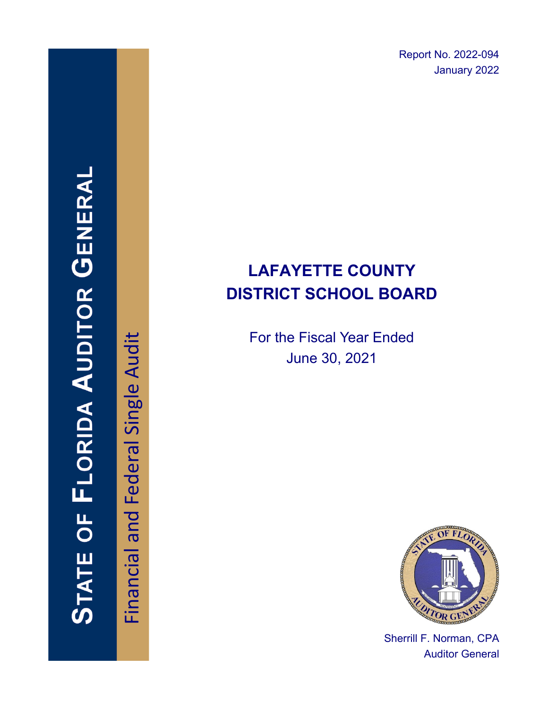Report No. 2022-094 January 2022

# **LAFAYETTE COUNTY DISTRICT SCHOOL BOARD**

For the Fiscal Year Ended June 30, 2021



Sherrill F. Norman, CPA Auditor General

Financial and Federal Single Audit Financial and Federal Single Audit

STATE OF FLORIDA AUDITOR GENERAI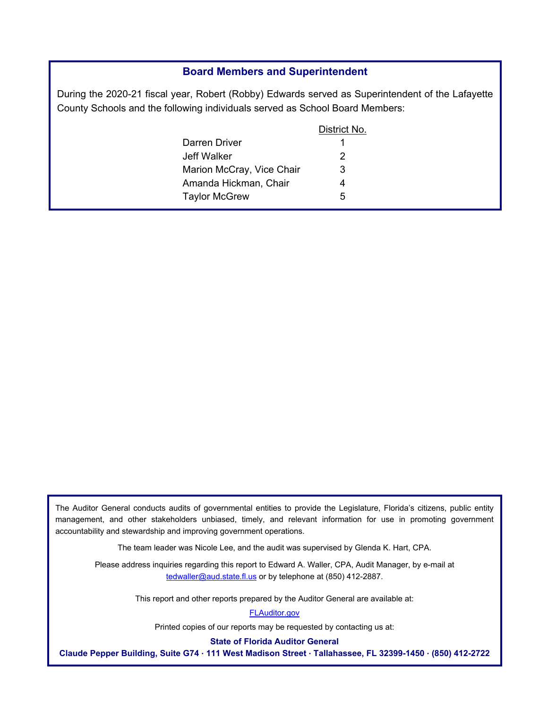#### **Board Members and Superintendent**

During the 2020-21 fiscal year, Robert (Robby) Edwards served as Superintendent of the Lafayette County Schools and the following individuals served as School Board Members:

|                           | District No. |
|---------------------------|--------------|
| Darren Driver             |              |
| Jeff Walker               | 2            |
| Marion McCray, Vice Chair | 3            |
| Amanda Hickman, Chair     |              |
| <b>Taylor McGrew</b>      | 5            |
|                           |              |

The Auditor General conducts audits of governmental entities to provide the Legislature, Florida's citizens, public entity management, and other stakeholders unbiased, timely, and relevant information for use in promoting government accountability and stewardship and improving government operations.

The team leader was Nicole Lee, and the audit was supervised by Glenda K. Hart, CPA.

Please address inquiries regarding this report to Edward A. Waller, CPA, Audit Manager, by e-mail at tedwaller@aud.state.fl.us or by telephone at (850) 412-2887.

This report and other reports prepared by the Auditor General are available at:

[FLAuditor.gov](http://flauditor.gov/)

Printed copies of our reports may be requested by contacting us at:

**State of Florida Auditor General** 

**Claude Pepper Building, Suite G74 · 111 West Madison Street · Tallahassee, FL 32399-1450 · (850) 412-2722**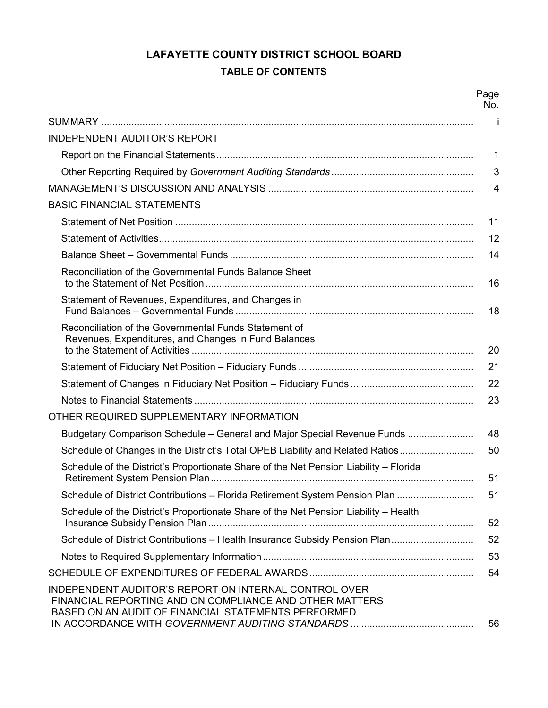## **LAFAYETTE COUNTY DISTRICT SCHOOL BOARD TABLE OF CONTENTS**

|                                                                                                                                                                         | Page<br>No.    |
|-------------------------------------------------------------------------------------------------------------------------------------------------------------------------|----------------|
|                                                                                                                                                                         | Ť              |
| <b>INDEPENDENT AUDITOR'S REPORT</b>                                                                                                                                     |                |
|                                                                                                                                                                         | 1              |
|                                                                                                                                                                         | 3              |
|                                                                                                                                                                         | $\overline{4}$ |
| <b>BASIC FINANCIAL STATEMENTS</b>                                                                                                                                       |                |
|                                                                                                                                                                         | 11             |
|                                                                                                                                                                         | 12             |
|                                                                                                                                                                         | 14             |
| Reconciliation of the Governmental Funds Balance Sheet                                                                                                                  | 16             |
| Statement of Revenues, Expenditures, and Changes in                                                                                                                     | 18             |
| Reconciliation of the Governmental Funds Statement of<br>Revenues, Expenditures, and Changes in Fund Balances                                                           | 20             |
|                                                                                                                                                                         | 21             |
|                                                                                                                                                                         | 22             |
|                                                                                                                                                                         | 23             |
| OTHER REQUIRED SUPPLEMENTARY INFORMATION                                                                                                                                |                |
| Budgetary Comparison Schedule – General and Major Special Revenue Funds                                                                                                 | 48             |
| Schedule of Changes in the District's Total OPEB Liability and Related Ratios                                                                                           | 50             |
| Schedule of the District's Proportionate Share of the Net Pension Liability – Florida                                                                                   | 51             |
| Schedule of District Contributions - Florida Retirement System Pension Plan                                                                                             | 51             |
| Schedule of the District's Proportionate Share of the Net Pension Liability - Health                                                                                    | 52             |
| Schedule of District Contributions - Health Insurance Subsidy Pension Plan                                                                                              | 52             |
|                                                                                                                                                                         | 53             |
|                                                                                                                                                                         | 54             |
| INDEPENDENT AUDITOR'S REPORT ON INTERNAL CONTROL OVER<br>FINANCIAL REPORTING AND ON COMPLIANCE AND OTHER MATTERS<br>BASED ON AN AUDIT OF FINANCIAL STATEMENTS PERFORMED | 56             |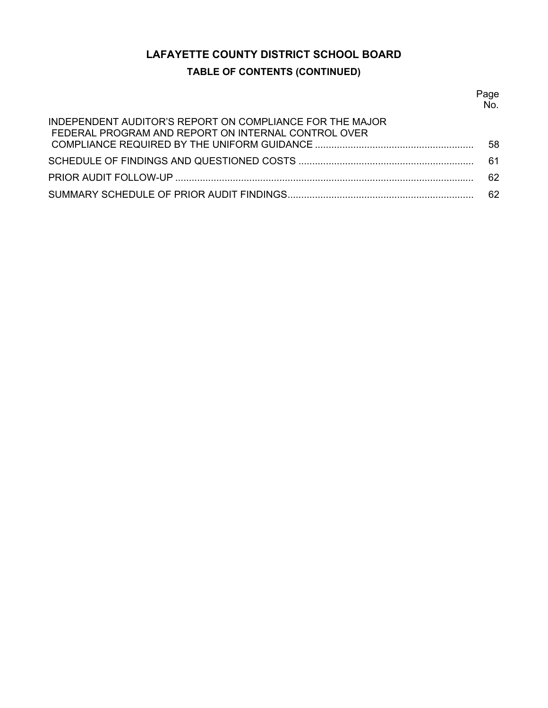## **LAFAYETTE COUNTY DISTRICT SCHOOL BOARD**

## **TABLE OF CONTENTS (CONTINUED)**

Page No.

| INDEPENDENT AUDITOR'S REPORT ON COMPLIANCE FOR THE MAJOR |     |
|----------------------------------------------------------|-----|
| FEDERAL PROGRAM AND REPORT ON INTERNAL CONTROL OVER      | .58 |
|                                                          |     |
|                                                          |     |
|                                                          |     |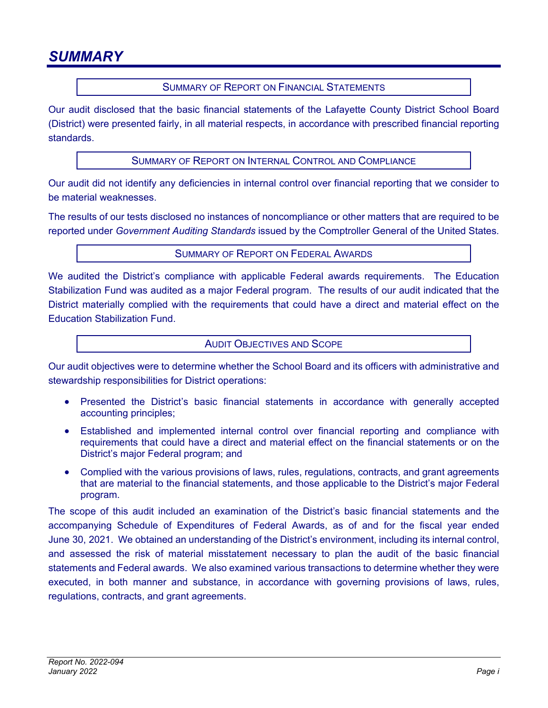#### SUMMARY OF REPORT ON FINANCIAL STATEMENTS

<span id="page-4-0"></span>Our audit disclosed that the basic financial statements of the Lafayette County District School Board (District) were presented fairly, in all material respects, in accordance with prescribed financial reporting standards.

SUMMARY OF REPORT ON INTERNAL CONTROL AND COMPLIANCE

Our audit did not identify any deficiencies in internal control over financial reporting that we consider to be material weaknesses.

The results of our tests disclosed no instances of noncompliance or other matters that are required to be reported under *Government Auditing Standards* issued by the Comptroller General of the United States*.* 

SUMMARY OF REPORT ON FEDERAL AWARDS

We audited the District's compliance with applicable Federal awards requirements. The Education Stabilization Fund was audited as a major Federal program. The results of our audit indicated that the District materially complied with the requirements that could have a direct and material effect on the Education Stabilization Fund.

#### AUDIT OBJECTIVES AND SCOPE

Our audit objectives were to determine whether the School Board and its officers with administrative and stewardship responsibilities for District operations:

- Presented the District's basic financial statements in accordance with generally accepted accounting principles;
- Established and implemented internal control over financial reporting and compliance with requirements that could have a direct and material effect on the financial statements or on the District's major Federal program; and
- Complied with the various provisions of laws, rules, regulations, contracts, and grant agreements that are material to the financial statements, and those applicable to the District's major Federal program.

The scope of this audit included an examination of the District's basic financial statements and the accompanying Schedule of Expenditures of Federal Awards, as of and for the fiscal year ended June 30, 2021. We obtained an understanding of the District's environment, including its internal control, and assessed the risk of material misstatement necessary to plan the audit of the basic financial statements and Federal awards. We also examined various transactions to determine whether they were executed, in both manner and substance, in accordance with governing provisions of laws, rules, regulations, contracts, and grant agreements.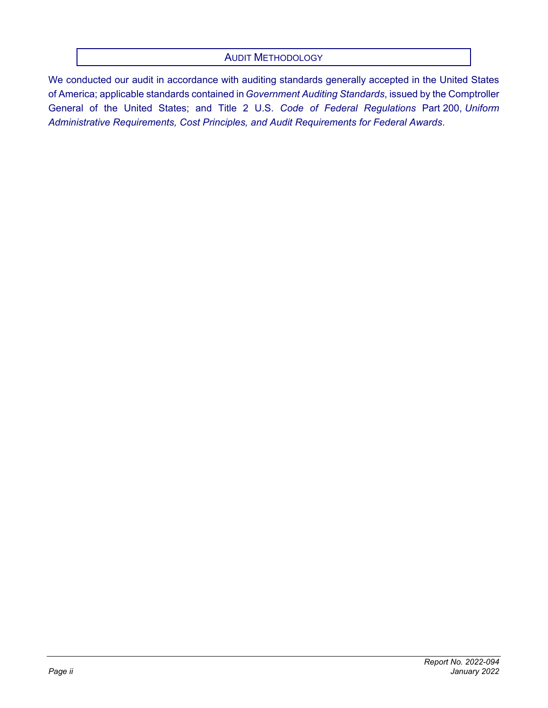#### AUDIT METHODOLOGY

We conducted our audit in accordance with auditing standards generally accepted in the United States of America; applicable standards contained in *Government Auditing Standards*, issued by the Comptroller General of the United States; and Title 2 U.S. *Code of Federal Regulations* Part 200, *Uniform Administrative Requirements, Cost Principles, and Audit Requirements for Federal Awards*.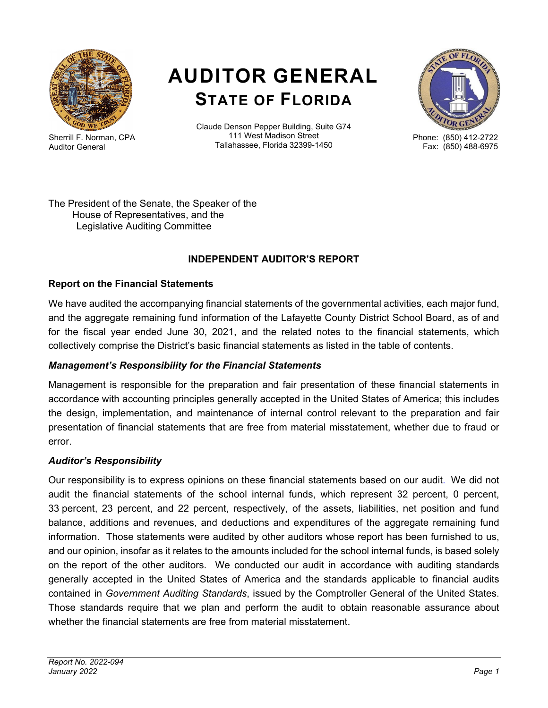<span id="page-6-0"></span>

Sherrill F. Norman, CPA Auditor General

# **AUDITOR GENERAL STATE OF FLORIDA**

Claude Denson Pepper Building, Suite G74 111 West Madison Street Tallahassee, Florida 32399-1450



Phone: (850) 412-2722 Fax: (850) 488-6975

The President of the Senate, the Speaker of the House of Representatives, and the Legislative Auditing Committee

#### **INDEPENDENT AUDITOR'S REPORT**

#### **Report on the Financial Statements**

We have audited the accompanying financial statements of the governmental activities, each major fund, and the aggregate remaining fund information of the Lafayette County District School Board, as of and for the fiscal year ended June 30, 2021, and the related notes to the financial statements, which collectively comprise the District's basic financial statements as listed in the table of contents.

#### *Management's Responsibility for the Financial Statements*

Management is responsible for the preparation and fair presentation of these financial statements in accordance with accounting principles generally accepted in the United States of America; this includes the design, implementation, and maintenance of internal control relevant to the preparation and fair presentation of financial statements that are free from material misstatement, whether due to fraud or error.

#### *Auditor's Responsibility*

Our responsibility is to express opinions on these financial statements based on our audit. We did not audit the financial statements of the school internal funds, which represent 32 percent, 0 percent, 33 percent, 23 percent, and 22 percent, respectively, of the assets, liabilities, net position and fund balance, additions and revenues, and deductions and expenditures of the aggregate remaining fund information. Those statements were audited by other auditors whose report has been furnished to us, and our opinion, insofar as it relates to the amounts included for the school internal funds, is based solely on the report of the other auditors. We conducted our audit in accordance with auditing standards generally accepted in the United States of America and the standards applicable to financial audits contained in *Government Auditing Standards*, issued by the Comptroller General of the United States. Those standards require that we plan and perform the audit to obtain reasonable assurance about whether the financial statements are free from material misstatement.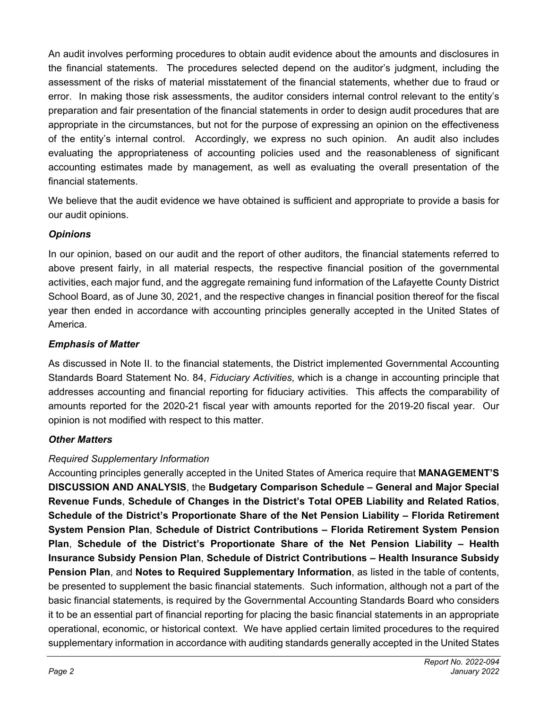An audit involves performing procedures to obtain audit evidence about the amounts and disclosures in the financial statements. The procedures selected depend on the auditor's judgment, including the assessment of the risks of material misstatement of the financial statements, whether due to fraud or error. In making those risk assessments, the auditor considers internal control relevant to the entity's preparation and fair presentation of the financial statements in order to design audit procedures that are appropriate in the circumstances, but not for the purpose of expressing an opinion on the effectiveness of the entity's internal control. Accordingly, we express no such opinion. An audit also includes evaluating the appropriateness of accounting policies used and the reasonableness of significant accounting estimates made by management, as well as evaluating the overall presentation of the financial statements.

We believe that the audit evidence we have obtained is sufficient and appropriate to provide a basis for our audit opinions.

#### *Opinions*

In our opinion, based on our audit and the report of other auditors, the financial statements referred to above present fairly, in all material respects, the respective financial position of the governmental activities, each major fund, and the aggregate remaining fund information of the Lafayette County District School Board, as of June 30, 2021, and the respective changes in financial position thereof for the fiscal year then ended in accordance with accounting principles generally accepted in the United States of America.

#### *Emphasis of Matter*

As discussed in Note II. to the financial statements, the District implemented Governmental Accounting Standards Board Statement No. 84, *Fiduciary Activities*, which is a change in accounting principle that addresses accounting and financial reporting for fiduciary activities. This affects the comparability of amounts reported for the 2020-21 fiscal year with amounts reported for the 2019-20 fiscal year. Our opinion is not modified with respect to this matter.

#### *Other Matters*

#### *Required Supplementary Information*

Accounting principles generally accepted in the United States of America require that **MANAGEMENT'S DISCUSSION AND ANALYSIS**, the **Budgetary Comparison Schedule – General and Major Special Revenue Funds**, **Schedule of Changes in the District's Total OPEB Liability and Related Ratios**, **Schedule of the District's Proportionate Share of the Net Pension Liability – Florida Retirement System Pension Plan**, **Schedule of District Contributions – Florida Retirement System Pension Plan**, **Schedule of the District's Proportionate Share of the Net Pension Liability – Health Insurance Subsidy Pension Plan**, **Schedule of District Contributions – Health Insurance Subsidy Pension Plan**, and **Notes to Required Supplementary Information**, as listed in the table of contents, be presented to supplement the basic financial statements. Such information, although not a part of the basic financial statements, is required by the Governmental Accounting Standards Board who considers it to be an essential part of financial reporting for placing the basic financial statements in an appropriate operational, economic, or historical context. We have applied certain limited procedures to the required supplementary information in accordance with auditing standards generally accepted in the United States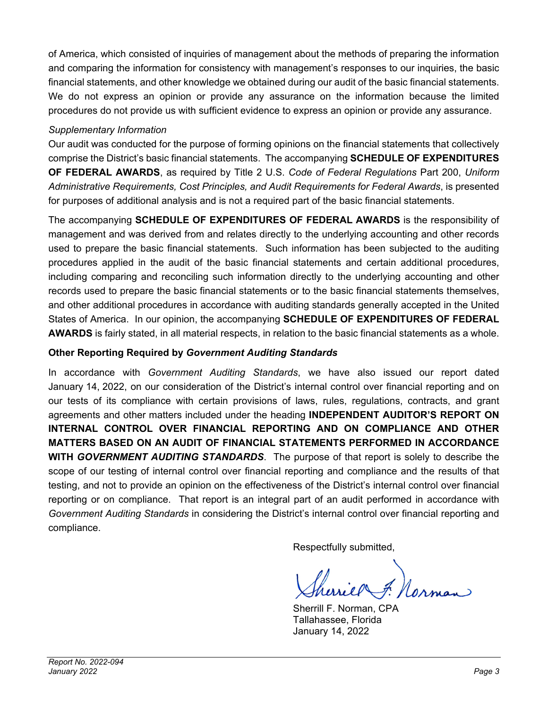<span id="page-8-0"></span>of America, which consisted of inquiries of management about the methods of preparing the information and comparing the information for consistency with management's responses to our inquiries, the basic financial statements, and other knowledge we obtained during our audit of the basic financial statements. We do not express an opinion or provide any assurance on the information because the limited procedures do not provide us with sufficient evidence to express an opinion or provide any assurance.

#### *Supplementary Information*

Our audit was conducted for the purpose of forming opinions on the financial statements that collectively comprise the District's basic financial statements. The accompanying **SCHEDULE OF EXPENDITURES OF FEDERAL AWARDS**, as required by Title 2 U.S. *Code of Federal Regulations* Part 200, *Uniform Administrative Requirements, Cost Principles, and Audit Requirements for Federal Awards*, is presented for purposes of additional analysis and is not a required part of the basic financial statements.

The accompanying **SCHEDULE OF EXPENDITURES OF FEDERAL AWARDS** is the responsibility of management and was derived from and relates directly to the underlying accounting and other records used to prepare the basic financial statements. Such information has been subjected to the auditing procedures applied in the audit of the basic financial statements and certain additional procedures, including comparing and reconciling such information directly to the underlying accounting and other records used to prepare the basic financial statements or to the basic financial statements themselves, and other additional procedures in accordance with auditing standards generally accepted in the United States of America. In our opinion, the accompanying **SCHEDULE OF EXPENDITURES OF FEDERAL AWARDS** is fairly stated, in all material respects, in relation to the basic financial statements as a whole.

#### **Other Reporting Required by** *Government Auditing Standards*

In accordance with *Government Auditing Standards*, we have also issued our report dated January 14, 2022, on our consideration of the District's internal control over financial reporting and on our tests of its compliance with certain provisions of laws, rules, regulations, contracts, and grant agreements and other matters included under the heading **INDEPENDENT AUDITOR'S REPORT ON INTERNAL CONTROL OVER FINANCIAL REPORTING AND ON COMPLIANCE AND OTHER MATTERS BASED ON AN AUDIT OF FINANCIAL STATEMENTS PERFORMED IN ACCORDANCE WITH** *GOVERNMENT AUDITING STANDARDS*. The purpose of that report is solely to describe the scope of our testing of internal control over financial reporting and compliance and the results of that testing, and not to provide an opinion on the effectiveness of the District's internal control over financial reporting or on compliance. That report is an integral part of an audit performed in accordance with *Government Auditing Standards* in considering the District's internal control over financial reporting and compliance.

Respectfully submitted,

Sherrill F. Norman, CPA Tallahassee, Florida January 14, 2022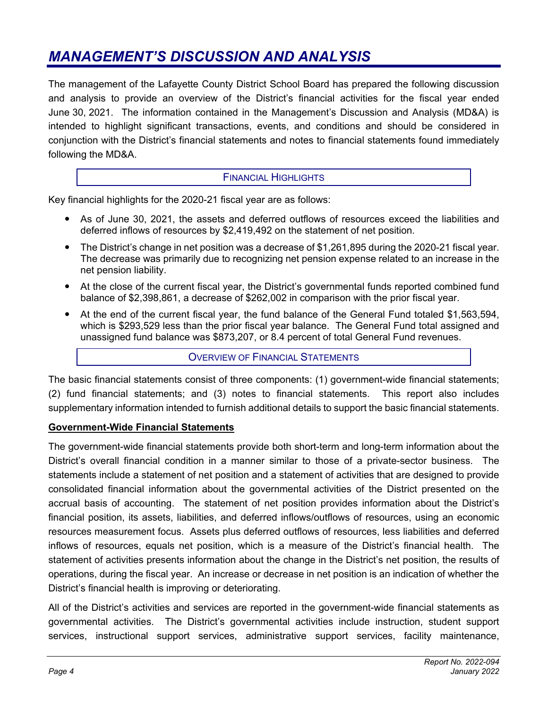# <span id="page-9-0"></span>*MANAGEMENT'S DISCUSSION AND ANALYSIS*

The management of the Lafayette County District School Board has prepared the following discussion and analysis to provide an overview of the District's financial activities for the fiscal year ended June 30, 2021. The information contained in the Management's Discussion and Analysis (MD&A) is intended to highlight significant transactions, events, and conditions and should be considered in conjunction with the District's financial statements and notes to financial statements found immediately following the MD&A.

#### FINANCIAL HIGHLIGHTS

Key financial highlights for the 2020-21 fiscal year are as follows:

- As of June 30, 2021, the assets and deferred outflows of resources exceed the liabilities and deferred inflows of resources by \$2,419,492 on the statement of net position.
- The District's change in net position was a decrease of \$1,261,895 during the 2020-21 fiscal year. The decrease was primarily due to recognizing net pension expense related to an increase in the net pension liability.
- At the close of the current fiscal year, the District's governmental funds reported combined fund balance of \$2,398,861, a decrease of \$262,002 in comparison with the prior fiscal year.
- At the end of the current fiscal year, the fund balance of the General Fund totaled \$1,563,594, which is \$293,529 less than the prior fiscal year balance. The General Fund total assigned and unassigned fund balance was \$873,207, or 8.4 percent of total General Fund revenues.

#### OVERVIEW OF FINANCIAL STATEMENTS

The basic financial statements consist of three components: (1) government-wide financial statements; (2) fund financial statements; and (3) notes to financial statements. This report also includes supplementary information intended to furnish additional details to support the basic financial statements.

#### **Government-Wide Financial Statements**

The government-wide financial statements provide both short-term and long-term information about the District's overall financial condition in a manner similar to those of a private-sector business. The statements include a statement of net position and a statement of activities that are designed to provide consolidated financial information about the governmental activities of the District presented on the accrual basis of accounting. The statement of net position provides information about the District's financial position, its assets, liabilities, and deferred inflows/outflows of resources, using an economic resources measurement focus. Assets plus deferred outflows of resources, less liabilities and deferred inflows of resources, equals net position, which is a measure of the District's financial health. The statement of activities presents information about the change in the District's net position, the results of operations, during the fiscal year. An increase or decrease in net position is an indication of whether the District's financial health is improving or deteriorating.

All of the District's activities and services are reported in the government-wide financial statements as governmental activities. The District's governmental activities include instruction, student support services, instructional support services, administrative support services, facility maintenance,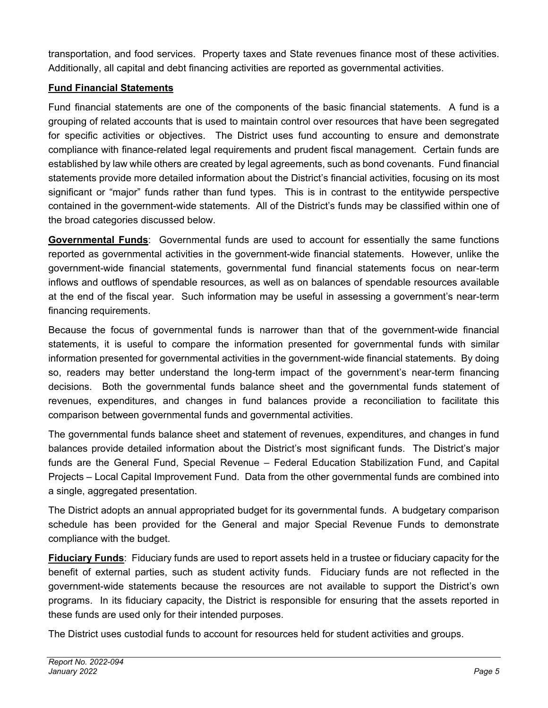transportation, and food services. Property taxes and State revenues finance most of these activities. Additionally, all capital and debt financing activities are reported as governmental activities.

#### **Fund Financial Statements**

Fund financial statements are one of the components of the basic financial statements. A fund is a grouping of related accounts that is used to maintain control over resources that have been segregated for specific activities or objectives. The District uses fund accounting to ensure and demonstrate compliance with finance-related legal requirements and prudent fiscal management. Certain funds are established by law while others are created by legal agreements, such as bond covenants. Fund financial statements provide more detailed information about the District's financial activities, focusing on its most significant or "major" funds rather than fund types. This is in contrast to the entitywide perspective contained in the government-wide statements. All of the District's funds may be classified within one of the broad categories discussed below.

**Governmental Funds**: Governmental funds are used to account for essentially the same functions reported as governmental activities in the government-wide financial statements. However, unlike the government-wide financial statements, governmental fund financial statements focus on near-term inflows and outflows of spendable resources, as well as on balances of spendable resources available at the end of the fiscal year. Such information may be useful in assessing a government's near-term financing requirements.

Because the focus of governmental funds is narrower than that of the government-wide financial statements, it is useful to compare the information presented for governmental funds with similar information presented for governmental activities in the government-wide financial statements. By doing so, readers may better understand the long-term impact of the government's near-term financing decisions. Both the governmental funds balance sheet and the governmental funds statement of revenues, expenditures, and changes in fund balances provide a reconciliation to facilitate this comparison between governmental funds and governmental activities.

The governmental funds balance sheet and statement of revenues, expenditures, and changes in fund balances provide detailed information about the District's most significant funds. The District's major funds are the General Fund, Special Revenue – Federal Education Stabilization Fund, and Capital Projects – Local Capital Improvement Fund. Data from the other governmental funds are combined into a single, aggregated presentation.

The District adopts an annual appropriated budget for its governmental funds. A budgetary comparison schedule has been provided for the General and major Special Revenue Funds to demonstrate compliance with the budget.

**Fiduciary Funds**: Fiduciary funds are used to report assets held in a trustee or fiduciary capacity for the benefit of external parties, such as student activity funds. Fiduciary funds are not reflected in the government-wide statements because the resources are not available to support the District's own programs. In its fiduciary capacity, the District is responsible for ensuring that the assets reported in these funds are used only for their intended purposes.

The District uses custodial funds to account for resources held for student activities and groups.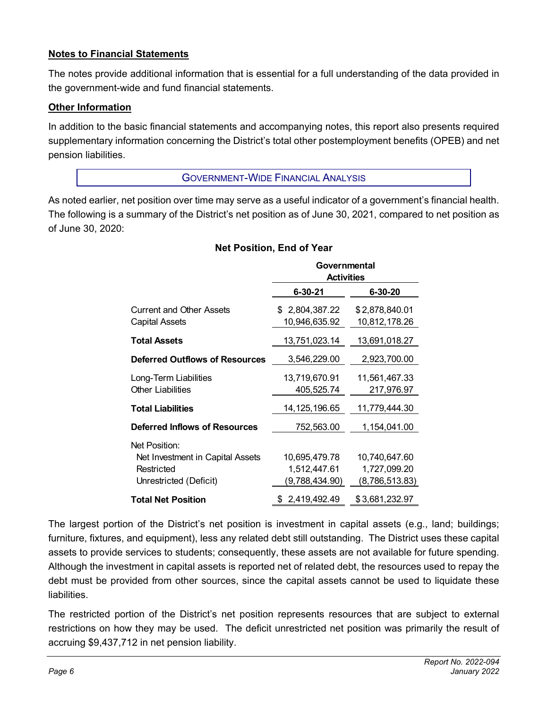#### **Notes to Financial Statements**

The notes provide additional information that is essential for a full understanding of the data provided in the government-wide and fund financial statements.

#### **Other Information**

In addition to the basic financial statements and accompanying notes, this report also presents required supplementary information concerning the District's total other postemployment benefits (OPEB) and net pension liabilities.

GOVERNMENT-WIDE FINANCIAL ANALYSIS

As noted earlier, net position over time may serve as a useful indicator of a government's financial health. The following is a summary of the District's net position as of June 30, 2021, compared to net position as of June 30, 2020:

|                                                                                           | Governmental<br><b>Activities</b>               |                                                 |  |  |  |
|-------------------------------------------------------------------------------------------|-------------------------------------------------|-------------------------------------------------|--|--|--|
|                                                                                           | 6-30-21                                         | $6 - 30 - 20$                                   |  |  |  |
| <b>Current and Other Assets</b><br><b>Capital Assets</b>                                  | \$2,804,387.22<br>10,946,635.92                 | \$2,878,840.01<br>10,812,178.26                 |  |  |  |
| <b>Total Assets</b>                                                                       | 13,751,023.14                                   | 13,691,018.27                                   |  |  |  |
| <b>Deferred Outflows of Resources</b>                                                     | 3,546,229.00                                    | 2,923,700.00                                    |  |  |  |
| Long-Term Liabilities<br><b>Other Liabilities</b>                                         | 13,719,670.91<br>405,525.74                     | 11,561,467.33<br>217,976.97                     |  |  |  |
| <b>Total Liabilities</b>                                                                  | 14, 125, 196.65                                 | 11,779,444.30                                   |  |  |  |
| <b>Deferred Inflows of Resources</b>                                                      | 752,563.00                                      | 1,154,041.00                                    |  |  |  |
| Net Position:<br>Net Investment in Capital Assets<br>Restricted<br>Unrestricted (Deficit) | 10,695,479.78<br>1,512,447.61<br>(9,788,434.90) | 10,740,647.60<br>1,727,099.20<br>(8,786,513.83) |  |  |  |
| <b>Total Net Position</b>                                                                 | \$2,419,492.49                                  | \$3,681,232.97                                  |  |  |  |

#### **Net Position, End of Year**

The largest portion of the District's net position is investment in capital assets (e.g., land; buildings; furniture, fixtures, and equipment), less any related debt still outstanding. The District uses these capital assets to provide services to students; consequently, these assets are not available for future spending. Although the investment in capital assets is reported net of related debt, the resources used to repay the debt must be provided from other sources, since the capital assets cannot be used to liquidate these liabilities.

The restricted portion of the District's net position represents resources that are subject to external restrictions on how they may be used. The deficit unrestricted net position was primarily the result of accruing \$9,437,712 in net pension liability.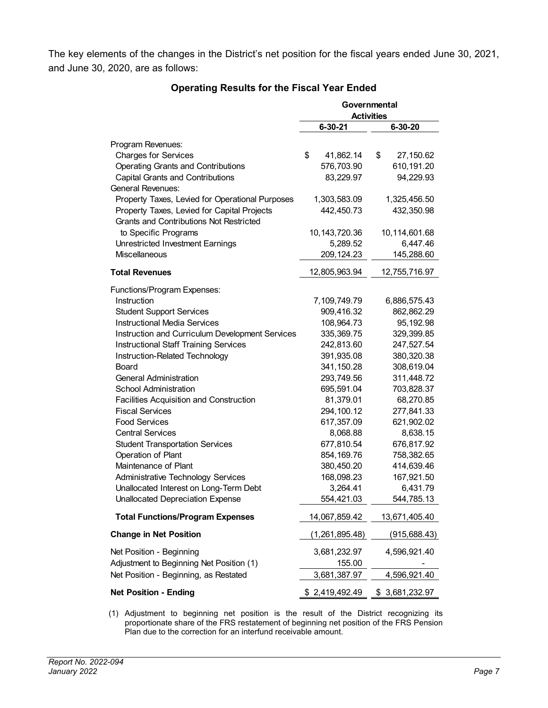The key elements of the changes in the District's net position for the fiscal years ended June 30, 2021, and June 30, 2020, are as follows:

|                                                 | Governmental      |                 |  |  |  |
|-------------------------------------------------|-------------------|-----------------|--|--|--|
|                                                 | <b>Activities</b> |                 |  |  |  |
|                                                 | 6-30-21           | $6 - 30 - 20$   |  |  |  |
| Program Revenues:                               |                   |                 |  |  |  |
| <b>Charges for Services</b>                     | \$<br>41,862.14   | \$<br>27,150.62 |  |  |  |
| Operating Grants and Contributions              | 576,703.90        | 610,191.20      |  |  |  |
| Capital Grants and Contributions                | 83,229.97         | 94,229.93       |  |  |  |
| <b>General Revenues:</b>                        |                   |                 |  |  |  |
| Property Taxes, Levied for Operational Purposes | 1,303,583.09      | 1,325,456.50    |  |  |  |
| Property Taxes, Levied for Capital Projects     | 442,450.73        | 432,350.98      |  |  |  |
| <b>Grants and Contributions Not Restricted</b>  |                   |                 |  |  |  |
| to Specific Programs                            | 10, 143, 720. 36  | 10,114,601.68   |  |  |  |
| Unrestricted Investment Earnings                | 5,289.52          | 6,447.46        |  |  |  |
| Miscellaneous                                   | 209, 124.23       | 145,288.60      |  |  |  |
| <b>Total Revenues</b>                           | 12,805,963.94     | 12,755,716.97   |  |  |  |
| Functions/Program Expenses:                     |                   |                 |  |  |  |
| Instruction                                     | 7,109,749.79      | 6,886,575.43    |  |  |  |
| <b>Student Support Services</b>                 | 909,416.32        | 862,862.29      |  |  |  |
| <b>Instructional Media Services</b>             | 108,964.73        | 95,192.98       |  |  |  |
| Instruction and Curriculum Development Services | 335,369.75        | 329,399.85      |  |  |  |
| <b>Instructional Staff Training Services</b>    | 242,813.60        | 247,527.54      |  |  |  |
| Instruction-Related Technology                  | 391,935.08        | 380,320.38      |  |  |  |
| Board                                           | 341,150.28        | 308,619.04      |  |  |  |
| <b>General Administration</b>                   | 293,749.56        | 311,448.72      |  |  |  |
| School Administration                           | 695,591.04        | 703,828.37      |  |  |  |
| Facilities Acquisition and Construction         | 81,379.01         | 68,270.85       |  |  |  |
| <b>Fiscal Services</b>                          | 294,100.12        | 277,841.33      |  |  |  |
| <b>Food Services</b>                            | 617,357.09        | 621,902.02      |  |  |  |
| <b>Central Services</b>                         | 8,068.88          | 8,638.15        |  |  |  |
| <b>Student Transportation Services</b>          | 677,810.54        | 676,817.92      |  |  |  |
| Operation of Plant                              | 854, 169.76       | 758,382.65      |  |  |  |
| Maintenance of Plant                            | 380,450.20        | 414,639.46      |  |  |  |
| Administrative Technology Services              | 168,098.23        | 167,921.50      |  |  |  |
| Unallocated Interest on Long-Term Debt          | 3,264.41          | 6,431.79        |  |  |  |
| <b>Unallocated Depreciation Expense</b>         | 554,421.03        | 544,785.13      |  |  |  |
| <b>Total Functions/Program Expenses</b>         | 14,067,859.42     | 13,671,405.40   |  |  |  |
| <b>Change in Net Position</b>                   | (1,261,895.48)    | (915,688.43)    |  |  |  |
| Net Position - Beginning                        | 3,681,232.97      | 4,596,921.40    |  |  |  |
| Adjustment to Beginning Net Position (1)        | 155.00            |                 |  |  |  |
| Net Position - Beginning, as Restated           | 3,681,387.97      | 4,596,921.40    |  |  |  |
| <b>Net Position - Ending</b>                    | \$2,419,492.49    | \$3,681,232.97  |  |  |  |

#### **Operating Results for the Fiscal Year Ended**

(1) Adjustment to beginning net position is the result of the District recognizing its proportionate share of the FRS restatement of beginning net position of the FRS Pension Plan due to the correction for an interfund receivable amount.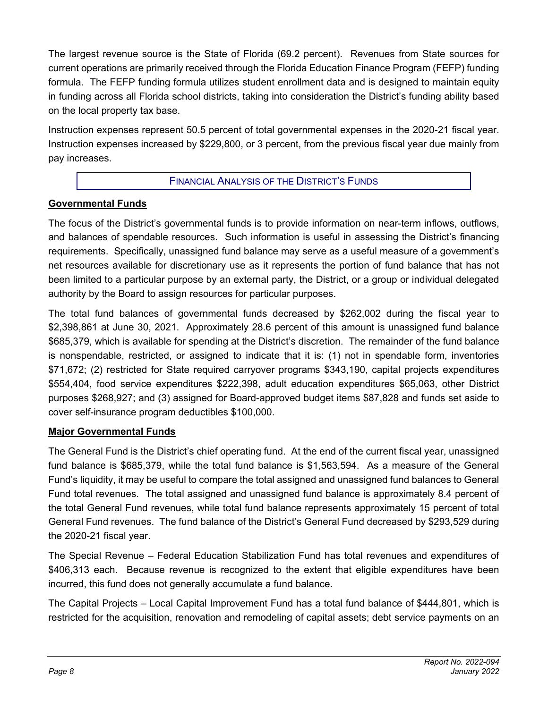The largest revenue source is the State of Florida (69.2 percent). Revenues from State sources for current operations are primarily received through the Florida Education Finance Program (FEFP) funding formula. The FEFP funding formula utilizes student enrollment data and is designed to maintain equity in funding across all Florida school districts, taking into consideration the District's funding ability based on the local property tax base.

Instruction expenses represent 50.5 percent of total governmental expenses in the 2020-21 fiscal year. Instruction expenses increased by \$229,800, or 3 percent, from the previous fiscal year due mainly from pay increases.

#### FINANCIAL ANALYSIS OF THE DISTRICT'S FUNDS

#### **Governmental Funds**

The focus of the District's governmental funds is to provide information on near-term inflows, outflows, and balances of spendable resources. Such information is useful in assessing the District's financing requirements. Specifically, unassigned fund balance may serve as a useful measure of a government's net resources available for discretionary use as it represents the portion of fund balance that has not been limited to a particular purpose by an external party, the District, or a group or individual delegated authority by the Board to assign resources for particular purposes.

The total fund balances of governmental funds decreased by \$262,002 during the fiscal year to \$2,398,861 at June 30, 2021. Approximately 28.6 percent of this amount is unassigned fund balance \$685,379, which is available for spending at the District's discretion. The remainder of the fund balance is nonspendable, restricted, or assigned to indicate that it is: (1) not in spendable form, inventories \$71,672; (2) restricted for State required carryover programs \$343,190, capital projects expenditures \$554,404, food service expenditures \$222,398, adult education expenditures \$65,063, other District purposes \$268,927; and (3) assigned for Board-approved budget items \$87,828 and funds set aside to cover self-insurance program deductibles \$100,000.

#### **Major Governmental Funds**

The General Fund is the District's chief operating fund. At the end of the current fiscal year, unassigned fund balance is \$685,379, while the total fund balance is \$1,563,594. As a measure of the General Fund's liquidity, it may be useful to compare the total assigned and unassigned fund balances to General Fund total revenues. The total assigned and unassigned fund balance is approximately 8.4 percent of the total General Fund revenues, while total fund balance represents approximately 15 percent of total General Fund revenues. The fund balance of the District's General Fund decreased by \$293,529 during the 2020-21 fiscal year.

The Special Revenue – Federal Education Stabilization Fund has total revenues and expenditures of \$406,313 each. Because revenue is recognized to the extent that eligible expenditures have been incurred, this fund does not generally accumulate a fund balance.

The Capital Projects – Local Capital Improvement Fund has a total fund balance of \$444,801, which is restricted for the acquisition, renovation and remodeling of capital assets; debt service payments on an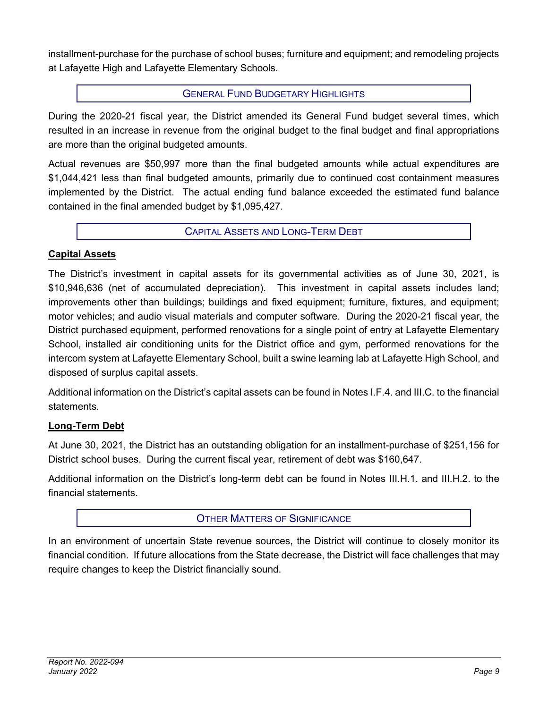installment-purchase for the purchase of school buses; furniture and equipment; and remodeling projects at Lafayette High and Lafayette Elementary Schools.

GENERAL FUND BUDGETARY HIGHLIGHTS

During the 2020-21 fiscal year, the District amended its General Fund budget several times, which resulted in an increase in revenue from the original budget to the final budget and final appropriations are more than the original budgeted amounts.

Actual revenues are \$50,997 more than the final budgeted amounts while actual expenditures are \$1,044,421 less than final budgeted amounts, primarily due to continued cost containment measures implemented by the District. The actual ending fund balance exceeded the estimated fund balance contained in the final amended budget by \$1,095,427.

CAPITAL ASSETS AND LONG-TERM DEBT

### **Capital Assets**

The District's investment in capital assets for its governmental activities as of June 30, 2021, is \$10,946,636 (net of accumulated depreciation). This investment in capital assets includes land; improvements other than buildings; buildings and fixed equipment; furniture, fixtures, and equipment; motor vehicles; and audio visual materials and computer software. During the 2020-21 fiscal year, the District purchased equipment, performed renovations for a single point of entry at Lafayette Elementary School, installed air conditioning units for the District office and gym, performed renovations for the intercom system at Lafayette Elementary School, built a swine learning lab at Lafayette High School, and disposed of surplus capital assets.

Additional information on the District's capital assets can be found in Notes I.F.4. and III.C. to the financial statements.

#### **Long-Term Debt**

At June 30, 2021, the District has an outstanding obligation for an installment-purchase of \$251,156 for District school buses. During the current fiscal year, retirement of debt was \$160,647.

Additional information on the District's long-term debt can be found in Notes III.H.1. and III.H.2. to the financial statements.

OTHER MATTERS OF SIGNIFICANCE

In an environment of uncertain State revenue sources, the District will continue to closely monitor its financial condition. If future allocations from the State decrease, the District will face challenges that may require changes to keep the District financially sound.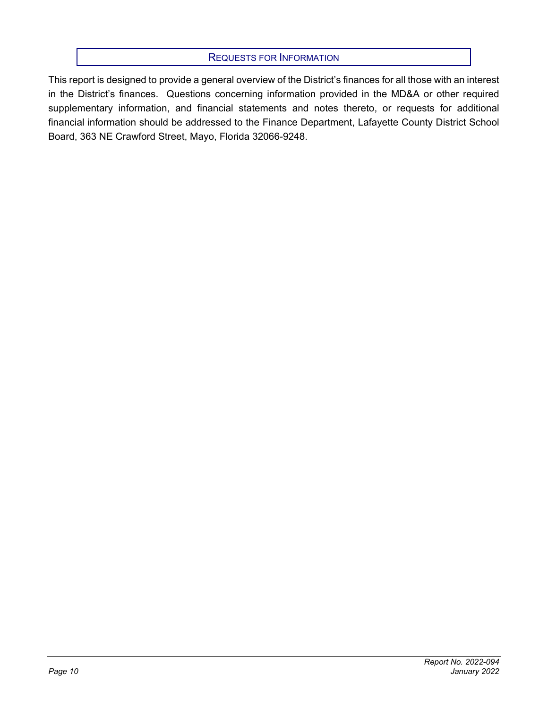#### REQUESTS FOR INFORMATION

This report is designed to provide a general overview of the District's finances for all those with an interest in the District's finances. Questions concerning information provided in the MD&A or other required supplementary information, and financial statements and notes thereto, or requests for additional financial information should be addressed to the Finance Department, Lafayette County District School Board, 363 NE Crawford Street, Mayo, Florida 32066-9248.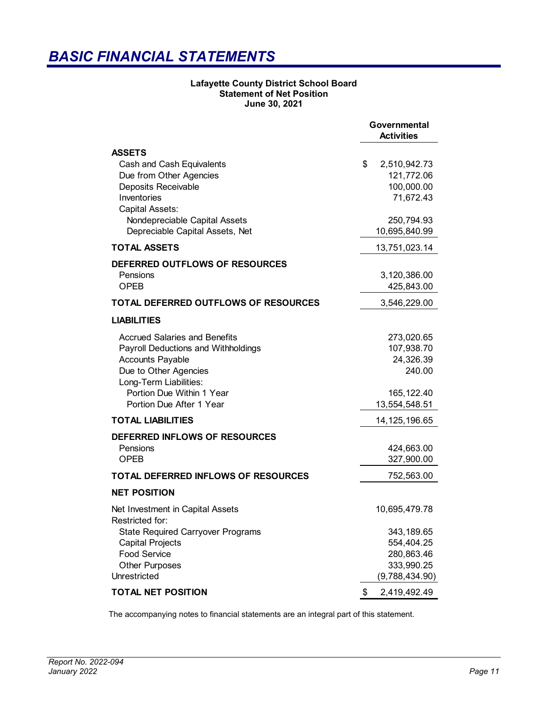# <span id="page-16-0"></span>*BASIC FINANCIAL STATEMENTS*

#### **Lafayette County District School Board Statement of Net Position June 30, 2021**

|                                                     | Governmental<br><b>Activities</b> |
|-----------------------------------------------------|-----------------------------------|
| <b>ASSETS</b>                                       |                                   |
| Cash and Cash Equivalents                           | \$<br>2,510,942.73                |
| Due from Other Agencies                             | 121,772.06                        |
| Deposits Receivable                                 | 100,000.00                        |
| Inventories                                         | 71,672.43                         |
| Capital Assets:                                     |                                   |
| Nondepreciable Capital Assets                       | 250,794.93                        |
| Depreciable Capital Assets, Net                     | 10,695,840.99                     |
| <b>TOTAL ASSETS</b>                                 | 13,751,023.14                     |
| DEFERRED OUTFLOWS OF RESOURCES                      |                                   |
| Pensions                                            | 3,120,386.00                      |
| <b>OPEB</b>                                         | 425,843.00                        |
| <b>TOTAL DEFERRED OUTFLOWS OF RESOURCES</b>         | 3,546,229.00                      |
| <b>LIABILITIES</b>                                  |                                   |
| <b>Accrued Salaries and Benefits</b>                | 273,020.65                        |
| Payroll Deductions and Withholdings                 | 107,938.70                        |
| <b>Accounts Payable</b>                             | 24,326.39                         |
| Due to Other Agencies                               | 240.00                            |
| Long-Term Liabilities:                              |                                   |
| Portion Due Within 1 Year                           | 165, 122.40                       |
| Portion Due After 1 Year                            | 13,554,548.51                     |
| <b>TOTAL LIABILITIES</b>                            | 14, 125, 196.65                   |
| DEFERRED INFLOWS OF RESOURCES                       |                                   |
| Pensions                                            | 424,663.00                        |
| <b>OPEB</b>                                         | 327,900.00                        |
| <b>TOTAL DEFERRED INFLOWS OF RESOURCES</b>          | 752,563.00                        |
| <b>NET POSITION</b>                                 |                                   |
| Net Investment in Capital Assets<br>Restricted for: | 10,695,479.78                     |
| <b>State Required Carryover Programs</b>            | 343,189.65                        |
| <b>Capital Projects</b>                             | 554,404.25                        |
| <b>Food Service</b>                                 | 280,863.46                        |
| <b>Other Purposes</b>                               | 333,990.25                        |
| Unrestricted                                        | (9,788,434.90)                    |
| <b>TOTAL NET POSITION</b>                           | \$<br>2,419,492.49                |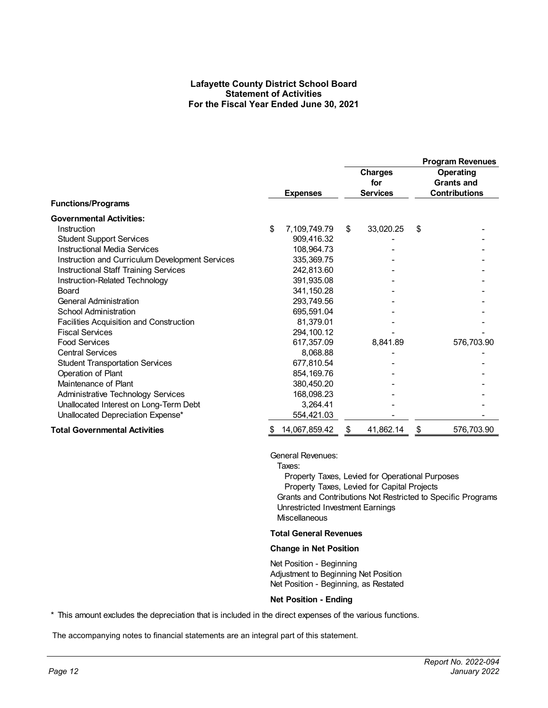#### **Lafayette County District School Board Statement of Activities For the Fiscal Year Ended June 30, 2021**

<span id="page-17-0"></span>

|                                                 |                     |                       | <b>Program Revenues</b>        |
|-------------------------------------------------|---------------------|-----------------------|--------------------------------|
|                                                 |                     | <b>Charges</b><br>for | Operating<br><b>Grants and</b> |
|                                                 | <b>Expenses</b>     | <b>Services</b>       | <b>Contributions</b>           |
| <b>Functions/Programs</b>                       |                     |                       |                                |
| <b>Governmental Activities:</b>                 |                     |                       |                                |
| Instruction                                     | \$<br>7,109,749.79  | \$<br>33,020.25       | \$                             |
| <b>Student Support Services</b>                 | 909,416.32          |                       |                                |
| <b>Instructional Media Services</b>             | 108,964.73          |                       |                                |
| Instruction and Curriculum Development Services | 335,369.75          |                       |                                |
| <b>Instructional Staff Training Services</b>    | 242,813.60          |                       |                                |
| Instruction-Related Technology                  | 391,935.08          |                       |                                |
| Board                                           | 341,150.28          |                       |                                |
| <b>General Administration</b>                   | 293,749.56          |                       |                                |
| School Administration                           | 695.591.04          |                       |                                |
| Facilities Acquisition and Construction         | 81,379.01           |                       |                                |
| <b>Fiscal Services</b>                          | 294,100.12          |                       |                                |
| <b>Food Services</b>                            | 617,357.09          | 8,841.89              | 576,703.90                     |
| <b>Central Services</b>                         | 8.068.88            |                       |                                |
| <b>Student Transportation Services</b>          | 677,810.54          |                       |                                |
| Operation of Plant                              | 854, 169. 76        |                       |                                |
| Maintenance of Plant                            | 380,450.20          |                       |                                |
| Administrative Technology Services              | 168,098.23          |                       |                                |
| Unallocated Interest on Long-Term Debt          | 3,264.41            |                       |                                |
| Unallocated Depreciation Expense*               | 554,421.03          |                       |                                |
| <b>Total Governmental Activities</b>            | \$<br>14,067,859.42 | \$<br>41,862.14       | \$<br>576,703.90               |

General Revenues:

Taxes:

 Property Taxes, Levied for Operational Purposes Property Taxes, Levied for Capital Projects Grants and Contributions Not Restricted to Specific Programs Unrestricted Investment Earnings **Miscellaneous** 

#### **Total General Revenues**

#### **Change in Net Position**

Net Position - Beginning Adjustment to Beginning Net Position Net Position - Beginning, as Restated

#### **Net Position - Ending**

\* This amount excludes the depreciation that is included in the direct expenses of the various functions.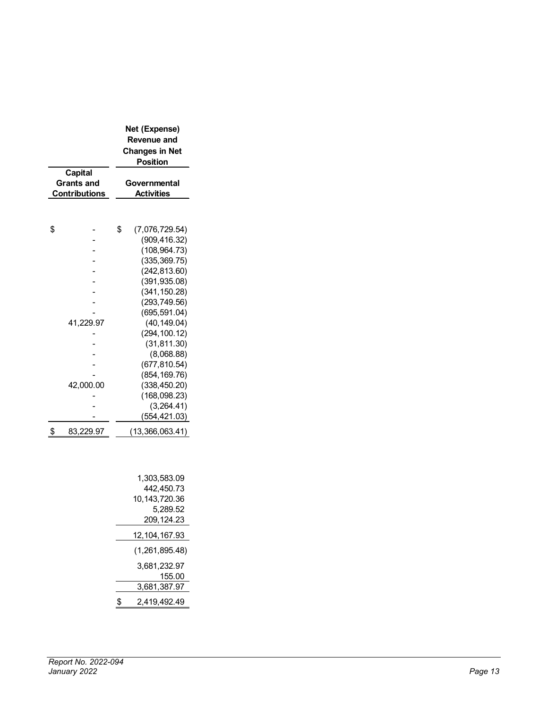|                      | Net (Expense)<br>Revenue and |                   |  |  |  |
|----------------------|------------------------------|-------------------|--|--|--|
|                      | Changes in Net               |                   |  |  |  |
|                      |                              | <b>Position</b>   |  |  |  |
| Capital              |                              |                   |  |  |  |
| <b>Grants and</b>    |                              | Governmental      |  |  |  |
| <b>Contributions</b> |                              | <b>Activities</b> |  |  |  |
|                      |                              |                   |  |  |  |
| \$                   | \$                           | (7,076,729.54)    |  |  |  |
|                      |                              | (909, 416.32)     |  |  |  |
|                      |                              | (108, 964.73)     |  |  |  |
|                      |                              | (335, 369.75)     |  |  |  |
|                      |                              | (242, 813.60)     |  |  |  |
|                      |                              | (391, 935.08)     |  |  |  |
|                      |                              | (341, 150.28)     |  |  |  |
|                      |                              | (293, 749.56)     |  |  |  |
|                      |                              | (695, 591.04)     |  |  |  |
| 41,229.97            |                              | (40, 149.04)      |  |  |  |
|                      |                              | (294, 100.12)     |  |  |  |
|                      |                              | (31, 811.30)      |  |  |  |
|                      |                              | (8,068.88)        |  |  |  |
|                      |                              | (677, 810.54)     |  |  |  |
|                      |                              | (854, 169.76)     |  |  |  |
| 42,000.00            |                              | (338, 450.20)     |  |  |  |
|                      |                              | (168,098.23)      |  |  |  |
|                      |                              | (3,264.41)        |  |  |  |
|                      |                              | (554, 421.03)     |  |  |  |
| \$<br>83,229.97      |                              | (13,366,063.41)   |  |  |  |

| 1,303,583.09     |
|------------------|
| 442.450.73       |
| 10, 143, 720. 36 |
| 5.289.52         |
| 209,124.23       |
| 12,104,167.93    |
| (1,261,895.48)   |
| 3,681,232.97     |
| 155.00           |
| 3,681,387.97     |
| 2,419,492.49     |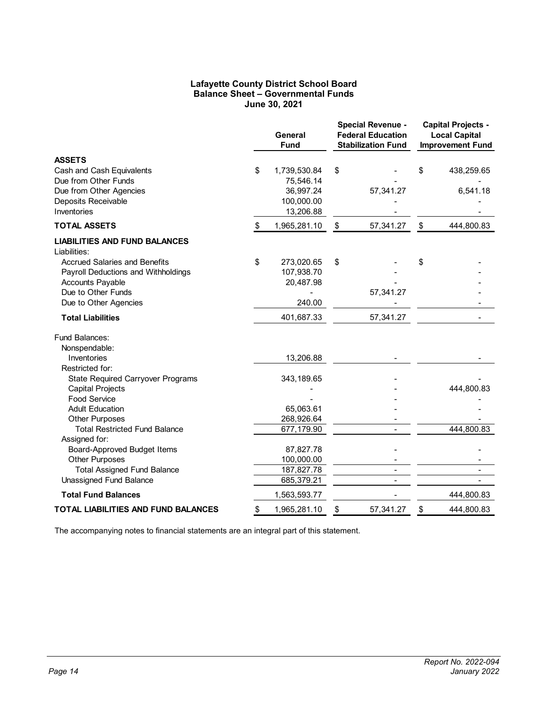#### **Lafayette County District School Board Balance Sheet – Governmental Funds June 30, 2021**

<span id="page-19-0"></span>

|                                                      | General<br><b>Fund</b> |                         | <b>Special Revenue -</b><br><b>Federal Education</b><br><b>Stabilization Fund</b> |                | <b>Capital Projects -</b><br><b>Local Capital</b><br><b>Improvement Fund</b> |            |
|------------------------------------------------------|------------------------|-------------------------|-----------------------------------------------------------------------------------|----------------|------------------------------------------------------------------------------|------------|
| <b>ASSETS</b>                                        |                        |                         |                                                                                   |                |                                                                              |            |
| Cash and Cash Equivalents                            | \$                     | 1,739,530.84            | \$                                                                                |                | \$                                                                           | 438,259.65 |
| Due from Other Funds                                 |                        | 75,546.14               |                                                                                   |                |                                                                              |            |
| Due from Other Agencies                              |                        | 36,997.24               |                                                                                   | 57,341.27      |                                                                              | 6,541.18   |
| Deposits Receivable<br>Inventories                   |                        | 100,000.00<br>13,206.88 |                                                                                   |                |                                                                              |            |
|                                                      |                        |                         |                                                                                   |                |                                                                              |            |
| <b>TOTAL ASSETS</b>                                  | \$                     | 1,965,281.10            | \$                                                                                | 57,341.27      | \$                                                                           | 444,800.83 |
| <b>LIABILITIES AND FUND BALANCES</b><br>Liabilities: |                        |                         |                                                                                   |                |                                                                              |            |
| <b>Accrued Salaries and Benefits</b>                 | \$                     | 273,020.65              | \$                                                                                |                | \$                                                                           |            |
| Payroll Deductions and Withholdings                  |                        | 107,938.70              |                                                                                   |                |                                                                              |            |
| Accounts Payable                                     |                        | 20,487.98               |                                                                                   |                |                                                                              |            |
| Due to Other Funds                                   |                        |                         |                                                                                   | 57,341.27      |                                                                              |            |
| Due to Other Agencies                                |                        | 240.00                  |                                                                                   |                |                                                                              |            |
| <b>Total Liabilities</b>                             |                        | 401,687.33              |                                                                                   | 57,341.27      |                                                                              |            |
| Fund Balances:                                       |                        |                         |                                                                                   |                |                                                                              |            |
| Nonspendable:                                        |                        |                         |                                                                                   |                |                                                                              |            |
| Inventories                                          |                        | 13,206.88               |                                                                                   |                |                                                                              |            |
| Restricted for:                                      |                        |                         |                                                                                   |                |                                                                              |            |
| <b>State Required Carryover Programs</b>             |                        | 343,189.65              |                                                                                   |                |                                                                              |            |
| <b>Capital Projects</b>                              |                        |                         |                                                                                   |                |                                                                              | 444,800.83 |
| <b>Food Service</b><br><b>Adult Education</b>        |                        | 65,063.61               |                                                                                   |                |                                                                              |            |
| <b>Other Purposes</b>                                |                        | 268,926.64              |                                                                                   |                |                                                                              |            |
| <b>Total Restricted Fund Balance</b>                 |                        | 677,179.90              |                                                                                   |                |                                                                              | 444,800.83 |
| Assigned for:                                        |                        |                         |                                                                                   |                |                                                                              |            |
| Board-Approved Budget Items                          |                        | 87,827.78               |                                                                                   |                |                                                                              |            |
| <b>Other Purposes</b>                                |                        | 100,000.00              |                                                                                   |                |                                                                              |            |
| <b>Total Assigned Fund Balance</b>                   |                        | 187,827.78              |                                                                                   | $\blacksquare$ |                                                                              |            |
| Unassigned Fund Balance                              |                        | 685,379.21              |                                                                                   |                |                                                                              |            |
| <b>Total Fund Balances</b>                           |                        | 1,563,593.77            |                                                                                   |                |                                                                              | 444,800.83 |
| TOTAL LIABILITIES AND FUND BALANCES                  | \$                     | 1,965,281.10            | \$                                                                                | 57,341.27      | \$                                                                           | 444,800.83 |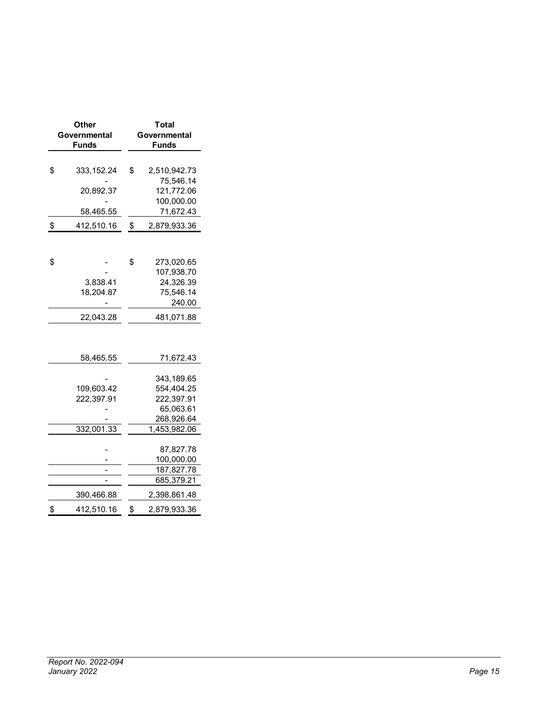| Other             | <b>Total</b> |              |  |  |  |
|-------------------|--------------|--------------|--|--|--|
| Governmental      |              | Governmental |  |  |  |
| <b>Funds</b>      |              | Funds        |  |  |  |
|                   |              |              |  |  |  |
| \$<br>333, 152.24 | \$           | 2,510,942.73 |  |  |  |
|                   |              | 75,546.14    |  |  |  |
| 20,892.37         |              | 121,772.06   |  |  |  |
|                   |              | 100,000.00   |  |  |  |
| 58,465.55         |              | 71,672.43    |  |  |  |
| \$<br>412,510.16  | \$           | 2,879,933.36 |  |  |  |
|                   |              |              |  |  |  |
|                   |              |              |  |  |  |
| \$                | \$           | 273,020.65   |  |  |  |
|                   |              | 107,938.70   |  |  |  |
| 3,838.41          |              | 24,326.39    |  |  |  |
| 18,204.87         |              | 75,546.14    |  |  |  |
|                   |              | 240.00       |  |  |  |
| 22,043.28         |              | 481,071.88   |  |  |  |
|                   |              |              |  |  |  |
|                   |              |              |  |  |  |
| 58,465.55         |              | 71,672.43    |  |  |  |
|                   |              |              |  |  |  |
|                   |              | 343,189.65   |  |  |  |
| 109,603.42        |              | 554,404.25   |  |  |  |
| 222,397.91        |              | 222,397.91   |  |  |  |
|                   |              | 65,063.61    |  |  |  |
|                   |              | 268,926.64   |  |  |  |
| 332,001.33        |              | 1,453,982.06 |  |  |  |
|                   |              |              |  |  |  |
|                   |              | 87,827.78    |  |  |  |
|                   |              | 100,000.00   |  |  |  |
|                   |              | 187,827.78   |  |  |  |
|                   |              | 685,379.21   |  |  |  |
| 390,466.88        |              | 2,398,861.48 |  |  |  |
| \$<br>412,510.16  | \$           | 2,879,933.36 |  |  |  |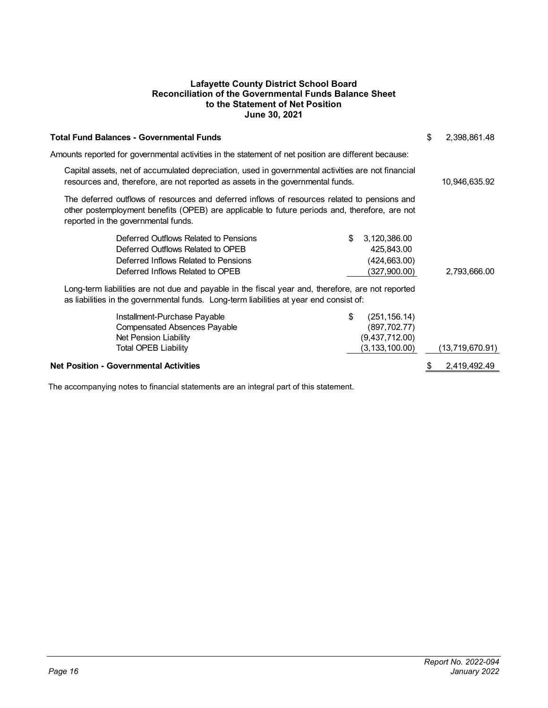#### **Lafayette County District School Board Reconciliation of the Governmental Funds Balance Sheet to the Statement of Net Position June 30, 2021**

<span id="page-21-0"></span>

| Total Fund Balances - Governmental Funds                                                                                                                                                                                                                                                                                         | \$<br>2,398,861.48 |
|----------------------------------------------------------------------------------------------------------------------------------------------------------------------------------------------------------------------------------------------------------------------------------------------------------------------------------|--------------------|
| Amounts reported for governmental activities in the statement of net position are different because:                                                                                                                                                                                                                             |                    |
| Capital assets, net of accumulated depreciation, used in governmental activities are not financial<br>resources and, therefore, are not reported as assets in the governmental funds.                                                                                                                                            | 10,946,635.92      |
| The deferred outflows of resources and deferred inflows of resources related to pensions and<br>other postemployment benefits (OPEB) are applicable to future periods and, therefore, are not<br>reported in the governmental funds.                                                                                             |                    |
| Deferred Outflows Related to Pensions<br>\$<br>3,120,386.00<br>Deferred Outflows Related to OPEB<br>425,843.00<br>(424, 663.00)<br>Deferred Inflows Related to Pensions<br>Deferred Inflows Related to OPEB<br>(327,900.00)<br>Long-term liabilities are not due and payable in the fiscal year and, therefore, are not reported | 2,793,666.00       |
| as liabilities in the governmental funds. Long-term liabilities at year end consist of:<br>\$<br>Installment-Purchase Payable<br>(251, 156.14)<br>(897, 702.77)<br><b>Compensated Absences Payable</b><br>(9,437,712.00)<br>Net Pension Liability<br><b>Total OPEB Liability</b><br>(3, 133, 100.00)                             | (13,719,670.91)    |
| <b>Net Position - Governmental Activities</b>                                                                                                                                                                                                                                                                                    | 2,419,492.49       |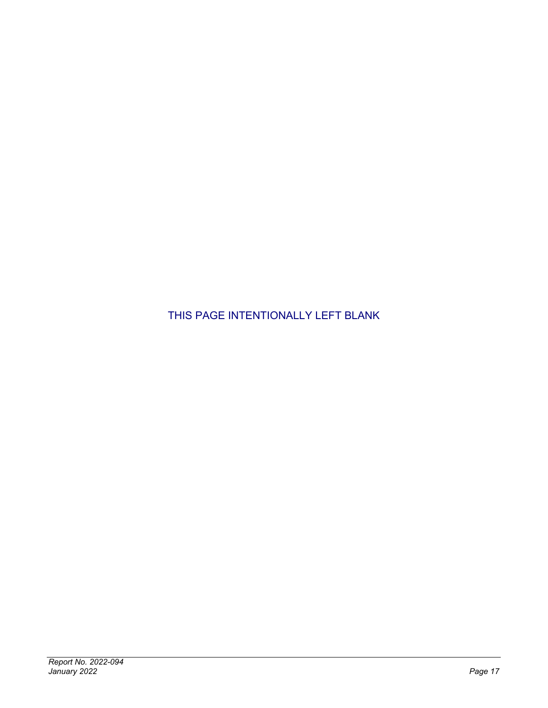THIS PAGE INTENTIONALLY LEFT BLANK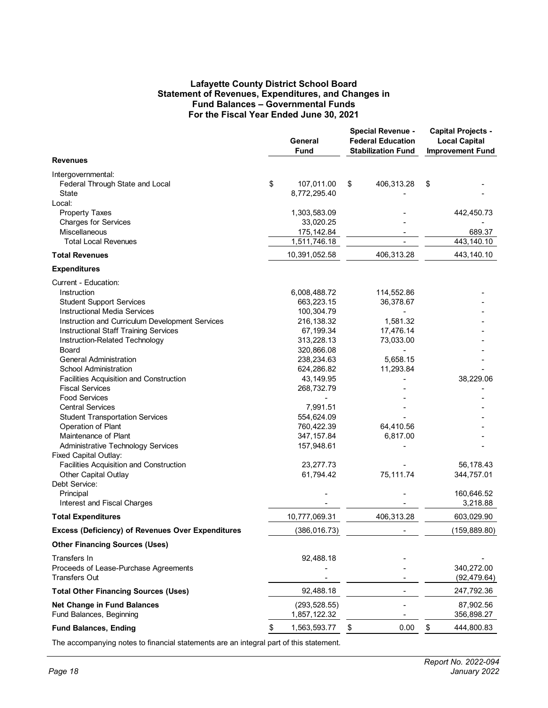#### **Lafayette County District School Board Statement of Revenues, Expenditures, and Changes in Fund Balances – Governmental Funds For the Fiscal Year Ended June 30, 2021**

<span id="page-23-0"></span>

|                                                                   | General<br><b>Fund</b>  | <b>Special Revenue -</b><br><b>Federal Education</b><br><b>Stabilization Fund</b> |            | <b>Capital Projects -</b><br><b>Local Capital</b><br><b>Improvement Fund</b> |               |
|-------------------------------------------------------------------|-------------------------|-----------------------------------------------------------------------------------|------------|------------------------------------------------------------------------------|---------------|
| <b>Revenues</b>                                                   |                         |                                                                                   |            |                                                                              |               |
| Intergovernmental:                                                |                         |                                                                                   |            |                                                                              |               |
| Federal Through State and Local                                   | \$<br>107,011.00        | \$                                                                                | 406,313.28 | \$                                                                           |               |
| <b>State</b>                                                      | 8,772,295.40            |                                                                                   |            |                                                                              |               |
| Local:                                                            |                         |                                                                                   |            |                                                                              |               |
| <b>Property Taxes</b>                                             | 1,303,583.09            |                                                                                   |            |                                                                              | 442,450.73    |
| <b>Charges for Services</b>                                       | 33,020.25               |                                                                                   |            |                                                                              |               |
| Miscellaneous                                                     | 175, 142.84             |                                                                                   |            |                                                                              | 689.37        |
| <b>Total Local Revenues</b>                                       | 1,511,746.18            |                                                                                   |            |                                                                              | 443,140.10    |
| <b>Total Revenues</b>                                             | 10,391,052.58           |                                                                                   | 406,313.28 |                                                                              | 443,140.10    |
| <b>Expenditures</b>                                               |                         |                                                                                   |            |                                                                              |               |
| Current - Education:                                              |                         |                                                                                   |            |                                                                              |               |
| Instruction                                                       | 6,008,488.72            |                                                                                   | 114,552.86 |                                                                              |               |
| <b>Student Support Services</b>                                   | 663,223.15              |                                                                                   | 36,378.67  |                                                                              |               |
| <b>Instructional Media Services</b>                               | 100,304.79              |                                                                                   |            |                                                                              |               |
| Instruction and Curriculum Development Services                   | 216, 138.32             |                                                                                   | 1,581.32   |                                                                              |               |
| <b>Instructional Staff Training Services</b>                      | 67,199.34               |                                                                                   | 17,476.14  |                                                                              |               |
| Instruction-Related Technology                                    | 313,228.13              |                                                                                   | 73,033.00  |                                                                              |               |
| Board                                                             | 320,866.08              |                                                                                   |            |                                                                              |               |
| <b>General Administration</b>                                     | 238,234.63              |                                                                                   | 5,658.15   |                                                                              |               |
| School Administration                                             | 624,286.82              |                                                                                   | 11,293.84  |                                                                              |               |
| Facilities Acquisition and Construction<br><b>Fiscal Services</b> | 43,149.95<br>268,732.79 |                                                                                   |            |                                                                              | 38,229.06     |
| <b>Food Services</b>                                              |                         |                                                                                   |            |                                                                              |               |
| <b>Central Services</b>                                           | 7,991.51                |                                                                                   |            |                                                                              |               |
| <b>Student Transportation Services</b>                            | 554,624.09              |                                                                                   |            |                                                                              |               |
| Operation of Plant                                                | 760,422.39              |                                                                                   | 64,410.56  |                                                                              |               |
| Maintenance of Plant                                              | 347, 157.84             |                                                                                   | 6,817.00   |                                                                              |               |
| Administrative Technology Services                                | 157,948.61              |                                                                                   |            |                                                                              |               |
| Fixed Capital Outlay:                                             |                         |                                                                                   |            |                                                                              |               |
| Facilities Acquisition and Construction                           | 23,277.73               |                                                                                   |            |                                                                              | 56,178.43     |
| Other Capital Outlay                                              | 61,794.42               |                                                                                   | 75,111.74  |                                                                              | 344,757.01    |
| Debt Service:                                                     |                         |                                                                                   |            |                                                                              |               |
| Principal                                                         |                         |                                                                                   |            |                                                                              | 160,646.52    |
| Interest and Fiscal Charges                                       |                         |                                                                                   |            |                                                                              | 3,218.88      |
| <b>Total Expenditures</b>                                         | 10,777,069.31           |                                                                                   | 406,313.28 |                                                                              | 603,029.90    |
| <b>Excess (Deficiency) of Revenues Over Expenditures</b>          | (386,0 <u>16.73)</u>    |                                                                                   |            |                                                                              | (159, 889.80) |
| <b>Other Financing Sources (Uses)</b>                             |                         |                                                                                   |            |                                                                              |               |
| Transfers In                                                      | 92,488.18               |                                                                                   |            |                                                                              |               |
| Proceeds of Lease-Purchase Agreements                             |                         |                                                                                   |            |                                                                              | 340,272.00    |
| <b>Transfers Out</b>                                              |                         |                                                                                   |            |                                                                              | (92, 479.64)  |
| <b>Total Other Financing Sources (Uses)</b>                       | 92,488.18               |                                                                                   |            |                                                                              | 247,792.36    |
| <b>Net Change in Fund Balances</b>                                | (293, 528.55)           |                                                                                   |            |                                                                              | 87,902.56     |
| Fund Balances, Beginning                                          | 1,857,122.32            |                                                                                   |            |                                                                              | 356,898.27    |
| <b>Fund Balances, Ending</b>                                      | \$<br>1,563,593.77      | \$                                                                                | 0.00       | \$                                                                           | 444,800.83    |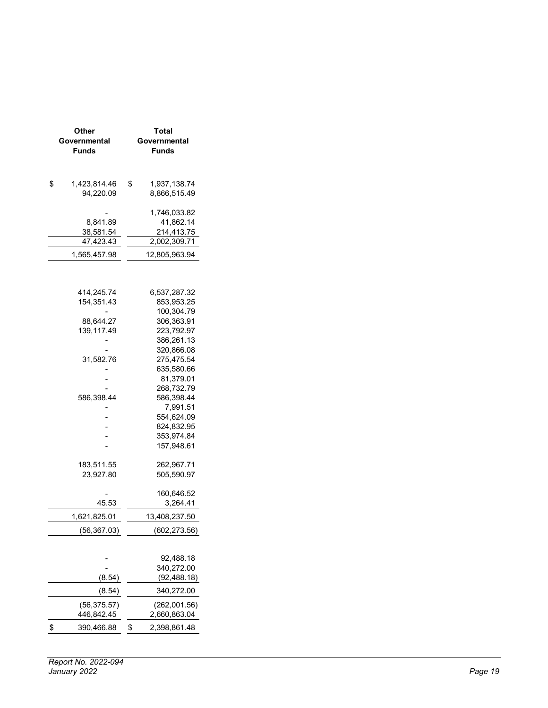| Other<br>Governmental<br><b>Funds</b> | Total<br>Governmental<br>Funds |
|---------------------------------------|--------------------------------|
|                                       |                                |
|                                       |                                |
| \$<br>1,423,814.46                    | \$<br>1,937,138.74             |
| 94,220.09                             | 8,866,515.49                   |
|                                       | 1,746,033.82                   |
| 8,841.89                              | 41,862.14                      |
| 38,581.54                             | 214,413.75                     |
| 47,423.43                             | 2,002,309.71                   |
| 1,565,457.98                          | 12,805,963.94                  |
|                                       |                                |
|                                       |                                |
| 414,245.74                            | 6,537,287.32                   |
| 154,351.43                            | 853,953.25                     |
|                                       | 100,304.79                     |
| 88,644.27                             | 306,363.91                     |
| 139,117.49                            | 223,792.97                     |
|                                       | 386,261.13                     |
|                                       | 320,866.08                     |
| 31,582.76                             | 275,475.54                     |
|                                       | 635,580.66<br>81,379.01        |
|                                       | 268,732.79                     |
| 586,398.44                            | 586,398.44                     |
|                                       | 7,991.51                       |
|                                       | 554,624.09                     |
|                                       | 824,832.95                     |
|                                       | 353,974.84                     |
|                                       | 157,948.61                     |
|                                       |                                |
| 183,511.55                            | 262,967.71                     |
| 23,927.80                             | 505,590.97                     |
|                                       | 160,646.52                     |
| 45.53                                 | 3,264.41                       |
| 1,621,825.01                          | 13,408,237.50                  |
| (56, 367.03)                          | (602,273.56)                   |
|                                       |                                |
|                                       | 92,488.18                      |
|                                       | 340,272.00                     |
| (8.54)                                | (92, 488.18)                   |
| (8.54)                                | 340,272.00                     |
| (56, 375.57)                          | (262,001.56)                   |
| 446,842.45                            | 2,660,863.04                   |
| \$<br>390,466.88                      | \$<br>2,398,861.48             |
|                                       |                                |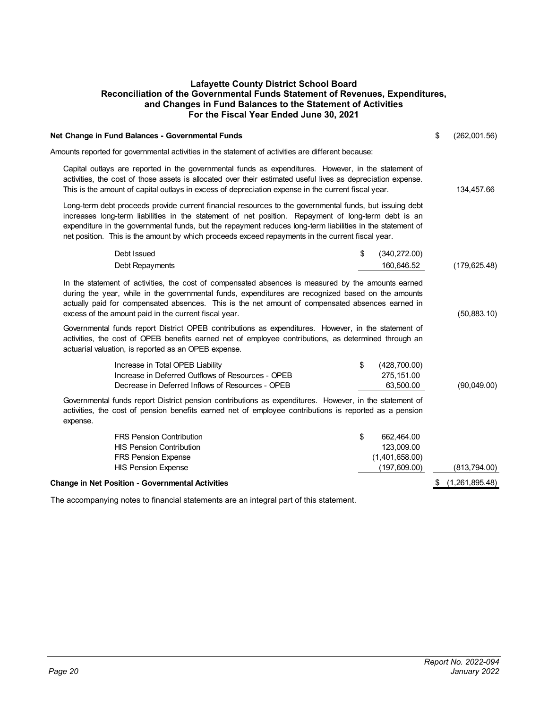#### <span id="page-25-0"></span>**Lafayette County District School Board Reconciliation of the Governmental Funds Statement of Revenues, Expenditures, and Changes in Fund Balances to the Statement of Activities For the Fiscal Year Ended June 30, 2021**

| Net Change in Fund Balances - Governmental Funds                                                                                                                                                                                                                                                                                                                                                                                 | \$<br>(262,001.56) |
|----------------------------------------------------------------------------------------------------------------------------------------------------------------------------------------------------------------------------------------------------------------------------------------------------------------------------------------------------------------------------------------------------------------------------------|--------------------|
| Amounts reported for governmental activities in the statement of activities are different because:                                                                                                                                                                                                                                                                                                                               |                    |
| Capital outlays are reported in the governmental funds as expenditures. However, in the statement of<br>activities, the cost of those assets is allocated over their estimated useful lives as depreciation expense.<br>This is the amount of capital outlays in excess of depreciation expense in the current fiscal year.                                                                                                      | 134,457.66         |
| Long-term debt proceeds provide current financial resources to the governmental funds, but issuing debt<br>increases long-term liabilities in the statement of net position. Repayment of long-term debt is an<br>expenditure in the governmental funds, but the repayment reduces long-term liabilities in the statement of<br>net position. This is the amount by which proceeds exceed repayments in the current fiscal year. |                    |
| Debt Issued<br>\$<br>(340, 272.00)<br>Debt Repayments<br>160,646.52                                                                                                                                                                                                                                                                                                                                                              | (179, 625.48)      |
| In the statement of activities, the cost of compensated absences is measured by the amounts earned<br>during the year, while in the governmental funds, expenditures are recognized based on the amounts<br>actually paid for compensated absences. This is the net amount of compensated absences earned in<br>excess of the amount paid in the current fiscal year.                                                            | (50, 883.10)       |
| Governmental funds report District OPEB contributions as expenditures. However, in the statement of<br>activities, the cost of OPEB benefits earned net of employee contributions, as determined through an<br>actuarial valuation, is reported as an OPEB expense.                                                                                                                                                              |                    |
| Increase in Total OPEB Liability<br>\$<br>(428,700.00)<br>Increase in Deferred Outflows of Resources - OPEB<br>275,151.00<br>Decrease in Deferred Inflows of Resources - OPEB<br>63,500.00                                                                                                                                                                                                                                       | (90,049.00)        |
| Governmental funds report District pension contributions as expenditures. However, in the statement of<br>activities, the cost of pension benefits earned net of employee contributions is reported as a pension<br>expense.                                                                                                                                                                                                     |                    |
| <b>FRS Pension Contribution</b><br>\$<br>662,464.00<br>123,009.00<br><b>HIS Pension Contribution</b><br>(1,401,658.00)<br><b>FRS Pension Expense</b><br>(197, 609.00)<br><b>HIS Pension Expense</b>                                                                                                                                                                                                                              | (813, 794.00)      |
| <b>Change in Net Position - Governmental Activities</b>                                                                                                                                                                                                                                                                                                                                                                          | (1,261,895.48)     |
|                                                                                                                                                                                                                                                                                                                                                                                                                                  |                    |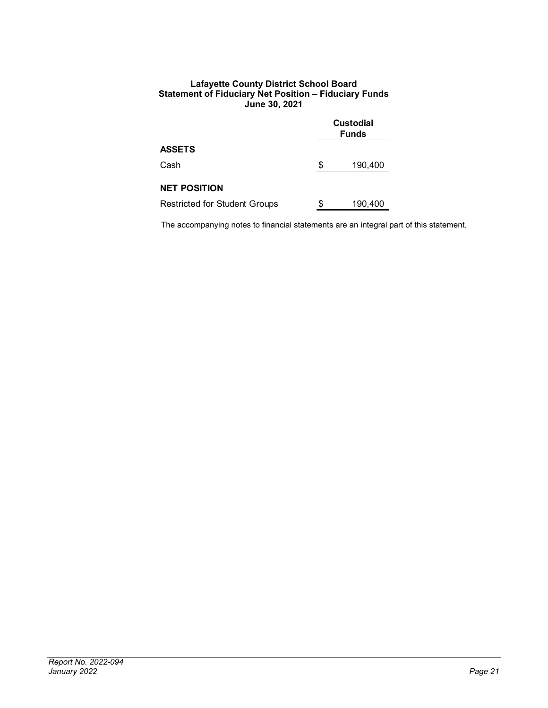#### <span id="page-26-0"></span>**Lafayette County District School Board Statement of Fiduciary Net Position – Fiduciary Funds June 30, 2021**

|                                      | <b>Custodial</b><br><b>Funds</b> |         |  |  |
|--------------------------------------|----------------------------------|---------|--|--|
| <b>ASSETS</b>                        |                                  |         |  |  |
| Cash                                 | \$<br>190,400                    |         |  |  |
| <b>NET POSITION</b>                  |                                  |         |  |  |
| <b>Restricted for Student Groups</b> | \$                               | 190,400 |  |  |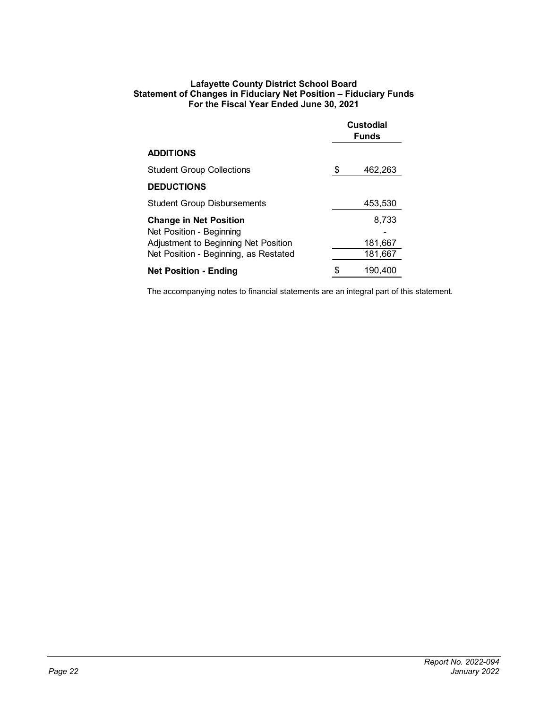#### <span id="page-27-0"></span>**Lafayette County District School Board Statement of Changes in Fiduciary Net Position – Fiduciary Funds For the Fiscal Year Ended June 30, 2021**

|                                                                               | <b>Custodial</b><br><b>Funds</b> |                    |  |
|-------------------------------------------------------------------------------|----------------------------------|--------------------|--|
| <b>ADDITIONS</b>                                                              |                                  |                    |  |
| <b>Student Group Collections</b>                                              | S                                | 462,263            |  |
| <b>DEDUCTIONS</b>                                                             |                                  |                    |  |
| <b>Student Group Disbursements</b>                                            |                                  | 453,530            |  |
| <b>Change in Net Position</b><br>Net Position - Beginning                     |                                  | 8,733              |  |
| Adjustment to Beginning Net Position<br>Net Position - Beginning, as Restated |                                  | 181,667<br>181,667 |  |
| <b>Net Position - Ending</b>                                                  | \$                               | 190.400            |  |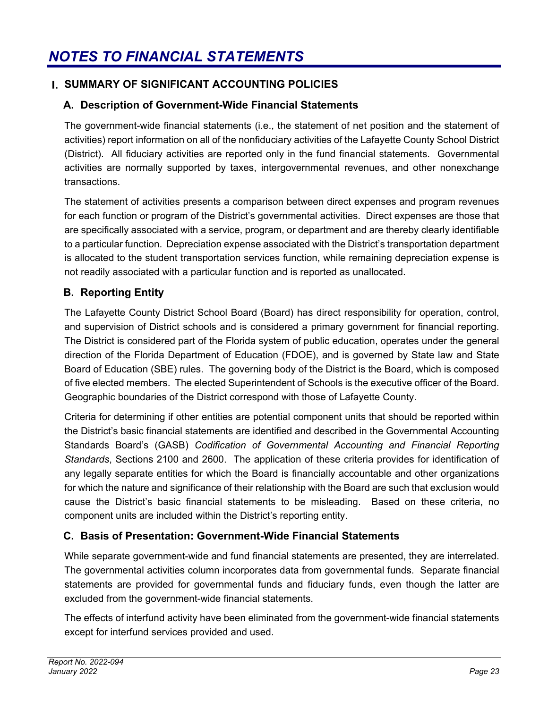#### <span id="page-28-0"></span> **SUMMARY OF SIGNIFICANT ACCOUNTING POLICIES**

#### **A. Description of Government-Wide Financial Statements**

The government-wide financial statements (i.e., the statement of net position and the statement of activities) report information on all of the nonfiduciary activities of the Lafayette County School District (District). All fiduciary activities are reported only in the fund financial statements. Governmental activities are normally supported by taxes, intergovernmental revenues, and other nonexchange transactions.

The statement of activities presents a comparison between direct expenses and program revenues for each function or program of the District's governmental activities. Direct expenses are those that are specifically associated with a service, program, or department and are thereby clearly identifiable to a particular function. Depreciation expense associated with the District's transportation department is allocated to the student transportation services function, while remaining depreciation expense is not readily associated with a particular function and is reported as unallocated.

#### **B. Reporting Entity**

The Lafayette County District School Board (Board) has direct responsibility for operation, control, and supervision of District schools and is considered a primary government for financial reporting. The District is considered part of the Florida system of public education, operates under the general direction of the Florida Department of Education (FDOE), and is governed by State law and State Board of Education (SBE) rules. The governing body of the District is the Board, which is composed of five elected members. The elected Superintendent of Schools is the executive officer of the Board. Geographic boundaries of the District correspond with those of Lafayette County.

Criteria for determining if other entities are potential component units that should be reported within the District's basic financial statements are identified and described in the Governmental Accounting Standards Board's (GASB) *Codification of Governmental Accounting and Financial Reporting Standards*, Sections 2100 and 2600. The application of these criteria provides for identification of any legally separate entities for which the Board is financially accountable and other organizations for which the nature and significance of their relationship with the Board are such that exclusion would cause the District's basic financial statements to be misleading. Based on these criteria, no component units are included within the District's reporting entity.

#### **C. Basis of Presentation: Government-Wide Financial Statements**

While separate government-wide and fund financial statements are presented, they are interrelated. The governmental activities column incorporates data from governmental funds. Separate financial statements are provided for governmental funds and fiduciary funds, even though the latter are excluded from the government-wide financial statements.

The effects of interfund activity have been eliminated from the government-wide financial statements except for interfund services provided and used.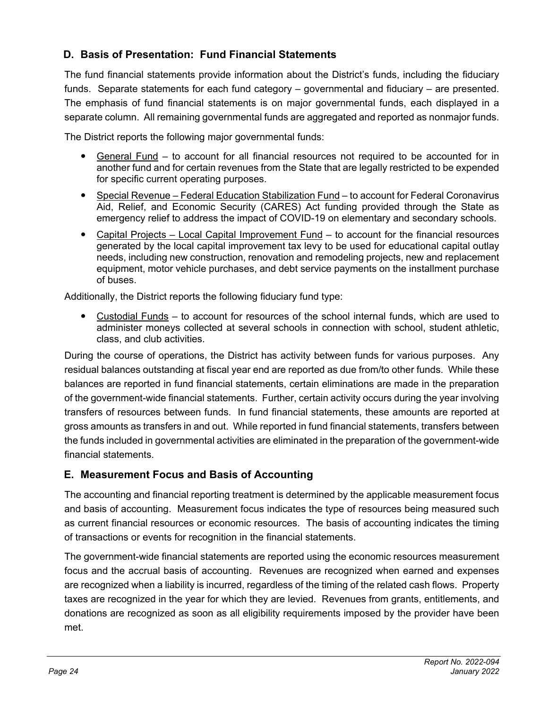### **D. Basis of Presentation: Fund Financial Statements**

The fund financial statements provide information about the District's funds, including the fiduciary funds. Separate statements for each fund category – governmental and fiduciary – are presented. The emphasis of fund financial statements is on major governmental funds, each displayed in a separate column. All remaining governmental funds are aggregated and reported as nonmajor funds.

The District reports the following major governmental funds:

- General Fund to account for all financial resources not required to be accounted for in another fund and for certain revenues from the State that are legally restricted to be expended for specific current operating purposes.
- Special Revenue Federal Education Stabilization Fund to account for Federal Coronavirus Aid, Relief, and Economic Security (CARES) Act funding provided through the State as emergency relief to address the impact of COVID-19 on elementary and secondary schools.
- Capital Projects Local Capital Improvement Fund to account for the financial resources generated by the local capital improvement tax levy to be used for educational capital outlay needs, including new construction, renovation and remodeling projects, new and replacement equipment, motor vehicle purchases, and debt service payments on the installment purchase of buses.

Additionally, the District reports the following fiduciary fund type:

 Custodial Funds – to account for resources of the school internal funds, which are used to administer moneys collected at several schools in connection with school, student athletic, class, and club activities.

During the course of operations, the District has activity between funds for various purposes. Any residual balances outstanding at fiscal year end are reported as due from/to other funds. While these balances are reported in fund financial statements, certain eliminations are made in the preparation of the government-wide financial statements. Further, certain activity occurs during the year involving transfers of resources between funds. In fund financial statements, these amounts are reported at gross amounts as transfers in and out. While reported in fund financial statements, transfers between the funds included in governmental activities are eliminated in the preparation of the government-wide financial statements.

#### **E. Measurement Focus and Basis of Accounting**

The accounting and financial reporting treatment is determined by the applicable measurement focus and basis of accounting. Measurement focus indicates the type of resources being measured such as current financial resources or economic resources. The basis of accounting indicates the timing of transactions or events for recognition in the financial statements.

The government-wide financial statements are reported using the economic resources measurement focus and the accrual basis of accounting. Revenues are recognized when earned and expenses are recognized when a liability is incurred, regardless of the timing of the related cash flows. Property taxes are recognized in the year for which they are levied. Revenues from grants, entitlements, and donations are recognized as soon as all eligibility requirements imposed by the provider have been met.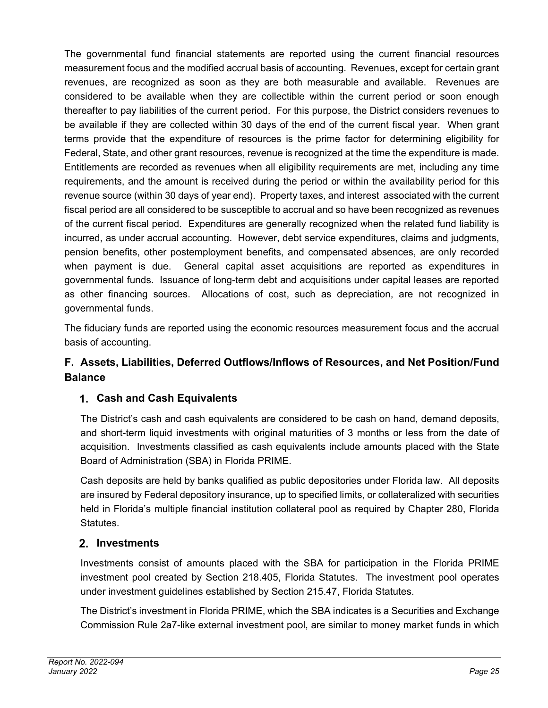The governmental fund financial statements are reported using the current financial resources measurement focus and the modified accrual basis of accounting. Revenues, except for certain grant revenues, are recognized as soon as they are both measurable and available. Revenues are considered to be available when they are collectible within the current period or soon enough thereafter to pay liabilities of the current period. For this purpose, the District considers revenues to be available if they are collected within 30 days of the end of the current fiscal year. When grant terms provide that the expenditure of resources is the prime factor for determining eligibility for Federal, State, and other grant resources, revenue is recognized at the time the expenditure is made. Entitlements are recorded as revenues when all eligibility requirements are met, including any time requirements, and the amount is received during the period or within the availability period for this revenue source (within 30 days of year end). Property taxes, and interest associated with the current fiscal period are all considered to be susceptible to accrual and so have been recognized as revenues of the current fiscal period. Expenditures are generally recognized when the related fund liability is incurred, as under accrual accounting. However, debt service expenditures, claims and judgments, pension benefits, other postemployment benefits, and compensated absences, are only recorded when payment is due. General capital asset acquisitions are reported as expenditures in governmental funds. Issuance of long-term debt and acquisitions under capital leases are reported as other financing sources. Allocations of cost, such as depreciation, are not recognized in governmental funds.

The fiduciary funds are reported using the economic resources measurement focus and the accrual basis of accounting.

## **F. Assets, Liabilities, Deferred Outflows/Inflows of Resources, and Net Position/Fund Balance**

## **Cash and Cash Equivalents**

The District's cash and cash equivalents are considered to be cash on hand, demand deposits, and short-term liquid investments with original maturities of 3 months or less from the date of acquisition. Investments classified as cash equivalents include amounts placed with the State Board of Administration (SBA) in Florida PRIME.

Cash deposits are held by banks qualified as public depositories under Florida law. All deposits are insured by Federal depository insurance, up to specified limits, or collateralized with securities held in Florida's multiple financial institution collateral pool as required by Chapter 280, Florida Statutes.

## **Investments**

Investments consist of amounts placed with the SBA for participation in the Florida PRIME investment pool created by Section 218.405, Florida Statutes. The investment pool operates under investment guidelines established by Section 215.47, Florida Statutes.

The District's investment in Florida PRIME, which the SBA indicates is a Securities and Exchange Commission Rule 2a7-like external investment pool, are similar to money market funds in which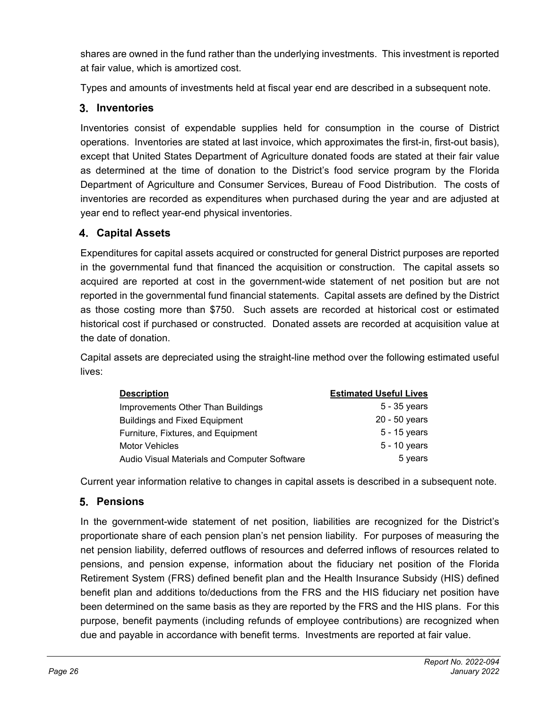shares are owned in the fund rather than the underlying investments. This investment is reported at fair value, which is amortized cost.

Types and amounts of investments held at fiscal year end are described in a subsequent note.

#### **Inventories**

Inventories consist of expendable supplies held for consumption in the course of District operations. Inventories are stated at last invoice, which approximates the first-in, first-out basis), except that United States Department of Agriculture donated foods are stated at their fair value as determined at the time of donation to the District's food service program by the Florida Department of Agriculture and Consumer Services, Bureau of Food Distribution. The costs of inventories are recorded as expenditures when purchased during the year and are adjusted at year end to reflect year-end physical inventories.

### **Capital Assets**

Expenditures for capital assets acquired or constructed for general District purposes are reported in the governmental fund that financed the acquisition or construction. The capital assets so acquired are reported at cost in the government-wide statement of net position but are not reported in the governmental fund financial statements. Capital assets are defined by the District as those costing more than \$750. Such assets are recorded at historical cost or estimated historical cost if purchased or constructed. Donated assets are recorded at acquisition value at the date of donation.

Capital assets are depreciated using the straight-line method over the following estimated useful lives:

| <b>Description</b>                           | <b>Estimated Useful Lives</b> |
|----------------------------------------------|-------------------------------|
| Improvements Other Than Buildings            | 5 - 35 years                  |
| <b>Buildings and Fixed Equipment</b>         | 20 - 50 years                 |
| Furniture, Fixtures, and Equipment           | $5 - 15$ years                |
| Motor Vehicles                               | $5 - 10$ years                |
| Audio Visual Materials and Computer Software | 5 years                       |

Current year information relative to changes in capital assets is described in a subsequent note.

## **Pensions**

In the government-wide statement of net position, liabilities are recognized for the District's proportionate share of each pension plan's net pension liability. For purposes of measuring the net pension liability, deferred outflows of resources and deferred inflows of resources related to pensions, and pension expense, information about the fiduciary net position of the Florida Retirement System (FRS) defined benefit plan and the Health Insurance Subsidy (HIS) defined benefit plan and additions to/deductions from the FRS and the HIS fiduciary net position have been determined on the same basis as they are reported by the FRS and the HIS plans. For this purpose, benefit payments (including refunds of employee contributions) are recognized when due and payable in accordance with benefit terms. Investments are reported at fair value.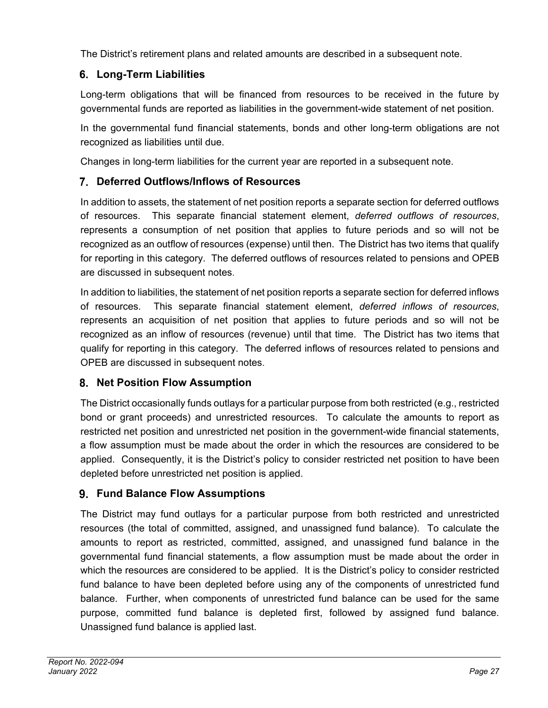The District's retirement plans and related amounts are described in a subsequent note.

## **Long-Term Liabilities**

Long-term obligations that will be financed from resources to be received in the future by governmental funds are reported as liabilities in the government-wide statement of net position.

In the governmental fund financial statements, bonds and other long-term obligations are not recognized as liabilities until due.

Changes in long-term liabilities for the current year are reported in a subsequent note.

## **Deferred Outflows/Inflows of Resources**

In addition to assets, the statement of net position reports a separate section for deferred outflows of resources. This separate financial statement element, *deferred outflows of resources*, represents a consumption of net position that applies to future periods and so will not be recognized as an outflow of resources (expense) until then. The District has two items that qualify for reporting in this category. The deferred outflows of resources related to pensions and OPEB are discussed in subsequent notes.

In addition to liabilities, the statement of net position reports a separate section for deferred inflows of resources. This separate financial statement element, *deferred inflows of resources*, represents an acquisition of net position that applies to future periods and so will not be recognized as an inflow of resources (revenue) until that time. The District has two items that qualify for reporting in this category. The deferred inflows of resources related to pensions and OPEB are discussed in subsequent notes.

## **Net Position Flow Assumption**

The District occasionally funds outlays for a particular purpose from both restricted (e.g., restricted bond or grant proceeds) and unrestricted resources. To calculate the amounts to report as restricted net position and unrestricted net position in the government-wide financial statements, a flow assumption must be made about the order in which the resources are considered to be applied. Consequently, it is the District's policy to consider restricted net position to have been depleted before unrestricted net position is applied.

## **Fund Balance Flow Assumptions**

The District may fund outlays for a particular purpose from both restricted and unrestricted resources (the total of committed, assigned, and unassigned fund balance). To calculate the amounts to report as restricted, committed, assigned, and unassigned fund balance in the governmental fund financial statements, a flow assumption must be made about the order in which the resources are considered to be applied. It is the District's policy to consider restricted fund balance to have been depleted before using any of the components of unrestricted fund balance. Further, when components of unrestricted fund balance can be used for the same purpose, committed fund balance is depleted first, followed by assigned fund balance. Unassigned fund balance is applied last.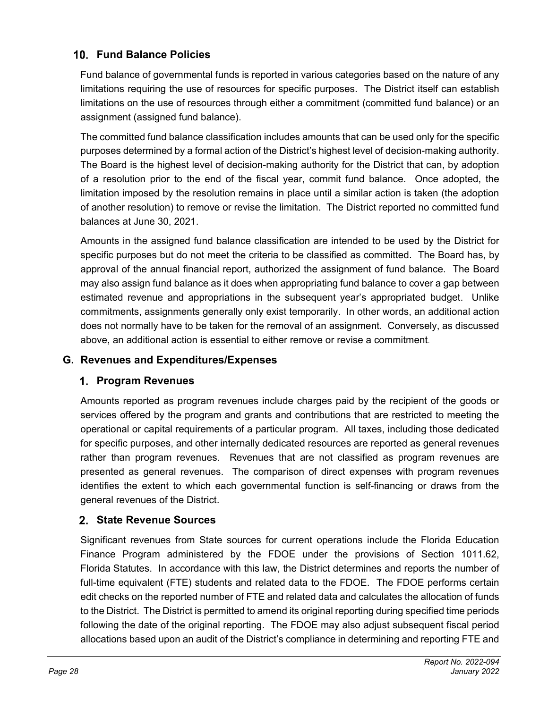## **Fund Balance Policies**

Fund balance of governmental funds is reported in various categories based on the nature of any limitations requiring the use of resources for specific purposes. The District itself can establish limitations on the use of resources through either a commitment (committed fund balance) or an assignment (assigned fund balance).

The committed fund balance classification includes amounts that can be used only for the specific purposes determined by a formal action of the District's highest level of decision-making authority. The Board is the highest level of decision-making authority for the District that can, by adoption of a resolution prior to the end of the fiscal year, commit fund balance. Once adopted, the limitation imposed by the resolution remains in place until a similar action is taken (the adoption of another resolution) to remove or revise the limitation. The District reported no committed fund balances at June 30, 2021.

Amounts in the assigned fund balance classification are intended to be used by the District for specific purposes but do not meet the criteria to be classified as committed. The Board has, by approval of the annual financial report, authorized the assignment of fund balance. The Board may also assign fund balance as it does when appropriating fund balance to cover a gap between estimated revenue and appropriations in the subsequent year's appropriated budget. Unlike commitments, assignments generally only exist temporarily. In other words, an additional action does not normally have to be taken for the removal of an assignment. Conversely, as discussed above, an additional action is essential to either remove or revise a commitment.

## **G. Revenues and Expenditures/Expenses**

#### **Program Revenues**

Amounts reported as program revenues include charges paid by the recipient of the goods or services offered by the program and grants and contributions that are restricted to meeting the operational or capital requirements of a particular program. All taxes, including those dedicated for specific purposes, and other internally dedicated resources are reported as general revenues rather than program revenues. Revenues that are not classified as program revenues are presented as general revenues. The comparison of direct expenses with program revenues identifies the extent to which each governmental function is self-financing or draws from the general revenues of the District.

## **State Revenue Sources**

Significant revenues from State sources for current operations include the Florida Education Finance Program administered by the FDOE under the provisions of Section 1011.62, Florida Statutes. In accordance with this law, the District determines and reports the number of full-time equivalent (FTE) students and related data to the FDOE. The FDOE performs certain edit checks on the reported number of FTE and related data and calculates the allocation of funds to the District. The District is permitted to amend its original reporting during specified time periods following the date of the original reporting. The FDOE may also adjust subsequent fiscal period allocations based upon an audit of the District's compliance in determining and reporting FTE and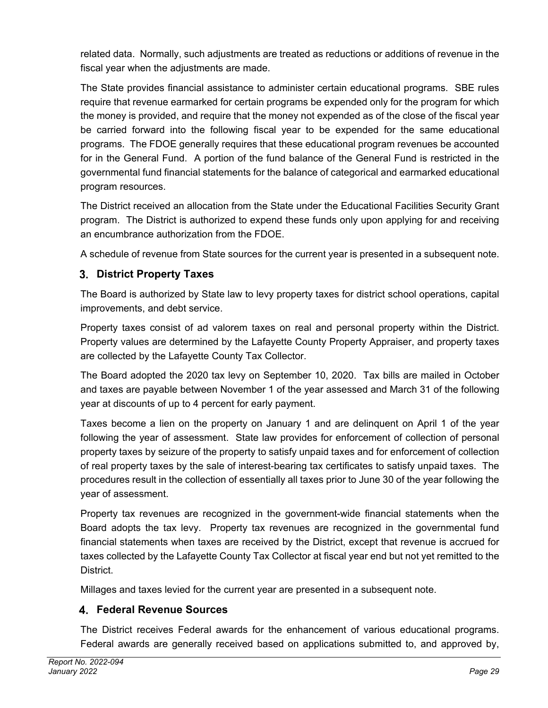related data. Normally, such adjustments are treated as reductions or additions of revenue in the fiscal year when the adjustments are made.

The State provides financial assistance to administer certain educational programs. SBE rules require that revenue earmarked for certain programs be expended only for the program for which the money is provided, and require that the money not expended as of the close of the fiscal year be carried forward into the following fiscal year to be expended for the same educational programs. The FDOE generally requires that these educational program revenues be accounted for in the General Fund. A portion of the fund balance of the General Fund is restricted in the governmental fund financial statements for the balance of categorical and earmarked educational program resources.

The District received an allocation from the State under the Educational Facilities Security Grant program. The District is authorized to expend these funds only upon applying for and receiving an encumbrance authorization from the FDOE.

A schedule of revenue from State sources for the current year is presented in a subsequent note.

## **District Property Taxes**

The Board is authorized by State law to levy property taxes for district school operations, capital improvements, and debt service.

Property taxes consist of ad valorem taxes on real and personal property within the District. Property values are determined by the Lafayette County Property Appraiser, and property taxes are collected by the Lafayette County Tax Collector.

The Board adopted the 2020 tax levy on September 10, 2020. Tax bills are mailed in October and taxes are payable between November 1 of the year assessed and March 31 of the following year at discounts of up to 4 percent for early payment.

Taxes become a lien on the property on January 1 and are delinquent on April 1 of the year following the year of assessment. State law provides for enforcement of collection of personal property taxes by seizure of the property to satisfy unpaid taxes and for enforcement of collection of real property taxes by the sale of interest-bearing tax certificates to satisfy unpaid taxes. The procedures result in the collection of essentially all taxes prior to June 30 of the year following the year of assessment.

Property tax revenues are recognized in the government-wide financial statements when the Board adopts the tax levy. Property tax revenues are recognized in the governmental fund financial statements when taxes are received by the District, except that revenue is accrued for taxes collected by the Lafayette County Tax Collector at fiscal year end but not yet remitted to the District.

Millages and taxes levied for the current year are presented in a subsequent note.

## **Federal Revenue Sources**

The District receives Federal awards for the enhancement of various educational programs. Federal awards are generally received based on applications submitted to, and approved by,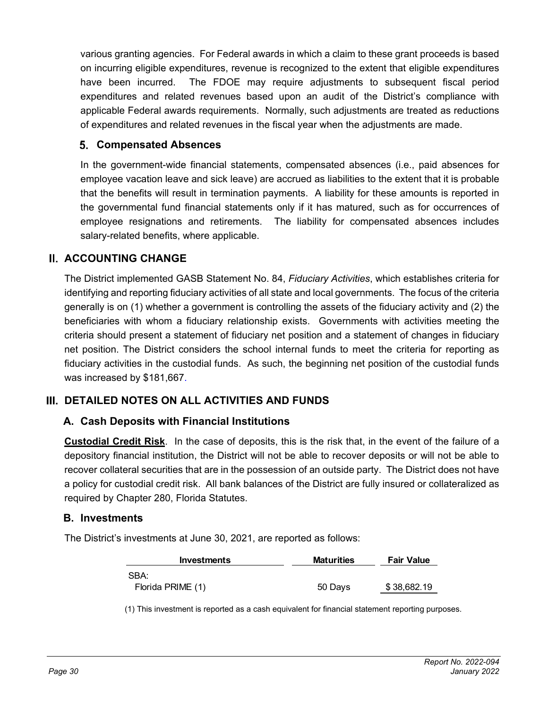various granting agencies. For Federal awards in which a claim to these grant proceeds is based on incurring eligible expenditures, revenue is recognized to the extent that eligible expenditures have been incurred. The FDOE may require adjustments to subsequent fiscal period expenditures and related revenues based upon an audit of the District's compliance with applicable Federal awards requirements. Normally, such adjustments are treated as reductions of expenditures and related revenues in the fiscal year when the adjustments are made.

#### **Compensated Absences**

In the government-wide financial statements, compensated absences (i.e., paid absences for employee vacation leave and sick leave) are accrued as liabilities to the extent that it is probable that the benefits will result in termination payments. A liability for these amounts is reported in the governmental fund financial statements only if it has matured, such as for occurrences of employee resignations and retirements. The liability for compensated absences includes salary-related benefits, where applicable.

#### **II. ACCOUNTING CHANGE**

The District implemented GASB Statement No. 84, *Fiduciary Activities*, which establishes criteria for identifying and reporting fiduciary activities of all state and local governments. The focus of the criteria generally is on (1) whether a government is controlling the assets of the fiduciary activity and (2) the beneficiaries with whom a fiduciary relationship exists. Governments with activities meeting the criteria should present a statement of fiduciary net position and a statement of changes in fiduciary net position. The District considers the school internal funds to meet the criteria for reporting as fiduciary activities in the custodial funds. As such, the beginning net position of the custodial funds was increased by \$181,667.

#### **DETAILED NOTES ON ALL ACTIVITIES AND FUNDS**

#### **A. Cash Deposits with Financial Institutions**

**Custodial Credit Risk**. In the case of deposits, this is the risk that, in the event of the failure of a depository financial institution, the District will not be able to recover deposits or will not be able to recover collateral securities that are in the possession of an outside party. The District does not have a policy for custodial credit risk. All bank balances of the District are fully insured or collateralized as required by Chapter 280, Florida Statutes.

#### **B. Investments**

The District's investments at June 30, 2021, are reported as follows:

| <b>Investments</b> | Maturities | <b>Fair Value</b> |
|--------------------|------------|-------------------|
| SBA:               |            |                   |
| Florida PRIME (1)  | 50 Days    | \$38,682.19       |

(1) This investment is reported as a cash equivalent for financial statement reporting purposes.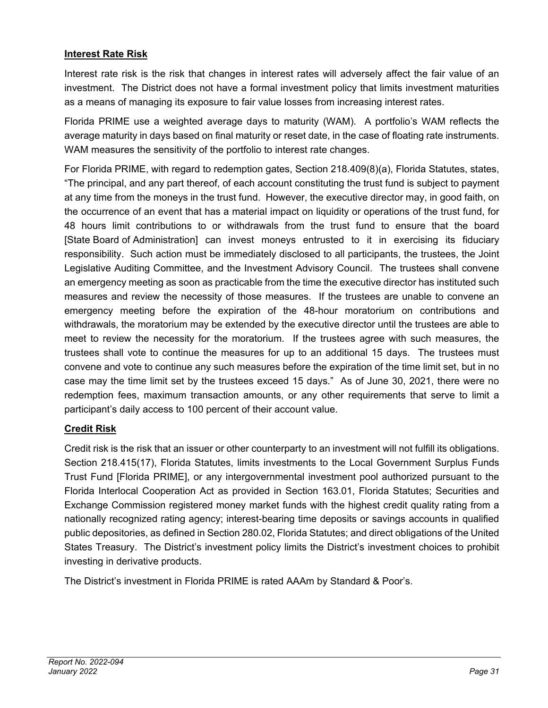#### **Interest Rate Risk**

Interest rate risk is the risk that changes in interest rates will adversely affect the fair value of an investment. The District does not have a formal investment policy that limits investment maturities as a means of managing its exposure to fair value losses from increasing interest rates.

Florida PRIME use a weighted average days to maturity (WAM). A portfolio's WAM reflects the average maturity in days based on final maturity or reset date, in the case of floating rate instruments. WAM measures the sensitivity of the portfolio to interest rate changes.

For Florida PRIME, with regard to redemption gates, Section 218.409(8)(a), Florida Statutes, states, "The principal, and any part thereof, of each account constituting the trust fund is subject to payment at any time from the moneys in the trust fund. However, the executive director may, in good faith, on the occurrence of an event that has a material impact on liquidity or operations of the trust fund, for 48 hours limit contributions to or withdrawals from the trust fund to ensure that the board [State Board of Administration] can invest moneys entrusted to it in exercising its fiduciary responsibility. Such action must be immediately disclosed to all participants, the trustees, the Joint Legislative Auditing Committee, and the Investment Advisory Council. The trustees shall convene an emergency meeting as soon as practicable from the time the executive director has instituted such measures and review the necessity of those measures. If the trustees are unable to convene an emergency meeting before the expiration of the 48-hour moratorium on contributions and withdrawals, the moratorium may be extended by the executive director until the trustees are able to meet to review the necessity for the moratorium. If the trustees agree with such measures, the trustees shall vote to continue the measures for up to an additional 15 days. The trustees must convene and vote to continue any such measures before the expiration of the time limit set, but in no case may the time limit set by the trustees exceed 15 days." As of June 30, 2021, there were no redemption fees, maximum transaction amounts, or any other requirements that serve to limit a participant's daily access to 100 percent of their account value.

#### **Credit Risk**

Credit risk is the risk that an issuer or other counterparty to an investment will not fulfill its obligations. Section 218.415(17), Florida Statutes, limits investments to the Local Government Surplus Funds Trust Fund [Florida PRIME], or any intergovernmental investment pool authorized pursuant to the Florida Interlocal Cooperation Act as provided in Section 163.01, Florida Statutes; Securities and Exchange Commission registered money market funds with the highest credit quality rating from a nationally recognized rating agency; interest-bearing time deposits or savings accounts in qualified public depositories, as defined in Section 280.02, Florida Statutes; and direct obligations of the United States Treasury. The District's investment policy limits the District's investment choices to prohibit investing in derivative products.

The District's investment in Florida PRIME is rated AAAm by Standard & Poor's.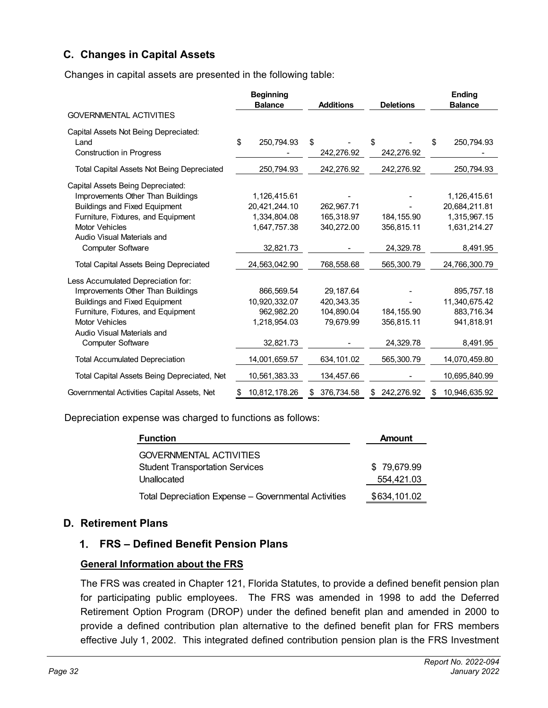### **C. Changes in Capital Assets**

Changes in capital assets are presented in the following table:

|                                                                                                                                                                                                                                                                                   | <b>Beginning</b><br><b>Balance</b>                                                          | <b>Additions</b>                                     | <b>Deletions</b>                                     | <b>Ending</b><br><b>Balance</b>                                                            |
|-----------------------------------------------------------------------------------------------------------------------------------------------------------------------------------------------------------------------------------------------------------------------------------|---------------------------------------------------------------------------------------------|------------------------------------------------------|------------------------------------------------------|--------------------------------------------------------------------------------------------|
| <b>GOVERNMENTAL ACTIVITIES</b>                                                                                                                                                                                                                                                    |                                                                                             |                                                      |                                                      |                                                                                            |
| Capital Assets Not Being Depreciated:<br>Land<br><b>Construction in Progress</b>                                                                                                                                                                                                  | \$<br>250,794.93                                                                            | \$<br>242,276.92                                     | \$<br>242,276.92                                     | \$<br>250,794.93                                                                           |
| <b>Total Capital Assets Not Being Depreciated</b>                                                                                                                                                                                                                                 | 250,794.93                                                                                  | 242,276.92                                           | 242,276.92                                           | 250,794.93                                                                                 |
| Capital Assets Being Depreciated:<br>Improvements Other Than Buildings<br><b>Buildings and Fixed Equipment</b><br>Furniture, Fixtures, and Equipment<br><b>Motor Vehicles</b><br>Audio Visual Materials and<br>Computer Software<br><b>Total Capital Assets Being Depreciated</b> | 1,126,415.61<br>20,421,244.10<br>1,334,804.08<br>1,647,757.38<br>32,821.73<br>24,563,042.90 | 262,967.71<br>165,318.97<br>340,272.00<br>768,558.68 | 184, 155.90<br>356,815.11<br>24,329.78<br>565,300.79 | 1,126,415.61<br>20,684,211.81<br>1,315,967.15<br>1,631,214.27<br>8,491.95<br>24,766,300.79 |
| Less Accumulated Depreciation for:                                                                                                                                                                                                                                                |                                                                                             |                                                      |                                                      |                                                                                            |
| Improvements Other Than Buildings<br><b>Buildings and Fixed Equipment</b><br>Furniture, Fixtures, and Equipment<br><b>Motor Vehicles</b><br>Audio Visual Materials and                                                                                                            | 866,569.54<br>10,920,332.07<br>962,982.20<br>1,218,954.03                                   | 29, 187.64<br>420,343.35<br>104,890.04<br>79,679.99  | 184, 155.90<br>356,815.11                            | 895,757.18<br>11,340,675.42<br>883,716.34<br>941,818.91                                    |
| Computer Software<br><b>Total Accumulated Depreciation</b>                                                                                                                                                                                                                        | 32,821.73<br>14,001,659.57                                                                  | 634, 101.02                                          | 24,329.78<br>565,300.79                              | 8,491.95<br>14,070,459.80                                                                  |
| Total Capital Assets Being Depreciated, Net                                                                                                                                                                                                                                       | 10,561,383.33                                                                               | 134,457.66                                           |                                                      | 10,695,840.99                                                                              |
| Governmental Activities Capital Assets, Net                                                                                                                                                                                                                                       | 10,812,178.26<br>\$.                                                                        | 376,734.58<br>\$                                     | 242,276.92<br>\$                                     | 10,946,635.92<br>\$                                                                        |

Depreciation expense was charged to functions as follows:

| <b>Function</b>                                      | Amount       |
|------------------------------------------------------|--------------|
| GOVERNMENTAL ACTIVITIES                              |              |
| <b>Student Transportation Services</b>               | \$79,679.99  |
| Unallocated                                          | 554,421.03   |
| Total Depreciation Expense - Governmental Activities | \$634,101.02 |

#### **D. Retirement Plans**

#### **FRS – Defined Benefit Pension Plans**

#### **General Information about the FRS**

The FRS was created in Chapter 121, Florida Statutes, to provide a defined benefit pension plan for participating public employees. The FRS was amended in 1998 to add the Deferred Retirement Option Program (DROP) under the defined benefit plan and amended in 2000 to provide a defined contribution plan alternative to the defined benefit plan for FRS members effective July 1, 2002. This integrated defined contribution pension plan is the FRS Investment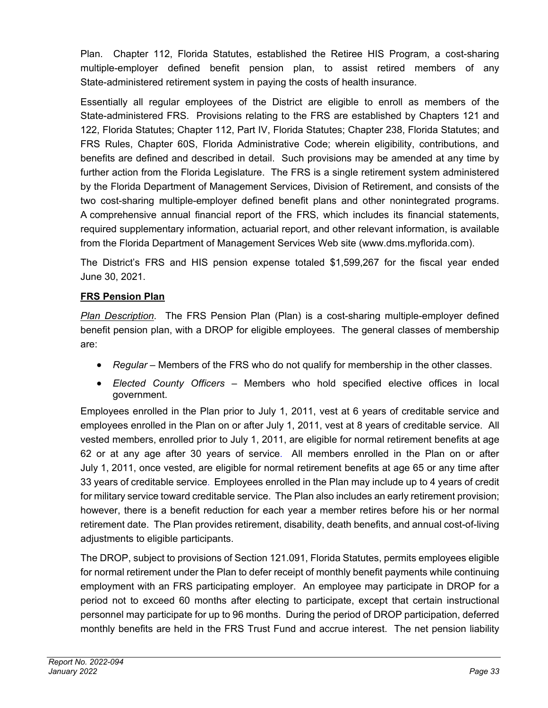Plan. Chapter 112, Florida Statutes, established the Retiree HIS Program, a cost-sharing multiple-employer defined benefit pension plan, to assist retired members of any State-administered retirement system in paying the costs of health insurance.

Essentially all regular employees of the District are eligible to enroll as members of the State-administered FRS. Provisions relating to the FRS are established by Chapters 121 and 122, Florida Statutes; Chapter 112, Part IV, Florida Statutes; Chapter 238, Florida Statutes; and FRS Rules, Chapter 60S, Florida Administrative Code; wherein eligibility, contributions, and benefits are defined and described in detail. Such provisions may be amended at any time by further action from the Florida Legislature. The FRS is a single retirement system administered by the Florida Department of Management Services, Division of Retirement, and consists of the two cost-sharing multiple-employer defined benefit plans and other nonintegrated programs. A comprehensive annual financial report of the FRS, which includes its financial statements, required supplementary information, actuarial report, and other relevant information, is available from the Florida Department of Management Services Web site (www.dms.myflorida.com).

The District's FRS and HIS pension expense totaled \$1,599,267 for the fiscal year ended June 30, 2021.

#### **FRS Pension Plan**

*Plan Description*. The FRS Pension Plan (Plan) is a cost-sharing multiple-employer defined benefit pension plan, with a DROP for eligible employees. The general classes of membership are:

- *Regular* Members of the FRS who do not qualify for membership in the other classes.
- *Elected County Officers* Members who hold specified elective offices in local government.

Employees enrolled in the Plan prior to July 1, 2011, vest at 6 years of creditable service and employees enrolled in the Plan on or after July 1, 2011, vest at 8 years of creditable service. All vested members, enrolled prior to July 1, 2011, are eligible for normal retirement benefits at age 62 or at any age after 30 years of service. All members enrolled in the Plan on or after July 1, 2011, once vested, are eligible for normal retirement benefits at age 65 or any time after 33 years of creditable service. Employees enrolled in the Plan may include up to 4 years of credit for military service toward creditable service. The Plan also includes an early retirement provision; however, there is a benefit reduction for each year a member retires before his or her normal retirement date. The Plan provides retirement, disability, death benefits, and annual cost-of-living adjustments to eligible participants.

The DROP, subject to provisions of Section 121.091, Florida Statutes, permits employees eligible for normal retirement under the Plan to defer receipt of monthly benefit payments while continuing employment with an FRS participating employer. An employee may participate in DROP for a period not to exceed 60 months after electing to participate, except that certain instructional personnel may participate for up to 96 months. During the period of DROP participation, deferred monthly benefits are held in the FRS Trust Fund and accrue interest. The net pension liability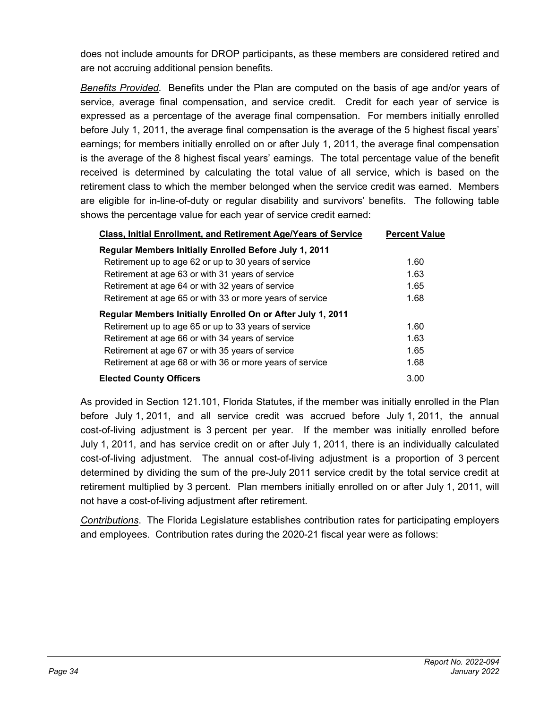does not include amounts for DROP participants, as these members are considered retired and are not accruing additional pension benefits.

*Benefits Provided*. Benefits under the Plan are computed on the basis of age and/or years of service, average final compensation, and service credit. Credit for each year of service is expressed as a percentage of the average final compensation. For members initially enrolled before July 1, 2011, the average final compensation is the average of the 5 highest fiscal years' earnings; for members initially enrolled on or after July 1, 2011, the average final compensation is the average of the 8 highest fiscal years' earnings. The total percentage value of the benefit received is determined by calculating the total value of all service, which is based on the retirement class to which the member belonged when the service credit was earned. Members are eligible for in-line-of-duty or regular disability and survivors' benefits. The following table shows the percentage value for each year of service credit earned:

| Class, Initial Enrollment, and Retirement Age/Years of Service | <b>Percent Value</b> |
|----------------------------------------------------------------|----------------------|
| <b>Regular Members Initially Enrolled Before July 1, 2011</b>  |                      |
| Retirement up to age 62 or up to 30 years of service           | 1.60                 |
| Retirement at age 63 or with 31 years of service               | 1.63                 |
| Retirement at age 64 or with 32 years of service               | 1.65                 |
| Retirement at age 65 or with 33 or more years of service       | 1.68                 |
| Regular Members Initially Enrolled On or After July 1, 2011    |                      |
| Retirement up to age 65 or up to 33 years of service           | 1.60                 |
| Retirement at age 66 or with 34 years of service               | 1.63                 |
| Retirement at age 67 or with 35 years of service               | 1.65                 |
| Retirement at age 68 or with 36 or more years of service       | 1.68                 |
| <b>Elected County Officers</b>                                 | 3.00                 |

As provided in Section 121.101, Florida Statutes, if the member was initially enrolled in the Plan before July 1, 2011, and all service credit was accrued before July 1, 2011, the annual cost-of-living adjustment is 3 percent per year. If the member was initially enrolled before July 1, 2011, and has service credit on or after July 1, 2011, there is an individually calculated cost-of-living adjustment. The annual cost-of-living adjustment is a proportion of 3 percent determined by dividing the sum of the pre-July 2011 service credit by the total service credit at retirement multiplied by 3 percent. Plan members initially enrolled on or after July 1, 2011, will not have a cost-of-living adjustment after retirement.

*Contributions*. The Florida Legislature establishes contribution rates for participating employers and employees. Contribution rates during the 2020-21 fiscal year were as follows: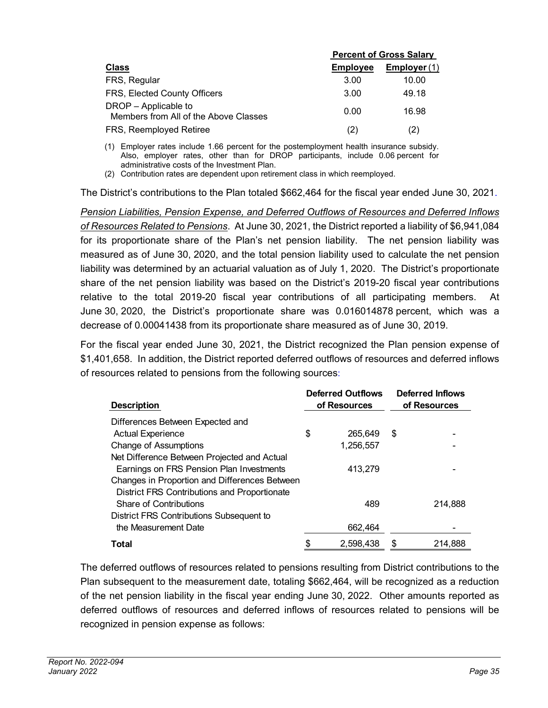|                                                               | <b>Percent of Gross Salary</b> |             |  |  |
|---------------------------------------------------------------|--------------------------------|-------------|--|--|
| <b>Class</b>                                                  | <b>Employee</b>                | Emplover(1) |  |  |
| FRS, Regular                                                  | 3.00                           | 10.00       |  |  |
| FRS, Elected County Officers                                  | 3.00                           | 49.18       |  |  |
| DROP - Applicable to<br>Members from All of the Above Classes | 0.00                           | 16.98       |  |  |
| FRS, Reemployed Retiree                                       | (2)                            |             |  |  |

(1) Employer rates include 1.66 percent for the postemployment health insurance subsidy. Also, employer rates, other than for DROP participants, include 0.06 percent for administrative costs of the Investment Plan.

(2) Contribution rates are dependent upon retirement class in which reemployed.

The District's contributions to the Plan totaled \$662,464 for the fiscal year ended June 30, 2021.

*Pension Liabilities, Pension Expense, and Deferred Outflows of Resources and Deferred Inflows of Resources Related to Pensions*. At June 30, 2021, the District reported a liability of \$6,941,084 for its proportionate share of the Plan's net pension liability. The net pension liability was measured as of June 30, 2020, and the total pension liability used to calculate the net pension liability was determined by an actuarial valuation as of July 1, 2020. The District's proportionate share of the net pension liability was based on the District's 2019-20 fiscal year contributions relative to the total 2019-20 fiscal year contributions of all participating members. At June 30, 2020, the District's proportionate share was 0.016014878 percent, which was a decrease of 0.00041438 from its proportionate share measured as of June 30, 2019.

For the fiscal year ended June 30, 2021, the District recognized the Plan pension expense of \$1,401,658. In addition, the District reported deferred outflows of resources and deferred inflows of resources related to pensions from the following sources:

| <b>Description</b>                            | <b>Deferred Outflows</b><br>of Resources |           | <b>Deferred Inflows</b><br>of Resources |         |
|-----------------------------------------------|------------------------------------------|-----------|-----------------------------------------|---------|
|                                               |                                          |           |                                         |         |
| Differences Between Expected and              |                                          |           |                                         |         |
| <b>Actual Experience</b>                      | \$                                       | 265,649   | \$                                      |         |
| Change of Assumptions                         |                                          | 1,256,557 |                                         |         |
| Net Difference Between Projected and Actual   |                                          |           |                                         |         |
| Earnings on FRS Pension Plan Investments      |                                          | 413.279   |                                         |         |
| Changes in Proportion and Differences Between |                                          |           |                                         |         |
| District FRS Contributions and Proportionate  |                                          |           |                                         |         |
| <b>Share of Contributions</b>                 |                                          | 489       |                                         | 214,888 |
| District FRS Contributions Subsequent to      |                                          |           |                                         |         |
| the Measurement Date                          |                                          | 662,464   |                                         |         |
| Total                                         |                                          | 2,598,438 | \$                                      | 214,888 |

The deferred outflows of resources related to pensions resulting from District contributions to the Plan subsequent to the measurement date, totaling \$662,464, will be recognized as a reduction of the net pension liability in the fiscal year ending June 30, 2022. Other amounts reported as deferred outflows of resources and deferred inflows of resources related to pensions will be recognized in pension expense as follows: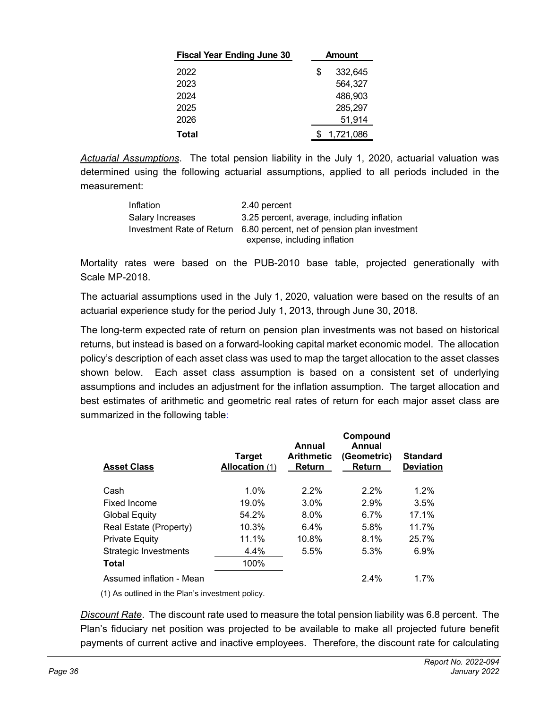| <b>Fiscal Year Ending June 30</b> |    | <b>Amount</b> |  |  |
|-----------------------------------|----|---------------|--|--|
| 2022                              | \$ | 332.645       |  |  |
| 2023                              |    | 564,327       |  |  |
| 2024                              |    | 486,903       |  |  |
| 2025                              |    | 285,297       |  |  |
| 2026                              |    | 51,914        |  |  |
| Total                             |    | 1,721,086     |  |  |

*Actuarial Assumptions*. The total pension liability in the July 1, 2020, actuarial valuation was determined using the following actuarial assumptions, applied to all periods included in the measurement:

| Inflation        | 2.40 percent                                                           |
|------------------|------------------------------------------------------------------------|
| Salary Increases | 3.25 percent, average, including inflation                             |
|                  | Investment Rate of Return 6.80 percent, net of pension plan investment |
|                  | expense, including inflation                                           |

Mortality rates were based on the PUB-2010 base table, projected generationally with Scale MP-2018.

The actuarial assumptions used in the July 1, 2020, valuation were based on the results of an actuarial experience study for the period July 1, 2013, through June 30, 2018.

The long-term expected rate of return on pension plan investments was not based on historical returns, but instead is based on a forward-looking capital market economic model. The allocation policy's description of each asset class was used to map the target allocation to the asset classes shown below. Each asset class assumption is based on a consistent set of underlying assumptions and includes an adjustment for the inflation assumption. The target allocation and best estimates of arithmetic and geometric real rates of return for each major asset class are summarized in the following table:

| <b>Asset Class</b>           | <b>Target</b><br><b>Allocation (1)</b> | Annual<br><b>Arithmetic</b><br>Return | Compound<br>Annual<br>(Geometric)<br>Return | <b>Standard</b><br><b>Deviation</b> |
|------------------------------|----------------------------------------|---------------------------------------|---------------------------------------------|-------------------------------------|
| Cash                         | $1.0\%$                                | 2.2%                                  | 2.2%                                        | 1.2%                                |
| Fixed Income                 | 19.0%                                  | 3.0%                                  | 2.9%                                        | 3.5%                                |
| <b>Global Equity</b>         | 54.2%                                  | 8.0%                                  | 6.7%                                        | 17.1%                               |
| Real Estate (Property)       | 10.3%                                  | 6.4%                                  | 5.8%                                        | 11.7%                               |
| <b>Private Equity</b>        | 11.1%                                  | 10.8%                                 | 8.1%                                        | 25.7%                               |
| <b>Strategic Investments</b> | 4.4%                                   | 5.5%                                  | 5.3%                                        | 6.9%                                |
| <b>Total</b>                 | 100%                                   |                                       |                                             |                                     |
| Assumed inflation - Mean     |                                        |                                       | 2.4%                                        | $1.7\%$                             |

(1) As outlined in the Plan's investment policy.

*Discount Rate*. The discount rate used to measure the total pension liability was 6.8 percent. The Plan's fiduciary net position was projected to be available to make all projected future benefit payments of current active and inactive employees. Therefore, the discount rate for calculating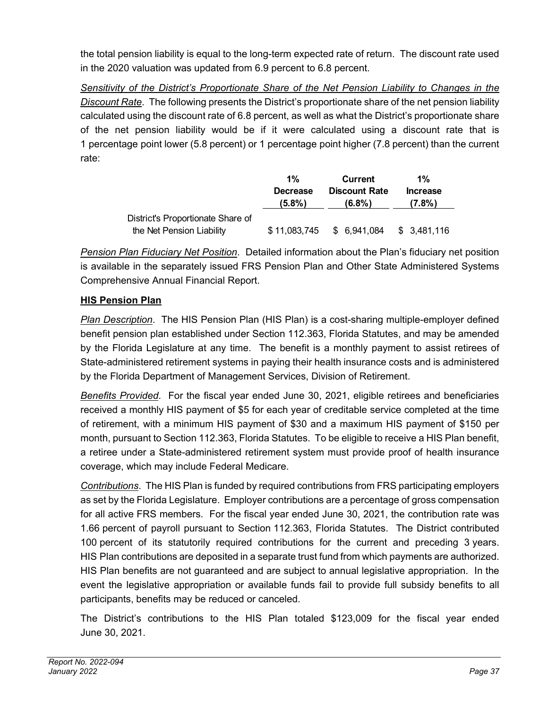the total pension liability is equal to the long-term expected rate of return. The discount rate used in the 2020 valuation was updated from 6.9 percent to 6.8 percent.

*Sensitivity of the District's Proportionate Share of the Net Pension Liability to Changes in the Discount Rate*. The following presents the District's proportionate share of the net pension liability calculated using the discount rate of 6.8 percent, as well as what the District's proportionate share of the net pension liability would be if it were calculated using a discount rate that is 1 percentage point lower (5.8 percent) or 1 percentage point higher (7.8 percent) than the current rate:

|                                   | $1\%$                        | <b>Current</b>                    | 1%                           |
|-----------------------------------|------------------------------|-----------------------------------|------------------------------|
|                                   | <b>Decrease</b><br>$(5.8\%)$ | <b>Discount Rate</b><br>$(6.8\%)$ | <b>Increase</b><br>$(7.8\%)$ |
| District's Proportionate Share of |                              |                                   |                              |
| the Net Pension Liability         | \$11,083,745                 | \$ 6,941,084                      | \$ 3,481,116                 |

*Pension Plan Fiduciary Net Position*. Detailed information about the Plan's fiduciary net position is available in the separately issued FRS Pension Plan and Other State Administered Systems Comprehensive Annual Financial Report.

#### **HIS Pension Plan**

*Plan Description*. The HIS Pension Plan (HIS Plan) is a cost-sharing multiple-employer defined benefit pension plan established under Section 112.363, Florida Statutes, and may be amended by the Florida Legislature at any time. The benefit is a monthly payment to assist retirees of State-administered retirement systems in paying their health insurance costs and is administered by the Florida Department of Management Services, Division of Retirement.

*Benefits Provided*. For the fiscal year ended June 30, 2021, eligible retirees and beneficiaries received a monthly HIS payment of \$5 for each year of creditable service completed at the time of retirement, with a minimum HIS payment of \$30 and a maximum HIS payment of \$150 per month, pursuant to Section 112.363, Florida Statutes. To be eligible to receive a HIS Plan benefit, a retiree under a State-administered retirement system must provide proof of health insurance coverage, which may include Federal Medicare.

*Contributions*. The HIS Plan is funded by required contributions from FRS participating employers as set by the Florida Legislature. Employer contributions are a percentage of gross compensation for all active FRS members. For the fiscal year ended June 30, 2021, the contribution rate was 1.66 percent of payroll pursuant to Section 112.363, Florida Statutes. The District contributed 100 percent of its statutorily required contributions for the current and preceding 3 years. HIS Plan contributions are deposited in a separate trust fund from which payments are authorized. HIS Plan benefits are not guaranteed and are subject to annual legislative appropriation. In the event the legislative appropriation or available funds fail to provide full subsidy benefits to all participants, benefits may be reduced or canceled.

The District's contributions to the HIS Plan totaled \$123,009 for the fiscal year ended June 30, 2021.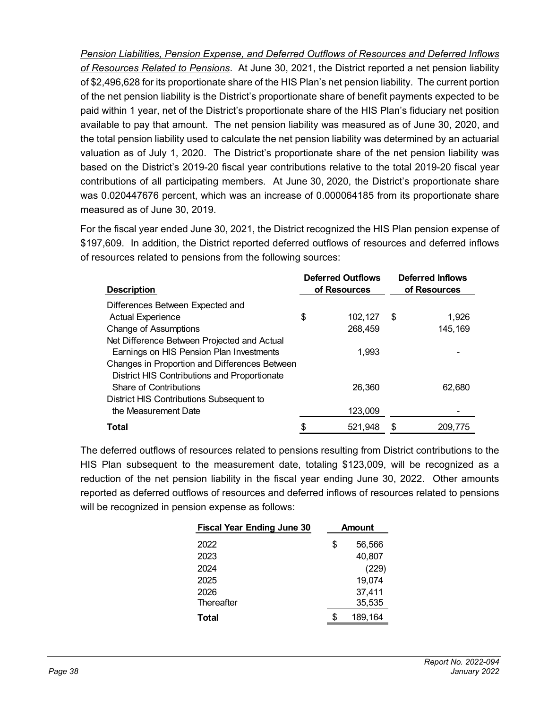*Pension Liabilities, Pension Expense, and Deferred Outflows of Resources and Deferred Inflows of Resources Related to Pensions*. At June 30, 2021, the District reported a net pension liability of \$2,496,628 for its proportionate share of the HIS Plan's net pension liability. The current portion of the net pension liability is the District's proportionate share of benefit payments expected to be paid within 1 year, net of the District's proportionate share of the HIS Plan's fiduciary net position available to pay that amount. The net pension liability was measured as of June 30, 2020, and the total pension liability used to calculate the net pension liability was determined by an actuarial valuation as of July 1, 2020. The District's proportionate share of the net pension liability was based on the District's 2019-20 fiscal year contributions relative to the total 2019-20 fiscal year contributions of all participating members. At June 30, 2020, the District's proportionate share was 0.020447676 percent, which was an increase of 0.000064185 from its proportionate share measured as of June 30, 2019.

For the fiscal year ended June 30, 2021, the District recognized the HIS Plan pension expense of \$197,609. In addition, the District reported deferred outflows of resources and deferred inflows of resources related to pensions from the following sources:

|                                               |    | <b>Deferred Outflows</b> |    | <b>Deferred Inflows</b> |  |  |
|-----------------------------------------------|----|--------------------------|----|-------------------------|--|--|
| <b>Description</b>                            |    | of Resources             |    | of Resources            |  |  |
| Differences Between Expected and              |    |                          |    |                         |  |  |
| <b>Actual Experience</b>                      | \$ | 102,127                  | S  | 1,926                   |  |  |
| <b>Change of Assumptions</b>                  |    | 268,459                  |    | 145,169                 |  |  |
| Net Difference Between Projected and Actual   |    |                          |    |                         |  |  |
| Earnings on HIS Pension Plan Investments      |    | 1,993                    |    |                         |  |  |
| Changes in Proportion and Differences Between |    |                          |    |                         |  |  |
| District HIS Contributions and Proportionate  |    |                          |    |                         |  |  |
| Share of Contributions                        |    | 26,360                   |    | 62,680                  |  |  |
| District HIS Contributions Subsequent to      |    |                          |    |                         |  |  |
| the Measurement Date                          |    | 123,009                  |    |                         |  |  |
| Total                                         | \$ | 521,948                  | \$ | 209,775                 |  |  |

The deferred outflows of resources related to pensions resulting from District contributions to the HIS Plan subsequent to the measurement date, totaling \$123,009, will be recognized as a reduction of the net pension liability in the fiscal year ending June 30, 2022. Other amounts reported as deferred outflows of resources and deferred inflows of resources related to pensions will be recognized in pension expense as follows:

| <b>Fiscal Year Ending June 30</b> |    | Amount  |  |  |
|-----------------------------------|----|---------|--|--|
| 2022                              | \$ | 56,566  |  |  |
| 2023                              |    | 40,807  |  |  |
| 2024                              |    | (229)   |  |  |
| 2025                              |    | 19,074  |  |  |
| 2026                              |    | 37,411  |  |  |
| Thereafter                        |    | 35,535  |  |  |
| Total                             |    | 189,164 |  |  |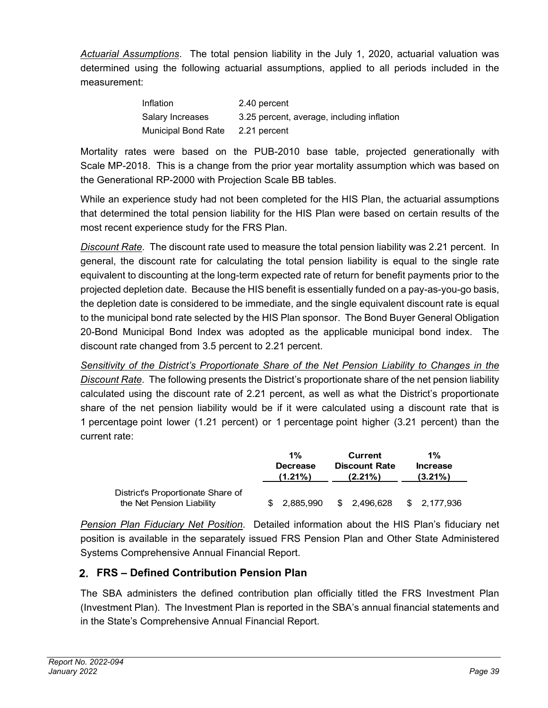*Actuarial Assumptions*. The total pension liability in the July 1, 2020, actuarial valuation was determined using the following actuarial assumptions, applied to all periods included in the measurement:

| Inflation           | 2.40 percent                               |
|---------------------|--------------------------------------------|
| Salary Increases    | 3.25 percent, average, including inflation |
| Municipal Bond Rate | 2.21 percent                               |

Mortality rates were based on the PUB-2010 base table, projected generationally with Scale MP-2018. This is a change from the prior year mortality assumption which was based on the Generational RP-2000 with Projection Scale BB tables.

While an experience study had not been completed for the HIS Plan, the actuarial assumptions that determined the total pension liability for the HIS Plan were based on certain results of the most recent experience study for the FRS Plan.

*Discount Rate*. The discount rate used to measure the total pension liability was 2.21 percent. In general, the discount rate for calculating the total pension liability is equal to the single rate equivalent to discounting at the long-term expected rate of return for benefit payments prior to the projected depletion date. Because the HIS benefit is essentially funded on a pay-as-you-go basis, the depletion date is considered to be immediate, and the single equivalent discount rate is equal to the municipal bond rate selected by the HIS Plan sponsor. The Bond Buyer General Obligation 20-Bond Municipal Bond Index was adopted as the applicable municipal bond index. The discount rate changed from 3.5 percent to 2.21 percent.

*Sensitivity of the District's Proportionate Share of the Net Pension Liability to Changes in the Discount Rate*. The following presents the District's proportionate share of the net pension liability calculated using the discount rate of 2.21 percent, as well as what the District's proportionate share of the net pension liability would be if it were calculated using a discount rate that is 1 percentage point lower (1.21 percent) or 1 percentage point higher (3.21 percent) than the current rate:

|                                                                | $1\%$                         |    | <b>Current</b>                     | $1\%$                         |
|----------------------------------------------------------------|-------------------------------|----|------------------------------------|-------------------------------|
|                                                                | <b>Decrease</b><br>$(1.21\%)$ |    | <b>Discount Rate</b><br>$(2.21\%)$ | <b>Increase</b><br>$(3.21\%)$ |
| District's Proportionate Share of<br>the Net Pension Liability | \$2,885,990                   | S. | 2,496,628                          | \$ 2,177,936                  |

*Pension Plan Fiduciary Net Position*. Detailed information about the HIS Plan's fiduciary net position is available in the separately issued FRS Pension Plan and Other State Administered Systems Comprehensive Annual Financial Report.

## **FRS – Defined Contribution Pension Plan**

The SBA administers the defined contribution plan officially titled the FRS Investment Plan (Investment Plan). The Investment Plan is reported in the SBA's annual financial statements and in the State's Comprehensive Annual Financial Report.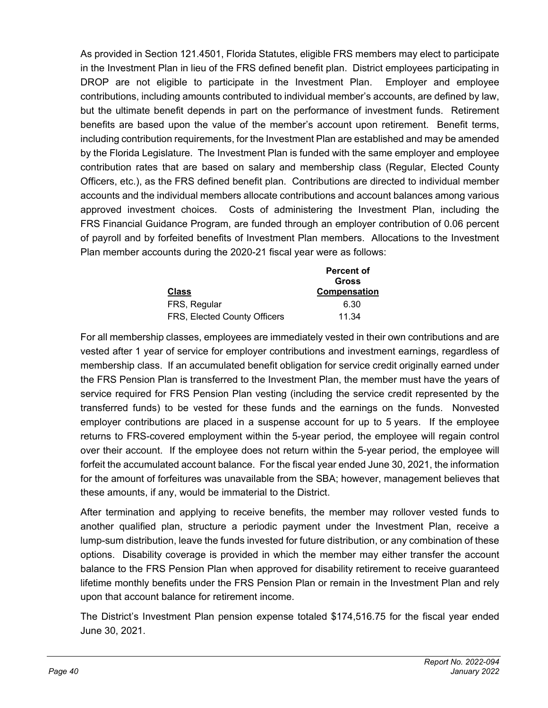As provided in Section 121.4501, Florida Statutes, eligible FRS members may elect to participate in the Investment Plan in lieu of the FRS defined benefit plan. District employees participating in DROP are not eligible to participate in the Investment Plan. Employer and employee contributions, including amounts contributed to individual member's accounts, are defined by law, but the ultimate benefit depends in part on the performance of investment funds. Retirement benefits are based upon the value of the member's account upon retirement. Benefit terms, including contribution requirements, for the Investment Plan are established and may be amended by the Florida Legislature. The Investment Plan is funded with the same employer and employee contribution rates that are based on salary and membership class (Regular, Elected County Officers, etc.), as the FRS defined benefit plan. Contributions are directed to individual member accounts and the individual members allocate contributions and account balances among various approved investment choices. Costs of administering the Investment Plan, including the FRS Financial Guidance Program, are funded through an employer contribution of 0.06 percent of payroll and by forfeited benefits of Investment Plan members. Allocations to the Investment Plan member accounts during the 2020-21 fiscal year were as follows:

|                              | <b>Percent of</b> |
|------------------------------|-------------------|
|                              | Gross             |
| <b>Class</b>                 | Compensation      |
| FRS, Regular                 | 6.30              |
| FRS, Elected County Officers | 11.34             |

For all membership classes, employees are immediately vested in their own contributions and are vested after 1 year of service for employer contributions and investment earnings, regardless of membership class. If an accumulated benefit obligation for service credit originally earned under the FRS Pension Plan is transferred to the Investment Plan, the member must have the years of service required for FRS Pension Plan vesting (including the service credit represented by the transferred funds) to be vested for these funds and the earnings on the funds. Nonvested employer contributions are placed in a suspense account for up to 5 years. If the employee returns to FRS-covered employment within the 5-year period, the employee will regain control over their account. If the employee does not return within the 5-year period, the employee will forfeit the accumulated account balance. For the fiscal year ended June 30, 2021, the information for the amount of forfeitures was unavailable from the SBA; however, management believes that these amounts, if any, would be immaterial to the District.

After termination and applying to receive benefits, the member may rollover vested funds to another qualified plan, structure a periodic payment under the Investment Plan, receive a lump-sum distribution, leave the funds invested for future distribution, or any combination of these options. Disability coverage is provided in which the member may either transfer the account balance to the FRS Pension Plan when approved for disability retirement to receive guaranteed lifetime monthly benefits under the FRS Pension Plan or remain in the Investment Plan and rely upon that account balance for retirement income.

The District's Investment Plan pension expense totaled \$174,516.75 for the fiscal year ended June 30, 2021.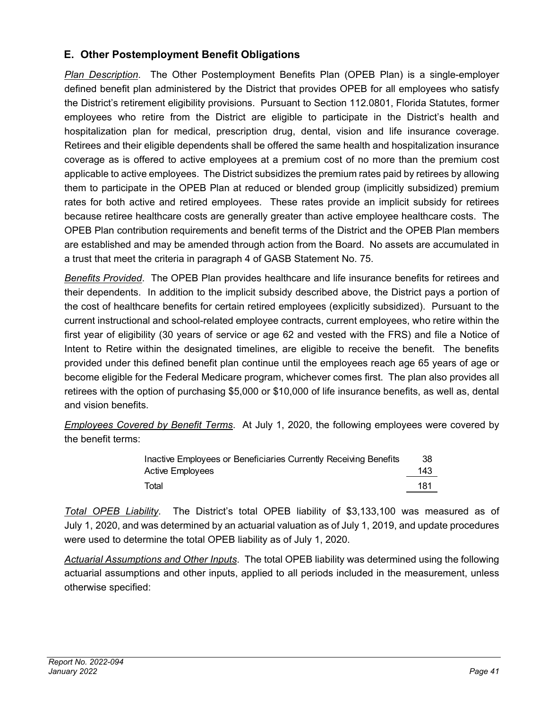### **E. Other Postemployment Benefit Obligations**

*Plan Description*. The Other Postemployment Benefits Plan (OPEB Plan) is a single-employer defined benefit plan administered by the District that provides OPEB for all employees who satisfy the District's retirement eligibility provisions. Pursuant to Section 112.0801, Florida Statutes, former employees who retire from the District are eligible to participate in the District's health and hospitalization plan for medical, prescription drug, dental, vision and life insurance coverage. Retirees and their eligible dependents shall be offered the same health and hospitalization insurance coverage as is offered to active employees at a premium cost of no more than the premium cost applicable to active employees. The District subsidizes the premium rates paid by retirees by allowing them to participate in the OPEB Plan at reduced or blended group (implicitly subsidized) premium rates for both active and retired employees. These rates provide an implicit subsidy for retirees because retiree healthcare costs are generally greater than active employee healthcare costs. The OPEB Plan contribution requirements and benefit terms of the District and the OPEB Plan members are established and may be amended through action from the Board. No assets are accumulated in a trust that meet the criteria in paragraph 4 of GASB Statement No. 75.

*Benefits Provided*.The OPEB Plan provides healthcare and life insurance benefits for retirees and their dependents. In addition to the implicit subsidy described above, the District pays a portion of the cost of healthcare benefits for certain retired employees (explicitly subsidized). Pursuant to the current instructional and school-related employee contracts, current employees, who retire within the first year of eligibility (30 years of service or age 62 and vested with the FRS) and file a Notice of Intent to Retire within the designated timelines, are eligible to receive the benefit. The benefits provided under this defined benefit plan continue until the employees reach age 65 years of age or become eligible for the Federal Medicare program, whichever comes first. The plan also provides all retirees with the option of purchasing \$5,000 or \$10,000 of life insurance benefits, as well as, dental and vision benefits.

*Employees Covered by Benefit Terms*. At July 1, 2020, the following employees were covered by the benefit terms:

| Inactive Employees or Beneficiaries Currently Receiving Benefits | 38  |
|------------------------------------------------------------------|-----|
| <b>Active Employees</b>                                          | 143 |
| Total                                                            | 181 |

*Total OPEB Liability*. The District's total OPEB liability of \$3,133,100 was measured as of July 1, 2020, and was determined by an actuarial valuation as of July 1, 2019, and update procedures were used to determine the total OPEB liability as of July 1, 2020.

*Actuarial Assumptions and Other Inputs*. The total OPEB liability was determined using the following actuarial assumptions and other inputs, applied to all periods included in the measurement, unless otherwise specified: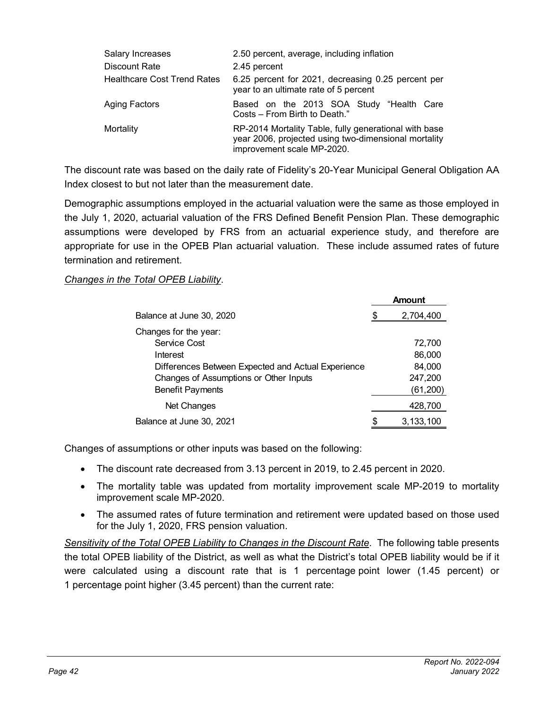| Salary Increases                   | 2.50 percent, average, including inflation                                                                                                  |  |  |
|------------------------------------|---------------------------------------------------------------------------------------------------------------------------------------------|--|--|
| Discount Rate                      | 2.45 percent                                                                                                                                |  |  |
| <b>Healthcare Cost Trend Rates</b> | 6.25 percent for 2021, decreasing 0.25 percent per<br>year to an ultimate rate of 5 percent                                                 |  |  |
| Aging Factors                      | Based on the 2013 SOA Study "Health Care<br>Costs – From Birth to Death."                                                                   |  |  |
| Mortality                          | RP-2014 Mortality Table, fully generational with base<br>year 2006, projected using two-dimensional mortality<br>improvement scale MP-2020. |  |  |

The discount rate was based on the daily rate of Fidelity's 20-Year Municipal General Obligation AA Index closest to but not later than the measurement date.

Demographic assumptions employed in the actuarial valuation were the same as those employed in the July 1, 2020, actuarial valuation of the FRS Defined Benefit Pension Plan. These demographic assumptions were developed by FRS from an actuarial experience study, and therefore are appropriate for use in the OPEB Plan actuarial valuation. These include assumed rates of future termination and retirement.

#### *Changes in the Total OPEB Liability*.

|                                                    | <b>Amount</b>   |
|----------------------------------------------------|-----------------|
| Balance at June 30, 2020                           | \$<br>2,704,400 |
| Changes for the year:                              |                 |
| Service Cost                                       | 72,700          |
| Interest                                           | 86,000          |
| Differences Between Expected and Actual Experience | 84,000          |
| Changes of Assumptions or Other Inputs             | 247,200         |
| <b>Benefit Payments</b>                            | (61,200)        |
| Net Changes                                        | 428,700         |
| Balance at June 30, 2021                           | 3, 133, 100     |

Changes of assumptions or other inputs was based on the following:

- The discount rate decreased from 3.13 percent in 2019, to 2.45 percent in 2020.
- The mortality table was updated from mortality improvement scale MP-2019 to mortality improvement scale MP-2020.
- The assumed rates of future termination and retirement were updated based on those used for the July 1, 2020, FRS pension valuation.

*Sensitivity of the Total OPEB Liability to Changes in the Discount Rate*. The following table presents the total OPEB liability of the District, as well as what the District's total OPEB liability would be if it were calculated using a discount rate that is 1 percentage point lower (1.45 percent) or 1 percentage point higher (3.45 percent) than the current rate: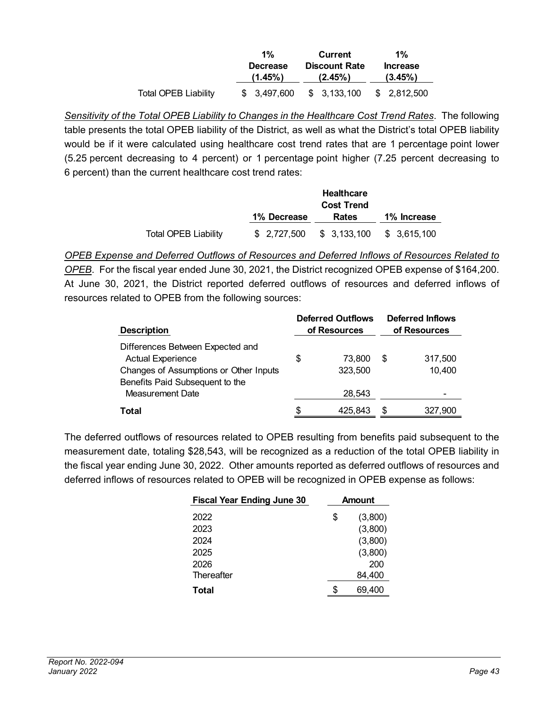|                      | $1\%$           | <b>Current</b>       | $1\%$           |  |
|----------------------|-----------------|----------------------|-----------------|--|
|                      | <b>Decrease</b> | <b>Discount Rate</b> | <b>Increase</b> |  |
|                      | $(1.45\%)$      | $(2.45\%)$           | $(3.45\%)$      |  |
| Total OPEB Liability | \$ 3.497,600    | \$3,133,100          | \$ 2,812,500    |  |

*Sensitivity of the Total OPEB Liability to Changes in the Healthcare Cost Trend Rates*. The following table presents the total OPEB liability of the District, as well as what the District's total OPEB liability would be if it were calculated using healthcare cost trend rates that are 1 percentage point lower (5.25 percent decreasing to 4 percent) or 1 percentage point higher (7.25 percent decreasing to 6 percent) than the current healthcare cost trend rates:

|                             | 1% Decrease  | <b>Rates</b> |              |  |
|-----------------------------|--------------|--------------|--------------|--|
| <b>Total OPEB Liability</b> | \$ 2.727.500 | \$ 3.133.100 | \$ 3,615,100 |  |

*OPEB Expense and Deferred Outflows of Resources and Deferred Inflows of Resources Related to OPEB*. For the fiscal year ended June 30, 2021, the District recognized OPEB expense of \$164,200. At June 30, 2021, the District reported deferred outflows of resources and deferred inflows of resources related to OPEB from the following sources:

| <b>Description</b>                     | <b>Deferred Outflows</b><br>of Resources |         | <b>Deferred Inflows</b><br>of Resources |         |
|----------------------------------------|------------------------------------------|---------|-----------------------------------------|---------|
| Differences Between Expected and       |                                          |         |                                         |         |
| <b>Actual Experience</b>               | S                                        | 73,800  | S                                       | 317,500 |
| Changes of Assumptions or Other Inputs |                                          | 323,500 |                                         | 10,400  |
| Benefits Paid Subsequent to the        |                                          |         |                                         |         |
| Measurement Date                       |                                          | 28,543  |                                         |         |
| Total                                  |                                          | 425,843 | \$.                                     | 327,900 |

The deferred outflows of resources related to OPEB resulting from benefits paid subsequent to the measurement date, totaling \$28,543, will be recognized as a reduction of the total OPEB liability in the fiscal year ending June 30, 2022. Other amounts reported as deferred outflows of resources and deferred inflows of resources related to OPEB will be recognized in OPEB expense as follows:

| <b>Fiscal Year Ending June 30</b> |    | <b>Amount</b> |
|-----------------------------------|----|---------------|
| 2022                              | S  | (3,800)       |
| 2023                              |    | (3,800)       |
| 2024                              |    | (3,800)       |
| 2025                              |    | (3,800)       |
| 2026                              |    | 200           |
| Thereafter                        |    | 84,400        |
| Total                             | \$ | 69.400        |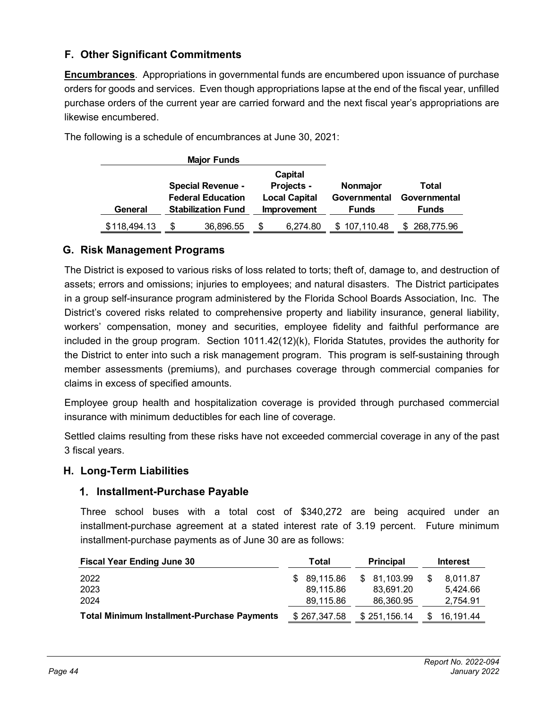#### **F. Other Significant Commitments**

**Encumbrances**. Appropriations in governmental funds are encumbered upon issuance of purchase orders for goods and services. Even though appropriations lapse at the end of the fiscal year, unfilled purchase orders of the current year are carried forward and the next fiscal year's appropriations are likewise encumbered.

| <b>Major Funds</b> |   |                                                                                   |   |                                                                     |                                          |                                       |
|--------------------|---|-----------------------------------------------------------------------------------|---|---------------------------------------------------------------------|------------------------------------------|---------------------------------------|
| General            |   | <b>Special Revenue -</b><br><b>Federal Education</b><br><b>Stabilization Fund</b> |   | Capital<br>Projects -<br><b>Local Capital</b><br><b>Improvement</b> | Nonmajor<br>Governmental<br><b>Funds</b> | Total<br>Governmental<br><b>Funds</b> |
| \$118,494.13       | S | 36,896.55                                                                         | S | 6.274.80                                                            | \$107,110.48                             | \$ 268,775.96                         |

The following is a schedule of encumbrances at June 30, 2021:

#### **G. Risk Management Programs**

The District is exposed to various risks of loss related to torts; theft of, damage to, and destruction of assets; errors and omissions; injuries to employees; and natural disasters. The District participates in a group self-insurance program administered by the Florida School Boards Association, Inc. The District's covered risks related to comprehensive property and liability insurance, general liability, workers' compensation, money and securities, employee fidelity and faithful performance are included in the group program. Section 1011.42(12)(k), Florida Statutes, provides the authority for the District to enter into such a risk management program. This program is self-sustaining through member assessments (premiums), and purchases coverage through commercial companies for claims in excess of specified amounts.

Employee group health and hospitalization coverage is provided through purchased commercial insurance with minimum deductibles for each line of coverage.

Settled claims resulting from these risks have not exceeded commercial coverage in any of the past 3 fiscal years.

#### **H. Long-Term Liabilities**

#### **Installment-Purchase Payable**

Three school buses with a total cost of \$340,272 are being acquired under an installment-purchase agreement at a stated interest rate of 3.19 percent. Future minimum installment-purchase payments as of June 30 are as follows:

| <b>Fiscal Year Ending June 30</b>                  | Total            | <b>Principal</b> | <b>Interest</b> |  |
|----------------------------------------------------|------------------|------------------|-----------------|--|
| 2022                                               | 89.115.86<br>SS. | 81.103.99<br>S.  | 8,011.87        |  |
| 2023                                               | 89,115.86        | 83.691.20        | 5,424.66        |  |
| 2024                                               | 89,115.86        | 86,360.95        | 2,754.91        |  |
| <b>Total Minimum Installment-Purchase Payments</b> | \$267,347.58     | \$251.156.14     | 16,191.44       |  |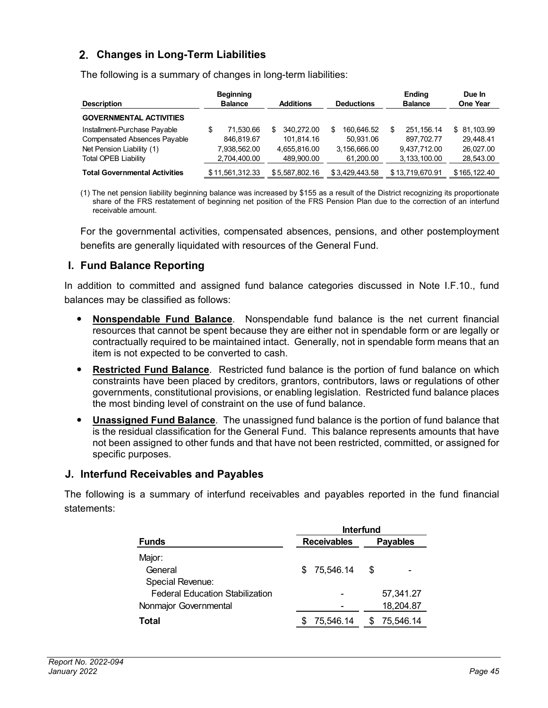#### **Changes in Long-Term Liabilities**

| <b>Description</b>                   | <b>Beginning</b><br><b>Balance</b> | <b>Additions</b> | <b>Deductions</b> | <b>Ending</b><br><b>Balance</b> | Due In<br>One Year |
|--------------------------------------|------------------------------------|------------------|-------------------|---------------------------------|--------------------|
| <b>GOVERNMENTAL ACTIVITIES</b>       |                                    |                  |                   |                                 |                    |
| Installment-Purchase Payable         | 71.530.66                          | 340.272.00<br>S  | 160.646.52<br>S   | 251.156.14<br>S                 | \$ 81.103.99       |
| <b>Compensated Absences Payable</b>  | 846.819.67                         | 101.814.16       | 50.931.06         | 897.702.77                      | 29.448.41          |
| Net Pension Liability (1)            | 7,938,562.00                       | 4.655.816.00     | 3.156.666.00      | 9.437.712.00                    | 26,027.00          |
| <b>Total OPEB Liability</b>          | 2,704,400.00                       | 489,900.00       | 61,200.00         | 3,133,100.00                    | 28,543.00          |
| <b>Total Governmental Activities</b> | \$11,561,312.33                    | \$5,587,802.16   | \$3,429,443.58    | \$13,719,670.91                 | \$165,122.40       |

The following is a summary of changes in long-term liabilities:

(1) The net pension liability beginning balance was increased by \$155 as a result of the District recognizing its proportionate share of the FRS restatement of beginning net position of the FRS Pension Plan due to the correction of an interfund receivable amount.

For the governmental activities, compensated absences, pensions, and other postemployment benefits are generally liquidated with resources of the General Fund.

#### **I. Fund Balance Reporting**

In addition to committed and assigned fund balance categories discussed in Note I.F.10., fund balances may be classified as follows:

- **Nonspendable Fund Balance**. Nonspendable fund balance is the net current financial resources that cannot be spent because they are either not in spendable form or are legally or contractually required to be maintained intact. Generally, not in spendable form means that an item is not expected to be converted to cash.
- **Restricted Fund Balance**. Restricted fund balance is the portion of fund balance on which constraints have been placed by creditors, grantors, contributors, laws or regulations of other governments, constitutional provisions, or enabling legislation. Restricted fund balance places the most binding level of constraint on the use of fund balance.
- **Unassigned Fund Balance**. The unassigned fund balance is the portion of fund balance that is the residual classification for the General Fund. This balance represents amounts that have not been assigned to other funds and that have not been restricted, committed, or assigned for specific purposes.

#### **J. Interfund Receivables and Payables**

The following is a summary of interfund receivables and payables reported in the fund financial statements:

|                                        | <b>Interfund</b>   |                 |  |  |
|----------------------------------------|--------------------|-----------------|--|--|
| <b>Funds</b>                           | <b>Receivables</b> | <b>Payables</b> |  |  |
| Major:                                 |                    |                 |  |  |
| General                                | 75,546.14<br>S     | S               |  |  |
| Special Revenue:                       |                    |                 |  |  |
| <b>Federal Education Stabilization</b> |                    | 57,341.27       |  |  |
| Nonmajor Governmental                  |                    | 18,204.87       |  |  |
| Total                                  | 75,546.14          | 75,546.14<br>\$ |  |  |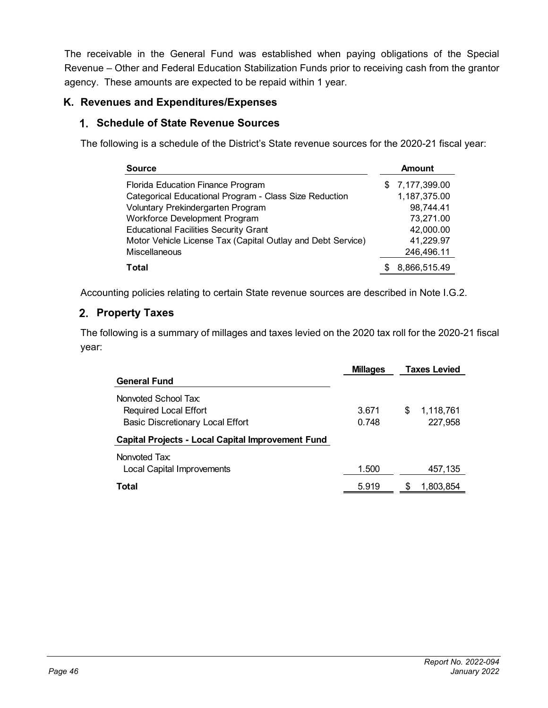The receivable in the General Fund was established when paying obligations of the Special Revenue – Other and Federal Education Stabilization Funds prior to receiving cash from the grantor agency. These amounts are expected to be repaid within 1 year.

#### **K. Revenues and Expenditures/Expenses**

#### **Schedule of State Revenue Sources**

The following is a schedule of the District's State revenue sources for the 2020-21 fiscal year:

| <b>Source</b>                                               | <b>Amount</b>  |
|-------------------------------------------------------------|----------------|
| Florida Education Finance Program                           | \$7,177,399.00 |
| Categorical Educational Program - Class Size Reduction      | 1,187,375.00   |
| Voluntary Prekindergarten Program                           | 98,744.41      |
| Workforce Development Program                               | 73,271.00      |
| <b>Educational Facilities Security Grant</b>                | 42,000.00      |
| Motor Vehicle License Tax (Capital Outlay and Debt Service) | 41,229.97      |
| Miscellaneous                                               | 246,496.11     |
| Total                                                       | 8,866,515.49   |

Accounting policies relating to certain State revenue sources are described in Note I.G.2.

### **Property Taxes**

The following is a summary of millages and taxes levied on the 2020 tax roll for the 2020-21 fiscal year:

|                                                          | <b>Millages</b> | <b>Taxes Levied</b> |
|----------------------------------------------------------|-----------------|---------------------|
| <b>General Fund</b>                                      |                 |                     |
| Nonvoted School Tax:                                     |                 |                     |
| Required Local Effort                                    | 3.671           | 1,118,761<br>S      |
| <b>Basic Discretionary Local Effort</b>                  | 0.748           | 227,958             |
| <b>Capital Projects - Local Capital Improvement Fund</b> |                 |                     |
| Nonvoted Tax:                                            |                 |                     |
| Local Capital Improvements                               | 1.500           | 457,135             |
| Total                                                    | 5.919           | 1,803,854           |
|                                                          |                 |                     |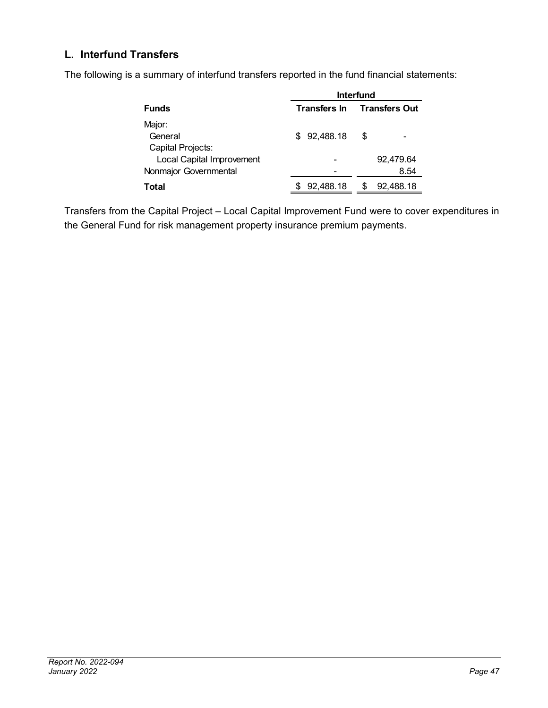#### **L. Interfund Transfers**

|                                  | <b>Interfund</b>    |               |  |  |
|----------------------------------|---------------------|---------------|--|--|
| <b>Funds</b>                     | <b>Transfers In</b> | Transfers Out |  |  |
| Major:                           |                     |               |  |  |
| General                          | 92,488.18<br>SS.    | S             |  |  |
| Capital Projects:                |                     |               |  |  |
| <b>Local Capital Improvement</b> |                     | 92,479.64     |  |  |
| Nonmajor Governmental            |                     | 8.54          |  |  |
| Total                            | 92,488.18           | 92,488.18     |  |  |

The following is a summary of interfund transfers reported in the fund financial statements:

Transfers from the Capital Project – Local Capital Improvement Fund were to cover expenditures in the General Fund for risk management property insurance premium payments.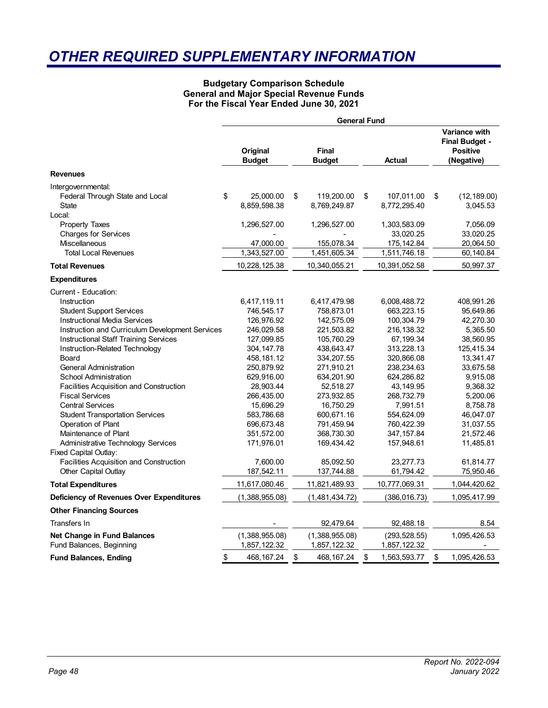# <span id="page-53-0"></span>*OTHER REQUIRED SUPPLEMENTARY INFORMATION*

#### **Budgetary Comparison Schedule General and Major Special Revenue Funds For the Fiscal Year Ended June 30, 2021**

|                                                                                 | <b>General Fund</b>             |                                  |                                  |                                                                         |
|---------------------------------------------------------------------------------|---------------------------------|----------------------------------|----------------------------------|-------------------------------------------------------------------------|
|                                                                                 | Original<br><b>Budget</b>       | Final<br><b>Budget</b>           | <b>Actual</b>                    | Variance with<br><b>Final Budget -</b><br><b>Positive</b><br>(Negative) |
| <b>Revenues</b>                                                                 |                                 |                                  |                                  |                                                                         |
| Intergovernmental:<br>Federal Through State and Local<br><b>State</b><br>Local: | \$<br>25,000.00<br>8,859,598.38 | 119,200.00<br>\$<br>8,769,249.87 | \$<br>107,011.00<br>8,772,295.40 | (12, 189.00)<br>\$<br>3,045.53                                          |
| <b>Property Taxes</b><br><b>Charges for Services</b>                            | 1,296,527.00                    | 1,296,527.00                     | 1,303,583.09<br>33,020.25        | 7,056.09<br>33,020.25                                                   |
| Miscellaneous                                                                   | 47,000.00                       | 155,078.34                       | 175, 142.84                      | 20,064.50                                                               |
| <b>Total Local Revenues</b>                                                     | 1,343,527.00                    | 1,451,605.34                     | 1,511,746.18                     | 60,140.84                                                               |
| <b>Total Revenues</b>                                                           | 10,228,125.38                   | 10,340,055.21                    | 10,391,052.58                    | 50,997.37                                                               |
| <b>Expenditures</b>                                                             |                                 |                                  |                                  |                                                                         |
| Current - Education:<br>Instruction                                             | 6,417,119.11                    | 6,417,479.98                     | 6,008,488.72                     | 408,991.26                                                              |
| <b>Student Support Services</b><br>Instructional Media Services                 | 746,545.17<br>126,976.92        | 758,873.01<br>142,575.09         | 663,223.15<br>100,304.79         | 95,649.86<br>42,270.30                                                  |
| Instruction and Curriculum Development Services                                 | 246,029.58                      | 221,503.82                       | 216, 138.32                      | 5,365.50                                                                |
| Instructional Staff Training Services                                           | 127,099.85                      | 105,760.29                       | 67,199.34                        | 38,560.95                                                               |
| Instruction-Related Technology                                                  | 304, 147. 78                    | 438,643.47                       | 313,228.13                       | 125,415.34                                                              |
| Board                                                                           | 458, 181. 12                    | 334,207.55                       | 320,866.08                       | 13,341.47                                                               |
| <b>General Administration</b><br>School Administration                          | 250,879.92<br>629,916.00        | 271,910.21<br>634,201.90         | 238,234.63<br>624,286.82         | 33,675.58<br>9,915.08                                                   |
| Facilities Acquisition and Construction                                         | 28,903.44                       | 52,518.27                        | 43,149.95                        | 9,368.32                                                                |
| <b>Fiscal Services</b>                                                          | 266,435.00                      | 273,932.85                       | 268,732.79                       | 5,200.06                                                                |
| <b>Central Services</b>                                                         | 15,696.29                       | 16,750.29                        | 7,991.51                         | 8,758.78                                                                |
| <b>Student Transportation Services</b>                                          | 583,786.68                      | 600,671.16                       | 554,624.09                       | 46,047.07                                                               |
| Operation of Plant                                                              | 696,673.48                      | 791,459.94                       | 760,422.39                       | 31,037.55                                                               |
| Maintenance of Plant                                                            | 351,572.00                      | 368,730.30                       | 347, 157.84                      | 21,572.46                                                               |
| Administrative Technology Services<br>Fixed Capital Outlay:                     | 171,976.01                      | 169,434.42                       | 157,948.61                       | 11,485.81                                                               |
| Facilities Acquisition and Construction                                         | 7,600.00                        | 85,092.50                        | 23,277.73                        | 61,814.77                                                               |
| <b>Other Capital Outlay</b>                                                     | 187,542.11                      | 137,744.88                       | 61,794.42                        | 75,950.46                                                               |
| <b>Total Expenditures</b>                                                       | 11,617,080.46                   | 11,821,489.93                    | 10,777,069.31                    | 1,044,420.62                                                            |
| Deficiency of Revenues Over Expenditures                                        | (1,388,955.08)                  | (1,481,434.72)                   | (386,016.73)                     | 1,095,417.99                                                            |
| <b>Other Financing Sources</b>                                                  |                                 |                                  |                                  |                                                                         |
| <b>Transfers In</b>                                                             |                                 | 92,479.64                        | 92,488.18                        | 8.54                                                                    |
| <b>Net Change in Fund Balances</b><br>Fund Balances, Beginning                  | (1,388,955.08)<br>1,857,122.32  | (1,388,955.08)<br>1,857,122.32   | (293, 528.55)<br>1,857,122.32    | 1,095,426.53                                                            |
| <b>Fund Balances, Ending</b>                                                    | \$<br>468, 167.24               | \$<br>468, 167.24                | \$<br>1,563,593.77               | 1,095,426.53<br>\$                                                      |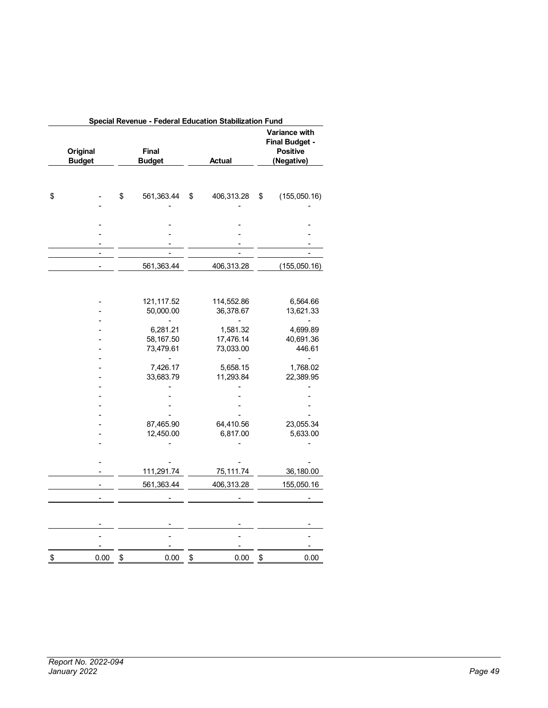| Special Revenue - Federal Education Stabilization Fund |    |                        |    |                       |                                                                         |                       |  |
|--------------------------------------------------------|----|------------------------|----|-----------------------|-------------------------------------------------------------------------|-----------------------|--|
| Original<br><b>Budget</b>                              |    | Final<br><b>Budget</b> |    | <b>Actual</b>         | Variance with<br><b>Final Budget -</b><br><b>Positive</b><br>(Negative) |                       |  |
|                                                        |    |                        |    |                       |                                                                         |                       |  |
| \$                                                     | \$ | 561,363.44             | \$ | 406,313.28            | \$                                                                      | (155,050.16)          |  |
|                                                        |    |                        |    |                       |                                                                         |                       |  |
|                                                        |    |                        |    |                       |                                                                         |                       |  |
|                                                        |    |                        |    |                       |                                                                         |                       |  |
| L,                                                     |    |                        |    |                       |                                                                         |                       |  |
|                                                        |    | 561,363.44             |    | 406,313.28            |                                                                         | (155,050.16)          |  |
|                                                        |    |                        |    |                       |                                                                         |                       |  |
|                                                        |    | 121, 117.52            |    | 114,552.86            |                                                                         | 6,564.66              |  |
|                                                        |    | 50,000.00              |    | 36,378.67             |                                                                         | 13,621.33             |  |
|                                                        |    | $\overline{a}$         |    |                       |                                                                         |                       |  |
|                                                        |    | 6,281.21               |    | 1,581.32              |                                                                         | 4,699.89              |  |
|                                                        |    | 58,167.50              |    | 17,476.14             |                                                                         | 40,691.36             |  |
|                                                        |    | 73,479.61              |    | 73,033.00             |                                                                         | 446.61                |  |
|                                                        |    | ä,                     |    |                       |                                                                         | ä,                    |  |
|                                                        |    | 7,426.17<br>33,683.79  |    | 5,658.15<br>11,293.84 |                                                                         | 1,768.02<br>22,389.95 |  |
|                                                        |    |                        |    |                       |                                                                         |                       |  |
|                                                        |    |                        |    |                       |                                                                         |                       |  |
|                                                        |    |                        |    |                       |                                                                         |                       |  |
|                                                        |    |                        |    |                       |                                                                         |                       |  |
|                                                        |    | 87,465.90              |    | 64,410.56             |                                                                         | 23,055.34             |  |
|                                                        |    | 12,450.00              |    | 6,817.00              |                                                                         | 5,633.00              |  |
|                                                        |    |                        |    |                       |                                                                         |                       |  |
|                                                        |    |                        |    |                       |                                                                         |                       |  |
|                                                        |    |                        |    |                       |                                                                         |                       |  |
|                                                        |    | 111,291.74             |    | 75,111.74             |                                                                         | 36,180.00             |  |
|                                                        |    | 561,363.44             |    | 406,313.28            |                                                                         | 155,050.16            |  |
|                                                        |    |                        |    |                       |                                                                         |                       |  |
|                                                        |    |                        |    |                       |                                                                         |                       |  |
|                                                        |    |                        |    |                       |                                                                         |                       |  |
|                                                        |    |                        |    |                       |                                                                         |                       |  |
| \$<br>0.00                                             | \$ | 0.00                   | \$ | 0.00                  | \$                                                                      | 0.00                  |  |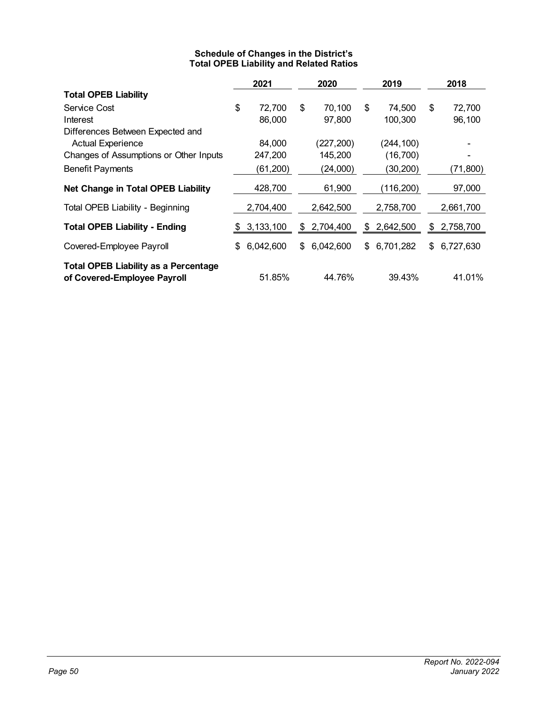#### **Schedule of Changes in the District's Total OPEB Liability and Related Ratios**

<span id="page-55-0"></span>

|                                                                            | 2021 |             | 2020 |            | 2019 |            | 2018 |           |
|----------------------------------------------------------------------------|------|-------------|------|------------|------|------------|------|-----------|
| <b>Total OPEB Liability</b>                                                |      |             |      |            |      |            |      |           |
| Service Cost                                                               | \$   | 72,700      | \$   | 70,100     | \$   | 74,500     | \$   | 72,700    |
| Interest                                                                   |      | 86,000      |      | 97,800     |      | 100,300    |      | 96,100    |
| Differences Between Expected and                                           |      |             |      |            |      |            |      |           |
| <b>Actual Experience</b>                                                   |      | 84,000      |      | (227, 200) |      | (244, 100) |      |           |
| Changes of Assumptions or Other Inputs                                     |      | 247,200     |      | 145,200    |      | (16, 700)  |      |           |
| <b>Benefit Payments</b>                                                    |      | (61, 200)   |      | (24,000)   |      | (30, 200)  |      | (71, 800) |
| Net Change in Total OPEB Liability                                         |      | 428,700     |      | 61,900     |      | (116, 200) |      | 97,000    |
| Total OPEB Liability - Beginning                                           |      | 2,704,400   |      | 2,642,500  |      | 2,758,700  |      | 2,661,700 |
| <b>Total OPEB Liability - Ending</b>                                       | \$   | 3, 133, 100 | \$   | 2,704,400  | \$   | 2,642,500  | \$   | 2,758,700 |
| Covered-Employee Payroll                                                   | \$   | 6,042,600   | \$   | 6,042,600  | \$   | 6,701,282  | \$   | 6,727,630 |
| <b>Total OPEB Liability as a Percentage</b><br>of Covered-Employee Payroll |      | 51.85%      |      | 44.76%     |      | 39.43%     |      | 41.01%    |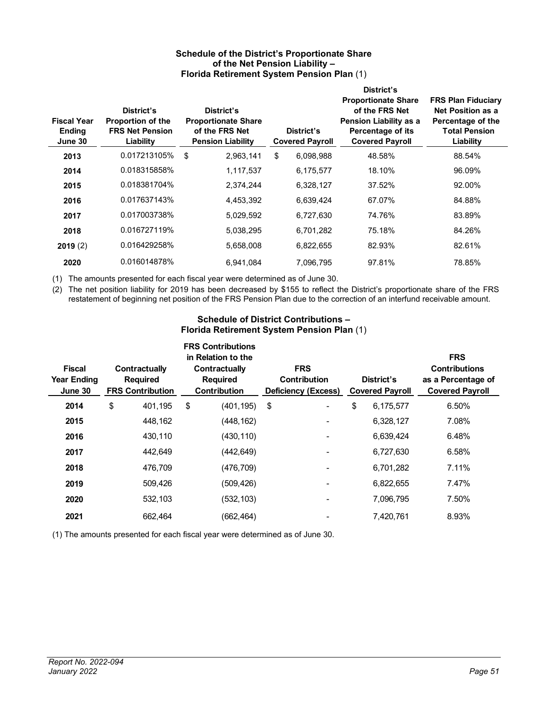#### **Schedule of the District's Proportionate Share of the Net Pension Liability – Florida Retirement System Pension Plan** (1)

<span id="page-56-0"></span>

|                    |                          |                            |                        | District's                    |  |                           |
|--------------------|--------------------------|----------------------------|------------------------|-------------------------------|--|---------------------------|
|                    |                          |                            |                        | <b>Proportionate Share</b>    |  | <b>FRS Plan Fiduciary</b> |
|                    | District's               | District's                 |                        | of the FRS Net                |  | Net Position as a         |
| <b>Fiscal Year</b> | <b>Proportion of the</b> | <b>Proportionate Share</b> |                        | <b>Pension Liability as a</b> |  | Percentage of the         |
| <b>Ending</b>      | <b>FRS Net Pension</b>   | of the FRS Net             | District's             | Percentage of its             |  | <b>Total Pension</b>      |
| June 30            | Liability                | <b>Pension Liability</b>   | <b>Covered Payroll</b> | <b>Covered Payroll</b>        |  | Liability                 |
| 2013               | 0.017213105%             | \$<br>2,963,141            | \$<br>6,098,988        | 48.58%                        |  | 88.54%                    |
| 2014               | 0.018315858%             | 1,117,537                  | 6,175,577              | 18.10%                        |  | 96.09%                    |
| 2015               | 0.018381704%             | 2,374,244                  | 6,328,127              | 37.52%                        |  | 92.00%                    |
| 2016               | 0.017637143%             | 4,453,392                  | 6,639,424              | 67.07%                        |  | 84.88%                    |
| 2017               | 0.017003738%             | 5,029,592                  | 6,727,630              | 74.76%                        |  | 83.89%                    |
| 2018               | 0.016727119%             | 5,038,295                  | 6,701,282              | 75.18%                        |  | 84.26%                    |
| 2019(2)            | 0.016429258%             | 5,658,008                  | 6,822,655              | 82.93%                        |  | 82.61%                    |
| 2020               | 0.016014878%             | 6,941,084                  | 7,096,795              | 97.81%                        |  | 78.85%                    |

(1) The amounts presented for each fiscal year were determined as of June 30.

(2) The net position liability for 2019 has been decreased by \$155 to reflect the District's proportionate share of the FRS restatement of beginning net position of the FRS Pension Plan due to the correction of an interfund receivable amount.

#### **Schedule of District Contributions – Florida Retirement System Pension Plan** (1)

| <b>Fiscal</b><br><b>Year Ending</b><br>June 30 | <b>Contractually</b><br><b>Required</b><br><b>FRS Contribution</b> | <b>FRS Contributions</b><br>in Relation to the<br>Contractually<br><b>Required</b><br><b>Contribution</b> | <b>FRS</b><br><b>Contribution</b><br><b>Deficiency (Excess)</b> | District's<br><b>Covered Payroll</b> | <b>FRS</b><br><b>Contributions</b><br>as a Percentage of<br><b>Covered Payroll</b> |
|------------------------------------------------|--------------------------------------------------------------------|-----------------------------------------------------------------------------------------------------------|-----------------------------------------------------------------|--------------------------------------|------------------------------------------------------------------------------------|
| 2014                                           | \$<br>401,195                                                      | \$<br>(401, 195)                                                                                          | \$<br>$\blacksquare$                                            | \$<br>6,175,577                      | 6.50%                                                                              |
| 2015                                           | 448,162                                                            | (448, 162)                                                                                                | $\blacksquare$                                                  | 6,328,127                            | 7.08%                                                                              |
| 2016                                           | 430,110                                                            | (430, 110)                                                                                                | $\overline{\phantom{a}}$                                        | 6,639,424                            | 6.48%                                                                              |
| 2017                                           | 442.649                                                            | (442, 649)                                                                                                |                                                                 | 6,727,630                            | 6.58%                                                                              |
| 2018                                           | 476,709                                                            | (476, 709)                                                                                                |                                                                 | 6,701,282                            | 7.11%                                                                              |
| 2019                                           | 509,426                                                            | (509, 426)                                                                                                | $\overline{\phantom{a}}$                                        | 6,822,655                            | 7.47%                                                                              |
| 2020                                           | 532,103                                                            | (532, 103)                                                                                                | ٠                                                               | 7,096,795                            | 7.50%                                                                              |
| 2021                                           | 662,464                                                            | (662, 464)                                                                                                |                                                                 | 7,420,761                            | 8.93%                                                                              |

(1) The amounts presented for each fiscal year were determined as of June 30.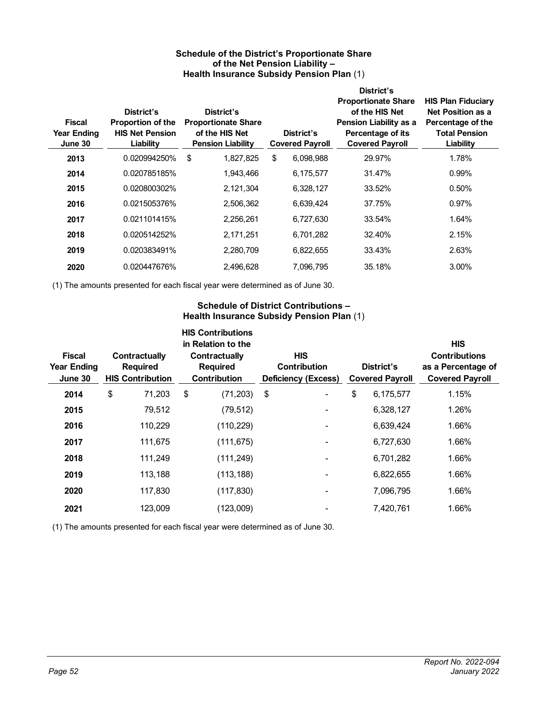#### **Schedule of the District's Proportionate Share of the Net Pension Liability – Health Insurance Subsidy Pension Plan** (1)

<span id="page-57-0"></span>

| <b>Fiscal</b><br><b>Year Ending</b><br>June 30 | District's<br><b>Proportion of the</b><br><b>HIS Net Pension</b><br>Liability | District's<br><b>Proportionate Share</b><br>of the HIS Net<br><b>Pension Liability</b> | District's<br><b>Covered Payroll</b> | District's<br><b>Proportionate Share</b><br>of the HIS Net<br>Pension Liability as a<br>Percentage of its<br><b>Covered Payroll</b> | <b>HIS Plan Fiduciary</b><br>Net Position as a<br>Percentage of the<br><b>Total Pension</b><br>Liability |
|------------------------------------------------|-------------------------------------------------------------------------------|----------------------------------------------------------------------------------------|--------------------------------------|-------------------------------------------------------------------------------------------------------------------------------------|----------------------------------------------------------------------------------------------------------|
| 2013                                           | 0.020994250%                                                                  | 1,827,825<br>\$                                                                        | 6,098,988<br>\$                      | 29.97%                                                                                                                              | 1.78%                                                                                                    |
| 2014                                           | 0.020785185%                                                                  | 1,943,466                                                                              | 6,175,577                            | 31.47%                                                                                                                              | 0.99%                                                                                                    |
| 2015                                           | 0.020800302%                                                                  | 2,121,304                                                                              | 6,328,127                            | 33.52%                                                                                                                              | 0.50%                                                                                                    |
| 2016                                           | 0.021505376%                                                                  | 2,506,362                                                                              | 6,639,424                            | 37.75%                                                                                                                              | 0.97%                                                                                                    |
| 2017                                           | 0.021101415%                                                                  | 2,256,261                                                                              | 6,727,630                            | 33.54%                                                                                                                              | 1.64%                                                                                                    |
| 2018                                           | 0.020514252%                                                                  | 2,171,251                                                                              | 6,701,282                            | 32.40%                                                                                                                              | 2.15%                                                                                                    |
| 2019                                           | 0.020383491%                                                                  | 2,280,709                                                                              | 6,822,655                            | 33.43%                                                                                                                              | 2.63%                                                                                                    |
| 2020                                           | 0.020447676%                                                                  | 2,496,628                                                                              | 7,096,795                            | 35.18%                                                                                                                              | 3.00%                                                                                                    |

(1) The amounts presented for each fiscal year were determined as of June 30.

#### **Schedule of District Contributions – Health Insurance Subsidy Pension Plan** (1)

| <b>Fiscal</b><br><b>Year Ending</b><br>June 30 | <b>Contractually</b><br><b>Required</b><br><b>HIS Contribution</b> | <b>HIS Contributions</b><br>in Relation to the<br>Contractually<br><b>Required</b><br><b>Contribution</b> | <b>HIS</b><br><b>Contribution</b><br><b>Deficiency (Excess)</b> | District's<br><b>Covered Payroll</b> | <b>HIS</b><br><b>Contributions</b><br>as a Percentage of<br><b>Covered Payroll</b> |
|------------------------------------------------|--------------------------------------------------------------------|-----------------------------------------------------------------------------------------------------------|-----------------------------------------------------------------|--------------------------------------|------------------------------------------------------------------------------------|
| 2014                                           | \$<br>71,203                                                       | \$<br>(71, 203)                                                                                           | \$                                                              | \$<br>6,175,577                      | 1.15%                                                                              |
| 2015                                           | 79,512                                                             | (79, 512)                                                                                                 |                                                                 | 6,328,127                            | 1.26%                                                                              |
| 2016                                           | 110,229                                                            | (110, 229)                                                                                                |                                                                 | 6,639,424                            | 1.66%                                                                              |
| 2017                                           | 111,675                                                            | (111, 675)                                                                                                |                                                                 | 6,727,630                            | 1.66%                                                                              |
| 2018                                           | 111,249                                                            | (111, 249)                                                                                                |                                                                 | 6,701,282                            | 1.66%                                                                              |
| 2019                                           | 113,188                                                            | (113, 188)                                                                                                |                                                                 | 6,822,655                            | 1.66%                                                                              |
| 2020                                           | 117,830                                                            | (117, 830)                                                                                                |                                                                 | 7,096,795                            | 1.66%                                                                              |
| 2021                                           | 123,009                                                            | (123,009)                                                                                                 |                                                                 | 7,420,761                            | 1.66%                                                                              |
|                                                |                                                                    |                                                                                                           |                                                                 |                                      |                                                                                    |

(1) The amounts presented for each fiscal year were determined as of June 30.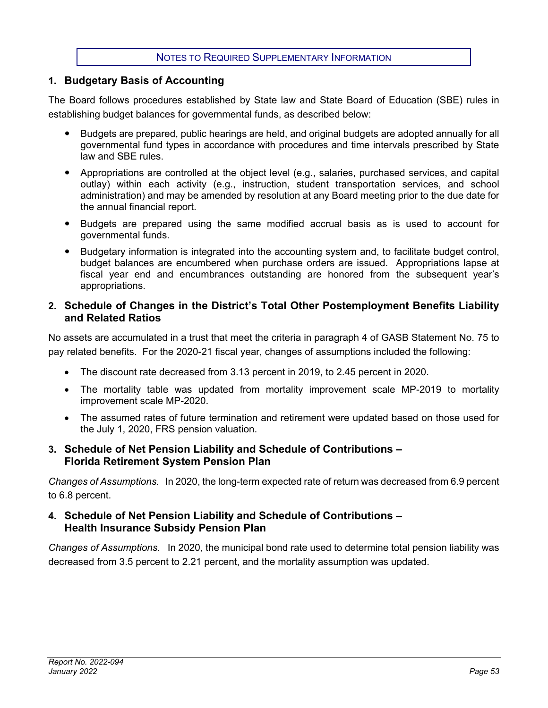#### NOTES TO REQUIRED SUPPLEMENTARY INFORMATION

#### <span id="page-58-0"></span>**1. Budgetary Basis of Accounting**

The Board follows procedures established by State law and State Board of Education (SBE) rules in establishing budget balances for governmental funds, as described below:

- Budgets are prepared, public hearings are held, and original budgets are adopted annually for all governmental fund types in accordance with procedures and time intervals prescribed by State law and SBE rules.
- Appropriations are controlled at the object level (e.g., salaries, purchased services, and capital outlay) within each activity (e.g., instruction, student transportation services, and school administration) and may be amended by resolution at any Board meeting prior to the due date for the annual financial report.
- Budgets are prepared using the same modified accrual basis as is used to account for governmental funds.
- Budgetary information is integrated into the accounting system and, to facilitate budget control, budget balances are encumbered when purchase orders are issued. Appropriations lapse at fiscal year end and encumbrances outstanding are honored from the subsequent year's appropriations.

#### **2. Schedule of Changes in the District's Total Other Postemployment Benefits Liability and Related Ratios**

No assets are accumulated in a trust that meet the criteria in paragraph 4 of GASB Statement No. 75 to pay related benefits. For the 2020-21 fiscal year, changes of assumptions included the following:

- The discount rate decreased from 3.13 percent in 2019, to 2.45 percent in 2020.
- The mortality table was updated from mortality improvement scale MP-2019 to mortality improvement scale MP-2020.
- The assumed rates of future termination and retirement were updated based on those used for the July 1, 2020, FRS pension valuation.

#### **3. Schedule of Net Pension Liability and Schedule of Contributions – Florida Retirement System Pension Plan**

*Changes of Assumptions.* In 2020, the long-term expected rate of return was decreased from 6.9 percent to 6.8 percent.

#### **4. Schedule of Net Pension Liability and Schedule of Contributions – Health Insurance Subsidy Pension Plan**

*Changes of Assumptions.* In 2020, the municipal bond rate used to determine total pension liability was decreased from 3.5 percent to 2.21 percent, and the mortality assumption was updated.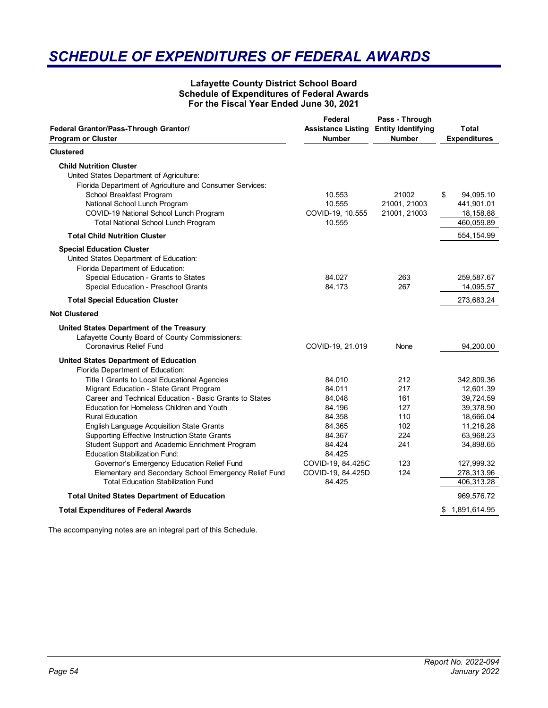## <span id="page-59-0"></span>*SCHEDULE OF EXPENDITURES OF FEDERAL AWARDS*

#### **Lafayette County District School Board Schedule of Expenditures of Federal Awards For the Fiscal Year Ended June 30, 2021**

| Federal Grantor/Pass-Through Grantor/<br><b>Program or Cluster</b>                                                                                                                                                                                                                          | Federal<br><b>Assistance Listing Entity Identifying</b><br><b>Number</b> | Pass - Through<br><b>Number</b>       | <b>Total</b><br><b>Expenditures</b>                      |
|---------------------------------------------------------------------------------------------------------------------------------------------------------------------------------------------------------------------------------------------------------------------------------------------|--------------------------------------------------------------------------|---------------------------------------|----------------------------------------------------------|
| <b>Clustered</b>                                                                                                                                                                                                                                                                            |                                                                          |                                       |                                                          |
| <b>Child Nutrition Cluster</b><br>United States Department of Agriculture:<br>Florida Department of Agriculture and Consumer Services:<br>School Breakfast Program<br>National School Lunch Program<br>COVID-19 National School Lunch Program<br><b>Total National School Lunch Program</b> | 10.553<br>10.555<br>COVID-19, 10.555<br>10.555                           | 21002<br>21001, 21003<br>21001, 21003 | \$<br>94,095.10<br>441,901.01<br>18,158.88<br>460,059.89 |
| <b>Total Child Nutrition Cluster</b>                                                                                                                                                                                                                                                        |                                                                          |                                       | 554, 154.99                                              |
| <b>Special Education Cluster</b><br>United States Department of Education:<br>Florida Department of Education:<br>Special Education - Grants to States<br>Special Education - Preschool Grants                                                                                              | 84.027<br>84.173                                                         | 263<br>267                            | 259,587.67<br>14,095.57                                  |
| <b>Total Special Education Cluster</b>                                                                                                                                                                                                                                                      |                                                                          |                                       | 273,683.24                                               |
| <b>Not Clustered</b>                                                                                                                                                                                                                                                                        |                                                                          |                                       |                                                          |
| United States Department of the Treasury<br>Lafayette County Board of County Commissioners:<br>Coronavirus Relief Fund                                                                                                                                                                      | COVID-19, 21.019                                                         | None                                  | 94.200.00                                                |
| <b>United States Department of Education</b><br>Florida Department of Education:                                                                                                                                                                                                            |                                                                          |                                       |                                                          |
| Title I Grants to Local Educational Agencies                                                                                                                                                                                                                                                | 84.010                                                                   | 212                                   | 342,809.36                                               |
| Migrant Education - State Grant Program                                                                                                                                                                                                                                                     | 84.011                                                                   | 217                                   | 12,601.39                                                |
| Career and Technical Education - Basic Grants to States                                                                                                                                                                                                                                     | 84.048                                                                   | 161                                   | 39,724.59                                                |
| Education for Homeless Children and Youth                                                                                                                                                                                                                                                   | 84.196                                                                   | 127                                   | 39,378.90                                                |
| <b>Rural Education</b><br>English Language Acquisition State Grants                                                                                                                                                                                                                         | 84.358<br>84.365                                                         | 110<br>102                            | 18,666.04<br>11,216.28                                   |
| Supporting Effective Instruction State Grants                                                                                                                                                                                                                                               | 84.367                                                                   | 224                                   | 63,968.23                                                |
| Student Support and Academic Enrichment Program                                                                                                                                                                                                                                             | 84.424                                                                   | 241                                   | 34,898.65                                                |
| <b>Education Stabilization Fund:</b>                                                                                                                                                                                                                                                        | 84.425                                                                   |                                       |                                                          |
| Governor's Emergency Education Relief Fund                                                                                                                                                                                                                                                  | COVID-19, 84.425C                                                        | 123                                   | 127,999.32                                               |
| Elementary and Secondary School Emergency Relief Fund                                                                                                                                                                                                                                       | COVID-19, 84.425D                                                        | 124                                   | 278,313.96                                               |
| <b>Total Education Stabilization Fund</b>                                                                                                                                                                                                                                                   | 84.425                                                                   |                                       | 406,313.28                                               |
| <b>Total United States Department of Education</b>                                                                                                                                                                                                                                          |                                                                          |                                       | 969,576.72                                               |
| <b>Total Expenditures of Federal Awards</b>                                                                                                                                                                                                                                                 |                                                                          |                                       | 1,891,614.95<br>\$                                       |
|                                                                                                                                                                                                                                                                                             |                                                                          |                                       |                                                          |

The accompanying notes are an integral part of this Schedule.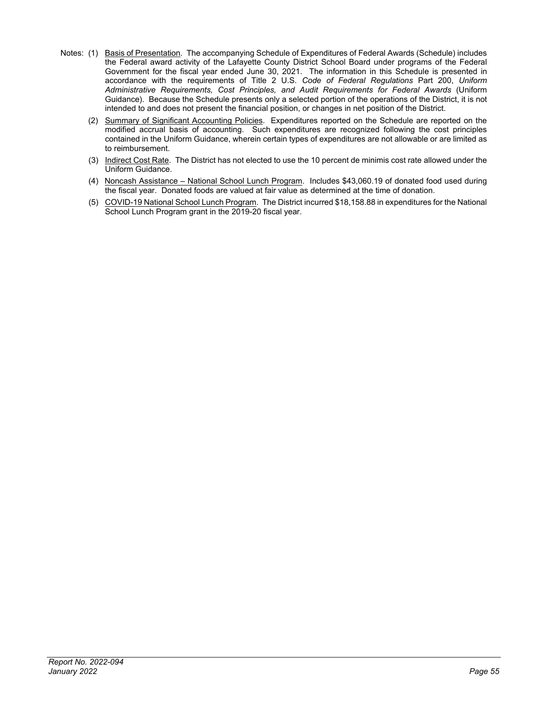- Notes: (1) Basis of Presentation. The accompanying Schedule of Expenditures of Federal Awards (Schedule) includes the Federal award activity of the Lafayette County District School Board under programs of the Federal Government for the fiscal year ended June 30, 2021. The information in this Schedule is presented in accordance with the requirements of Title 2 U.S. *Code of Federal Regulations* Part 200, *Uniform Administrative Requirements, Cost Principles, and Audit Requirements for Federal Awards* (Uniform Guidance). Because the Schedule presents only a selected portion of the operations of the District, it is not intended to and does not present the financial position, or changes in net position of the District.
	- (2) Summary of Significant Accounting Policies. Expenditures reported on the Schedule are reported on the modified accrual basis of accounting. Such expenditures are recognized following the cost principles contained in the Uniform Guidance, wherein certain types of expenditures are not allowable or are limited as to reimbursement.
	- (3) Indirect Cost Rate. The District has not elected to use the 10 percent de minimis cost rate allowed under the Uniform Guidance.
	- (4) Noncash Assistance National School Lunch Program. Includes \$43,060.19 of donated food used during the fiscal year. Donated foods are valued at fair value as determined at the time of donation.
	- (5) COVID-19 National School Lunch Program. The District incurred \$18,158.88 in expenditures for the National School Lunch Program grant in the 2019-20 fiscal year.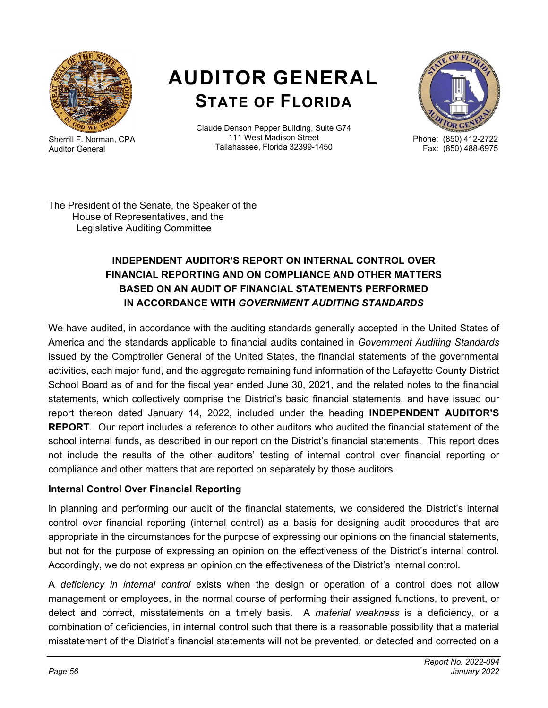<span id="page-61-0"></span>

Sherrill F. Norman, CPA Auditor General

# **AUDITOR GENERAL STATE OF FLORIDA**

Claude Denson Pepper Building, Suite G74 111 West Madison Street Tallahassee, Florida 32399-1450



Phone: (850) 412-2722 Fax: (850) 488-6975

The President of the Senate, the Speaker of the House of Representatives, and the Legislative Auditing Committee

## **INDEPENDENT AUDITOR'S REPORT ON INTERNAL CONTROL OVER FINANCIAL REPORTING AND ON COMPLIANCE AND OTHER MATTERS BASED ON AN AUDIT OF FINANCIAL STATEMENTS PERFORMED IN ACCORDANCE WITH** *GOVERNMENT AUDITING STANDARDS*

We have audited, in accordance with the auditing standards generally accepted in the United States of America and the standards applicable to financial audits contained in *Government Auditing Standards* issued by the Comptroller General of the United States, the financial statements of the governmental activities, each major fund, and the aggregate remaining fund information of the Lafayette County District School Board as of and for the fiscal year ended June 30, 2021, and the related notes to the financial statements, which collectively comprise the District's basic financial statements, and have issued our report thereon dated January 14, 2022, included under the heading **INDEPENDENT AUDITOR'S REPORT**.Our report includes a reference to other auditors who audited the financial statement of the school internal funds, as described in our report on the District's financial statements. This report does not include the results of the other auditors' testing of internal control over financial reporting or compliance and other matters that are reported on separately by those auditors.

#### **Internal Control Over Financial Reporting**

In planning and performing our audit of the financial statements, we considered the District's internal control over financial reporting (internal control) as a basis for designing audit procedures that are appropriate in the circumstances for the purpose of expressing our opinions on the financial statements, but not for the purpose of expressing an opinion on the effectiveness of the District's internal control. Accordingly, we do not express an opinion on the effectiveness of the District's internal control.

A *deficiency in internal control* exists when the design or operation of a control does not allow management or employees, in the normal course of performing their assigned functions, to prevent, or detect and correct, misstatements on a timely basis. A *material weakness* is a deficiency, or a combination of deficiencies, in internal control such that there is a reasonable possibility that a material misstatement of the District's financial statements will not be prevented, or detected and corrected on a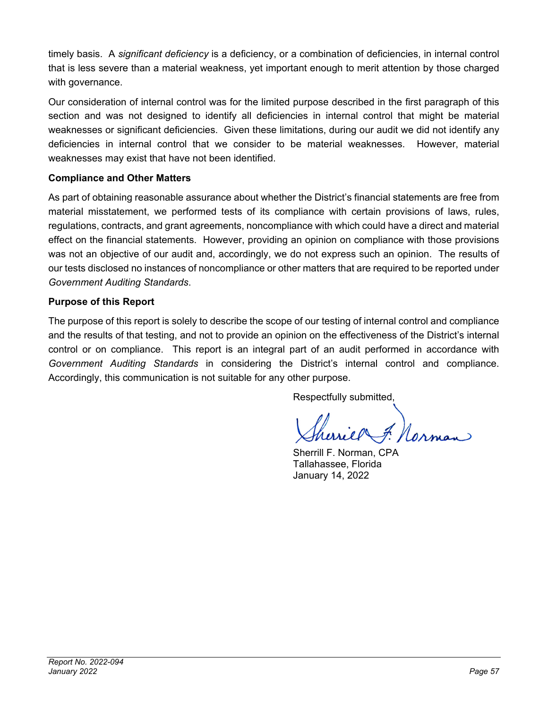timely basis. A *significant deficiency* is a deficiency, or a combination of deficiencies, in internal control that is less severe than a material weakness, yet important enough to merit attention by those charged with governance.

Our consideration of internal control was for the limited purpose described in the first paragraph of this section and was not designed to identify all deficiencies in internal control that might be material weaknesses or significant deficiencies. Given these limitations, during our audit we did not identify any deficiencies in internal control that we consider to be material weaknesses. However, material weaknesses may exist that have not been identified.

#### **Compliance and Other Matters**

As part of obtaining reasonable assurance about whether the District's financial statements are free from material misstatement, we performed tests of its compliance with certain provisions of laws, rules, regulations, contracts, and grant agreements, noncompliance with which could have a direct and material effect on the financial statements. However, providing an opinion on compliance with those provisions was not an objective of our audit and, accordingly, we do not express such an opinion. The results of our tests disclosed no instances of noncompliance or other matters that are required to be reported under *Government Auditing Standards*.

#### **Purpose of this Report**

The purpose of this report is solely to describe the scope of our testing of internal control and compliance and the results of that testing, and not to provide an opinion on the effectiveness of the District's internal control or on compliance. This report is an integral part of an audit performed in accordance with *Government Auditing Standards* in considering the District's internal control and compliance. Accordingly, this communication is not suitable for any other purpose.

Respectfully submitted,

Sherrill F. Norman, CPA Tallahassee, Florida January 14, 2022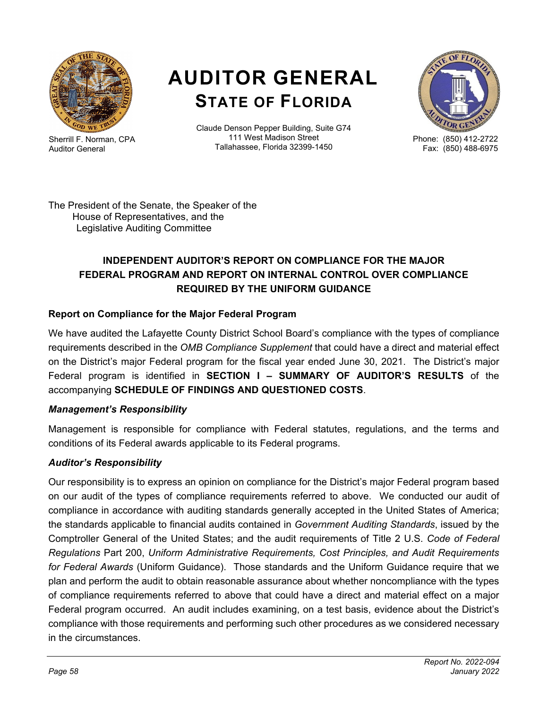<span id="page-63-0"></span>

Sherrill F. Norman, CPA Auditor General

# **AUDITOR GENERAL STATE OF FLORIDA**

Claude Denson Pepper Building, Suite G74 111 West Madison Street Tallahassee, Florida 32399-1450



Phone: (850) 412-2722 Fax: (850) 488-6975

The President of the Senate, the Speaker of the House of Representatives, and the Legislative Auditing Committee

## **INDEPENDENT AUDITOR'S REPORT ON COMPLIANCE FOR THE MAJOR FEDERAL PROGRAM AND REPORT ON INTERNAL CONTROL OVER COMPLIANCE REQUIRED BY THE UNIFORM GUIDANCE**

#### **Report on Compliance for the Major Federal Program**

We have audited the Lafayette County District School Board's compliance with the types of compliance requirements described in the *OMB Compliance Supplement* that could have a direct and material effect on the District's major Federal program for the fiscal year ended June 30, 2021. The District's major Federal program is identified in **SECTION I – SUMMARY OF AUDITOR'S RESULTS** of the accompanying **SCHEDULE OF FINDINGS AND QUESTIONED COSTS**.

#### *Management's Responsibility*

Management is responsible for compliance with Federal statutes, regulations, and the terms and conditions of its Federal awards applicable to its Federal programs.

#### *Auditor's Responsibility*

Our responsibility is to express an opinion on compliance for the District's major Federal program based on our audit of the types of compliance requirements referred to above. We conducted our audit of compliance in accordance with auditing standards generally accepted in the United States of America; the standards applicable to financial audits contained in *Government Auditing Standards*, issued by the Comptroller General of the United States; and the audit requirements of Title 2 U.S. *Code of Federal Regulations* Part 200, *Uniform Administrative Requirements, Cost Principles, and Audit Requirements for Federal Awards* (Uniform Guidance). Those standards and the Uniform Guidance require that we plan and perform the audit to obtain reasonable assurance about whether noncompliance with the types of compliance requirements referred to above that could have a direct and material effect on a major Federal program occurred. An audit includes examining, on a test basis, evidence about the District's compliance with those requirements and performing such other procedures as we considered necessary in the circumstances.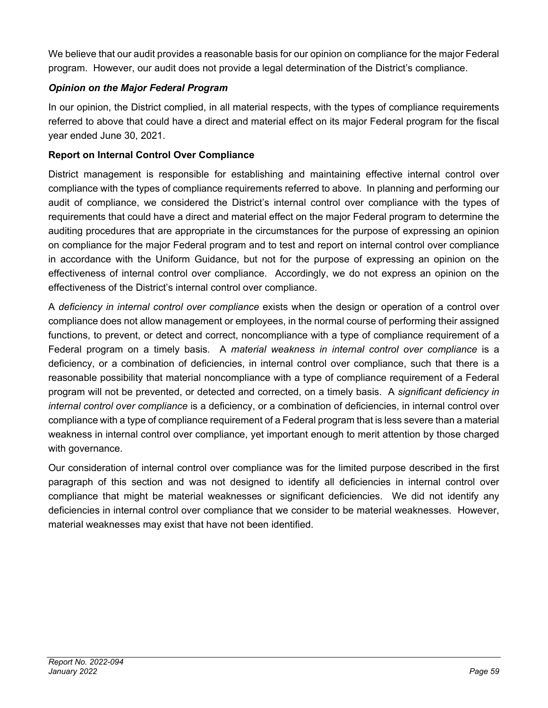We believe that our audit provides a reasonable basis for our opinion on compliance for the major Federal program. However, our audit does not provide a legal determination of the District's compliance.

#### *Opinion on the Major Federal Program*

In our opinion, the District complied, in all material respects, with the types of compliance requirements referred to above that could have a direct and material effect on its major Federal program for the fiscal year ended June 30, 2021.

#### **Report on Internal Control Over Compliance**

District management is responsible for establishing and maintaining effective internal control over compliance with the types of compliance requirements referred to above. In planning and performing our audit of compliance, we considered the District's internal control over compliance with the types of requirements that could have a direct and material effect on the major Federal program to determine the auditing procedures that are appropriate in the circumstances for the purpose of expressing an opinion on compliance for the major Federal program and to test and report on internal control over compliance in accordance with the Uniform Guidance, but not for the purpose of expressing an opinion on the effectiveness of internal control over compliance. Accordingly, we do not express an opinion on the effectiveness of the District's internal control over compliance.

A *deficiency in internal control over compliance* exists when the design or operation of a control over compliance does not allow management or employees, in the normal course of performing their assigned functions, to prevent, or detect and correct, noncompliance with a type of compliance requirement of a Federal program on a timely basis. A *material weakness in internal control over compliance* is a deficiency, or a combination of deficiencies, in internal control over compliance, such that there is a reasonable possibility that material noncompliance with a type of compliance requirement of a Federal program will not be prevented, or detected and corrected, on a timely basis. A *significant deficiency in internal control over compliance* is a deficiency, or a combination of deficiencies, in internal control over compliance with a type of compliance requirement of a Federal program that is less severe than a material weakness in internal control over compliance, yet important enough to merit attention by those charged with governance.

Our consideration of internal control over compliance was for the limited purpose described in the first paragraph of this section and was not designed to identify all deficiencies in internal control over compliance that might be material weaknesses or significant deficiencies. We did not identify any deficiencies in internal control over compliance that we consider to be material weaknesses. However, material weaknesses may exist that have not been identified.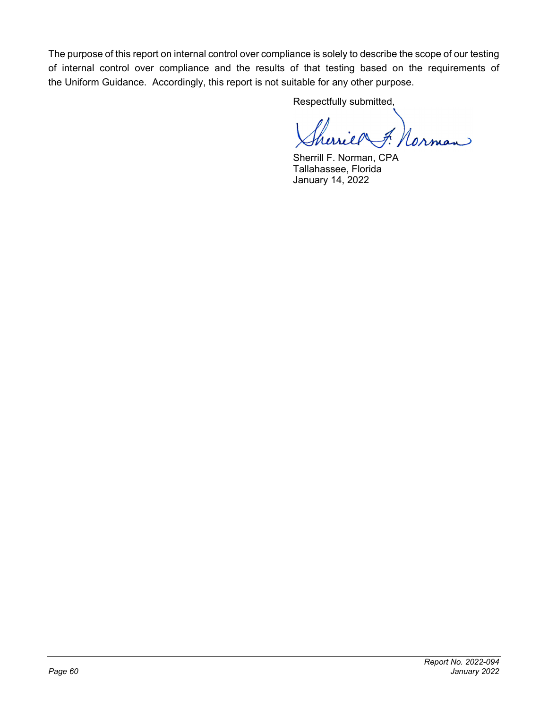The purpose of this report on internal control over compliance is solely to describe the scope of our testing of internal control over compliance and the results of that testing based on the requirements of the Uniform Guidance. Accordingly, this report is not suitable for any other purpose.

Respectfully submitted,

F. Norman

Sherrill F. Norman, CPA Tallahassee, Florida January 14, 2022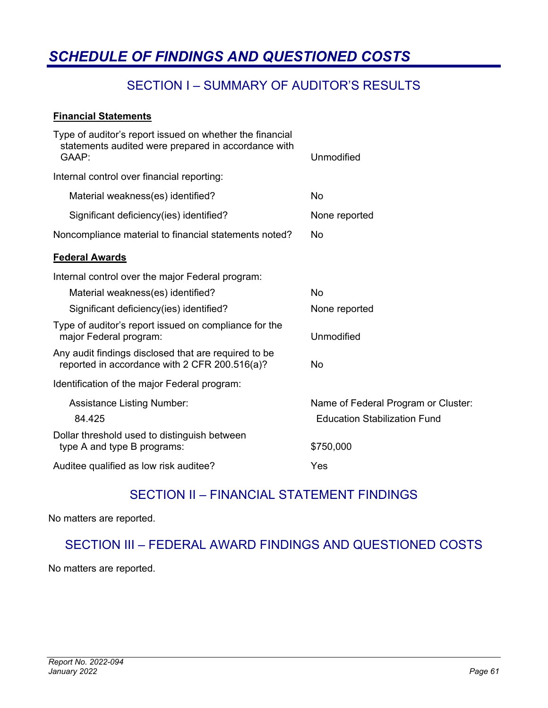# <span id="page-66-0"></span>*SCHEDULE OF FINDINGS AND QUESTIONED COSTS*

## SECTION I – SUMMARY OF AUDITOR'S RESULTS

#### **Financial Statements**

| Type of auditor's report issued on whether the financial<br>statements audited were prepared in accordance with<br>GAAP: | Unmodified                                                                 |
|--------------------------------------------------------------------------------------------------------------------------|----------------------------------------------------------------------------|
| Internal control over financial reporting:                                                                               |                                                                            |
| Material weakness(es) identified?                                                                                        | No                                                                         |
| Significant deficiency(ies) identified?                                                                                  | None reported                                                              |
| Noncompliance material to financial statements noted?                                                                    | No                                                                         |
| <b>Federal Awards</b>                                                                                                    |                                                                            |
| Internal control over the major Federal program:                                                                         |                                                                            |
| Material weakness(es) identified?                                                                                        | No                                                                         |
| Significant deficiency(ies) identified?                                                                                  | None reported                                                              |
| Type of auditor's report issued on compliance for the<br>major Federal program:                                          | Unmodified                                                                 |
| Any audit findings disclosed that are required to be<br>reported in accordance with 2 CFR 200.516(a)?                    | No                                                                         |
| Identification of the major Federal program:                                                                             |                                                                            |
| <b>Assistance Listing Number:</b><br>84.425                                                                              | Name of Federal Program or Cluster:<br><b>Education Stabilization Fund</b> |
| Dollar threshold used to distinguish between<br>type A and type B programs:                                              | \$750,000                                                                  |
| Auditee qualified as low risk auditee?                                                                                   | Yes                                                                        |

## SECTION II – FINANCIAL STATEMENT FINDINGS

No matters are reported.

## SECTION III – FEDERAL AWARD FINDINGS AND QUESTIONED COSTS

No matters are reported.